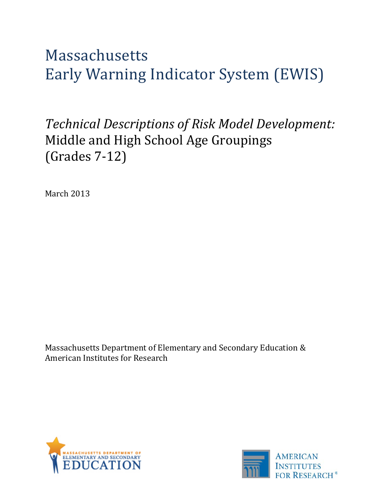# Massachusetts Early Warning Indicator System (EWIS)

# *Technical Descriptions of Risk Model Development:*  Middle and High School Age Groupings (Grades 7-12)

March 2013

Massachusetts Department of Elementary and Secondary Education & American Institutes for Research



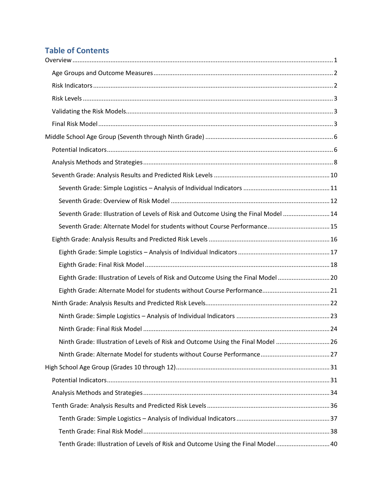# **Table of Contents**

| Seventh Grade: Illustration of Levels of Risk and Outcome Using the Final Model  14 |  |
|-------------------------------------------------------------------------------------|--|
| Seventh Grade: Alternate Model for students without Course Performance 15           |  |
|                                                                                     |  |
|                                                                                     |  |
|                                                                                     |  |
| Eighth Grade: Illustration of Levels of Risk and Outcome Using the Final Model  20  |  |
|                                                                                     |  |
|                                                                                     |  |
|                                                                                     |  |
|                                                                                     |  |
| Ninth Grade: Illustration of Levels of Risk and Outcome Using the Final Model  26   |  |
|                                                                                     |  |
|                                                                                     |  |
|                                                                                     |  |
|                                                                                     |  |
|                                                                                     |  |
|                                                                                     |  |
|                                                                                     |  |
| Tenth Grade: Illustration of Levels of Risk and Outcome Using the Final Model 40    |  |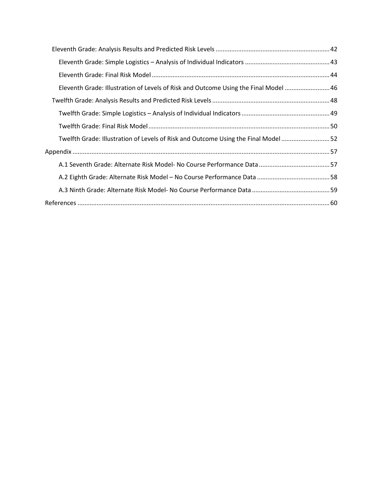| Eleventh Grade: Illustration of Levels of Risk and Outcome Using the Final Model  46 |  |
|--------------------------------------------------------------------------------------|--|
|                                                                                      |  |
|                                                                                      |  |
|                                                                                      |  |
| Twelfth Grade: Illustration of Levels of Risk and Outcome Using the Final Model 52   |  |
|                                                                                      |  |
|                                                                                      |  |
|                                                                                      |  |
|                                                                                      |  |
|                                                                                      |  |
|                                                                                      |  |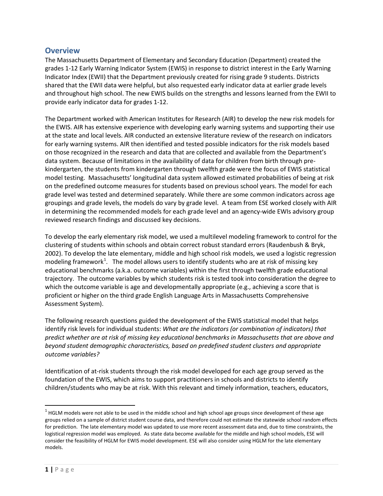# <span id="page-3-0"></span>**Overview**

The Massachusetts Department of Elementary and Secondary Education (Department) created the grades 1-12 Early Warning Indicator System (EWIS) in response to district interest in the Early Warning Indicator Index (EWII) that the Department previously created for rising grade 9 students. Districts shared that the EWII data were helpful, but also requested early indicator data at earlier grade levels and throughout high school. The new EWIS builds on the strengths and lessons learned from the EWII to provide early indicator data for grades 1-12.

The Department worked with American Institutes for Research (AIR) to develop the new risk models for the EWIS. AIR has extensive experience with developing early warning systems and supporting their use at the state and local levels. AIR conducted an extensive literature review of the research on indicators for early warning systems. AIR then identified and tested possible indicators for the risk models based on those recognized in the research and data that are collected and available from the Department's data system. Because of limitations in the availability of data for children from birth through prekindergarten, the students from kindergarten through twelfth grade were the focus of EWIS statistical model testing. Massachusetts' longitudinal data system allowed estimated probabilities of being at risk on the predefined outcome measures for students based on previous school years. The model for each grade level was tested and determined separately. While there are some common indicators across age groupings and grade levels, the models do vary by grade level. A team from ESE worked closely with AIR in determining the recommended models for each grade level and an agency-wide EWIs advisory group reviewed research findings and discussed key decisions.

To develop the early elementary risk model, we used a multilevel modeling framework to control for the clustering of students within schools and obtain correct robust standard errors (Raudenbush & Bryk, 2002). To develop the late elementary, middle and high school risk models, we used a logistic regression modeling framework<sup>[1](#page-3-1)</sup>. The model allows users to identify students who are at risk of missing key educational benchmarks (a.k.a. outcome variables) within the first through twelfth grade educational trajectory. The outcome variables by which students risk is tested took into consideration the degree to which the outcome variable is age and developmentally appropriate (e.g., achieving a score that is proficient or higher on the third grade English Language Arts in Massachusetts Comprehensive Assessment System).

The following research questions guided the development of the EWIS statistical model that helps identify risk levels for individual students: *What are the indicators (or combination of indicators) that predict whether are at risk of missing key educational benchmarks in Massachusetts that are above and beyond student demographic characteristics, based on predefined student clusters and appropriate outcome variables?*

Identification of at-risk students through the risk model developed for each age group served as the foundation of the EWIS, which aims to support practitioners in schools and districts to identify children/students who may be at risk. With this relevant and timely information, teachers, educators,

<span id="page-3-1"></span> $1$  HGLM models were not able to be used in the middle school and high school age groups since development of these age groups relied on a sample of district student course data, and therefore could not estimate the statewide school random effects for prediction. The late elementary model was updated to use more recent assessment data and, due to time constraints, the logistical regression model was employed. As state data become available for the middle and high school models, ESE will consider the feasibility of HGLM for EWIS model development. ESE will also consider using HGLM for the late elementary models.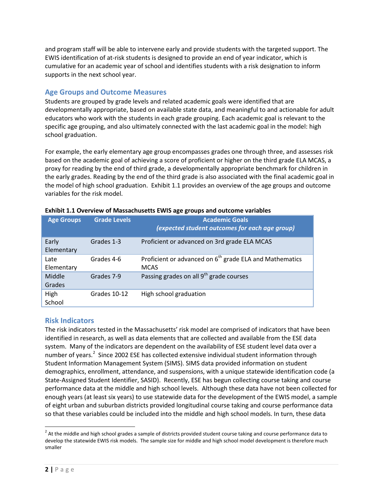and program staff will be able to intervene early and provide students with the targeted support. The EWIS identification of at-risk students is designed to provide an end of year indicator, which is cumulative for an academic year of school and identifies students with a risk designation to inform supports in the next school year.

# <span id="page-4-0"></span>**Age Groups and Outcome Measures**

Students are grouped by grade levels and related academic goals were identified that are developmentally appropriate, based on available state data, and meaningful to and actionable for adult educators who work with the students in each grade grouping. Each academic goal is relevant to the specific age grouping, and also ultimately connected with the last academic goal in the model: high school graduation.

For example, the early elementary age group encompasses grades one through three, and assesses risk based on the academic goal of achieving a score of proficient or higher on the third grade ELA MCAS, a proxy for reading by the end of third grade, a developmentally appropriate benchmark for children in the early grades. Reading by the end of the third grade is also associated with the final academic goal in the model of high school graduation. Exhibit 1.1 provides an overview of the age groups and outcome variables for the risk model.

| <b>Age Groups</b>   | <b>Grade Levels</b> | <b>Academic Goals</b><br>(expected student outcomes for each age group)            |
|---------------------|---------------------|------------------------------------------------------------------------------------|
| Early<br>Elementary | Grades 1-3          | Proficient or advanced on 3rd grade ELA MCAS                                       |
| Late<br>Elementary  | Grades 4-6          | Proficient or advanced on 6 <sup>th</sup> grade ELA and Mathematics<br><b>MCAS</b> |
| Middle<br>Grades    | Grades 7-9          | Passing grades on all 9 <sup>th</sup> grade courses                                |
| High<br>School      | Grades 10-12        | High school graduation                                                             |

| Exhibit 1.1 Overview of Massachusetts EWIS age groups and outcome variables |
|-----------------------------------------------------------------------------|
|-----------------------------------------------------------------------------|

### <span id="page-4-1"></span>**Risk Indicators**

The risk indicators tested in the Massachusetts' risk model are comprised of indicators that have been identified in research, as well as data elements that are collected and available from the ESE data system. Many of the indicators are dependent on the availability of ESE student level data over a number of years.<sup>[2](#page-4-2)</sup> Since 2002 ESE has collected extensive individual student information through Student Information Management System (SIMS). SIMS data provided information on student demographics, enrollment, attendance, and suspensions, with a unique statewide identification code (a State-Assigned Student Identifier, SASID). Recently, ESE has begun collecting course taking and course performance data at the middle and high school levels. Although these data have not been collected for enough years (at least six years) to use statewide data for the development of the EWIS model, a sample of eight urban and suburban districts provided longitudinal course taking and course performance data so that these variables could be included into the middle and high school models. In turn, these data

<span id="page-4-2"></span> $2$  At the middle and high school grades a sample of districts provided student course taking and course performance data to develop the statewide EWIS risk models. The sample size for middle and high school model development is therefore much smaller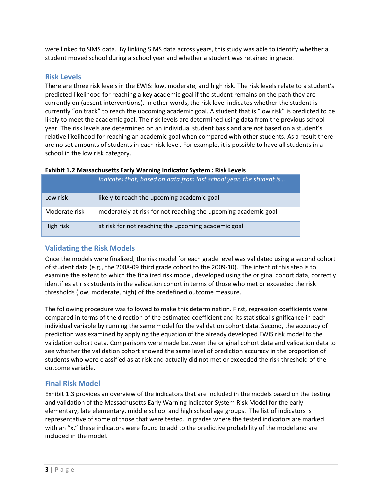were linked to SIMS data. By linking SIMS data across years, this study was able to identify whether a student moved school during a school year and whether a student was retained in grade.

# <span id="page-5-0"></span>**Risk Levels**

There are three risk levels in the EWIS: low, moderate, and high risk. The risk levels relate to a student's predicted likelihood for reaching a key academic goal if the student remains on the path they are currently on (absent interventions). In other words, the risk level indicates whether the student is currently "on track" to reach the upcoming academic goal. A student that is "low risk" is predicted to be likely to meet the academic goal. The risk levels are determined using data from the previous school year. The risk levels are determined on an individual student basis and are *not* based on a student's relative likelihood for reaching an academic goal when compared with other students. As a result there are no set amounts of students in each risk level. For example, it is possible to have all students in a school in the low risk category.

| Exhibit 1.2 Massachusetts Early Warning Indicator System : Risk Levels |
|------------------------------------------------------------------------|
|------------------------------------------------------------------------|

|               | Indicates that, based on data from last school year, the student is |
|---------------|---------------------------------------------------------------------|
| Low risk      | likely to reach the upcoming academic goal                          |
| Moderate risk | moderately at risk for not reaching the upcoming academic goal      |
| High risk     | at risk for not reaching the upcoming academic goal                 |

# <span id="page-5-1"></span>**Validating the Risk Models**

Once the models were finalized, the risk model for each grade level was validated using a second cohort of student data (e.g., the 2008-09 third grade cohort to the 2009-10). The intent of this step is to examine the extent to which the finalized risk model, developed using the original cohort data, correctly identifies at risk students in the validation cohort in terms of those who met or exceeded the risk thresholds (low, moderate, high) of the predefined outcome measure.

The following procedure was followed to make this determination. First, regression coefficients were compared in terms of the direction of the estimated coefficient and its statistical significance in each individual variable by running the same model for the validation cohort data. Second, the accuracy of prediction was examined by applying the equation of the already developed EWIS risk model to the validation cohort data. Comparisons were made between the original cohort data and validation data to see whether the validation cohort showed the same level of prediction accuracy in the proportion of students who were classified as at risk and actually did not met or exceeded the risk threshold of the outcome variable.

# <span id="page-5-2"></span>**Final Risk Model**

Exhibit 1.3 provides an overview of the indicators that are included in the models based on the testing and validation of the Massachusetts Early Warning Indicator System Risk Model for the early elementary, late elementary, middle school and high school age groups. The list of indicators is representative of some of those that were tested. In grades where the tested indicators are marked with an "x," these indicators were found to add to the predictive probability of the model and are included in the model.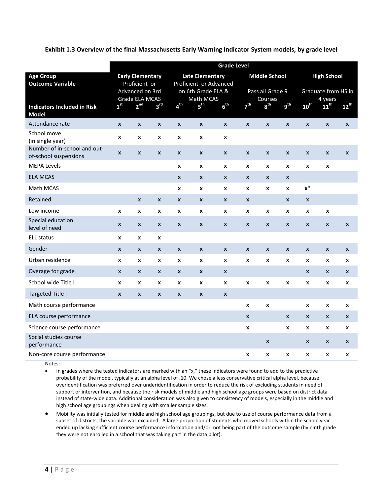**Exhibit 1.3 Overview of the final Massachusetts Early Warning Indicator System models, by grade level**

|                                                       | <b>Grade Level</b> |                                                    |                    |                  |                                                           |                    |                    |                             |                    |                    |                             |                  |
|-------------------------------------------------------|--------------------|----------------------------------------------------|--------------------|------------------|-----------------------------------------------------------|--------------------|--------------------|-----------------------------|--------------------|--------------------|-----------------------------|------------------|
| <b>Age Group</b>                                      |                    | <b>Early Elementary</b>                            |                    |                  | <b>Late Elementary</b>                                    |                    |                    | <b>Middle School</b>        |                    |                    | <b>High School</b>          |                  |
| <b>Outcome Variable</b>                               |                    | Proficient or<br>Advanced on 3rd<br>Grade ELA MCAS |                    |                  | Proficient or Advanced<br>on 6th Grade ELA &<br>Math MCAS |                    |                    | Pass all Grade 9<br>Courses |                    |                    | Graduate from HS in         |                  |
| <b>Indicators Included in Risk</b><br><b>Model</b>    | 1 <sup>st</sup>    | 2 <sup>nd</sup>                                    | 3 <sup>rd</sup>    | 4 <sup>th</sup>  | 5 <sup>th</sup>                                           | 6 <sup>th</sup>    | 7 <sup>th</sup>    | 8 <sup>th</sup>             | g <sup>th</sup>    | 10 <sup>th</sup>   | 4 years<br>11 <sup>th</sup> | $12^{th}$        |
| Attendance rate                                       | $\pmb{\chi}$       | $\boldsymbol{x}$                                   | $\pmb{\chi}$       | $\pmb{\chi}$     | $\pmb{\mathsf{x}}$                                        | $\pmb{\mathsf{x}}$ | $\pmb{\mathsf{x}}$ | $\pmb{\chi}$                | $\mathbf{x}$       | $\pmb{\times}$     | $\pmb{\mathsf{x}}$          | $\pmb{\chi}$     |
| School move<br>(in single year)                       | $\pmb{\chi}$       | $\pmb{\chi}$                                       | $\pmb{\chi}$       | X                | X                                                         | x                  |                    |                             |                    |                    |                             |                  |
| Number of in-school and out-<br>of-school suspensions | $\pmb{\chi}$       | $\pmb{\chi}$                                       | $\pmb{\chi}$       | $\boldsymbol{x}$ | $\pmb{\mathsf{x}}$                                        | $\boldsymbol{x}$   | $\boldsymbol{x}$   | $\boldsymbol{x}$            | $\boldsymbol{x}$   | $\pmb{\chi}$       | $\pmb{\mathsf{x}}$          | $\boldsymbol{x}$ |
| <b>MEPA Levels</b>                                    |                    |                                                    |                    | X                | $\pmb{\mathsf{x}}$                                        | x                  | X                  | X                           | X                  | $\boldsymbol{x}$   | X                           |                  |
| <b>ELA MCAS</b>                                       |                    |                                                    |                    | $\pmb{\chi}$     | $\pmb{\mathsf{x}}$                                        | $\boldsymbol{x}$   | $\pmb{\mathsf{x}}$ | $\boldsymbol{x}$            | $\pmb{\mathsf{x}}$ |                    |                             |                  |
| Math MCAS                                             |                    |                                                    |                    | X                | $\pmb{\mathsf{x}}$                                        | x                  | X                  | X                           | X                  | $x^*$              |                             |                  |
| Retained                                              |                    | $\pmb{\mathsf{x}}$                                 | $\pmb{\mathsf{x}}$ | $\pmb{\chi}$     | $\pmb{\mathsf{x}}$                                        | $\boldsymbol{x}$   | $\boldsymbol{x}$   |                             | $\pmb{\mathsf{x}}$ | $\pmb{\chi}$       |                             |                  |
| Low income                                            | X                  | $\pmb{\chi}$                                       | $\pmb{\chi}$       | X                | X                                                         | x                  | X                  | $\pmb{\mathsf{x}}$          | X                  | X                  | X                           |                  |
| Special education<br>level of need                    | $\pmb{\mathsf{x}}$ | $\pmb{\chi}$                                       | $\boldsymbol{x}$   | $\boldsymbol{x}$ | $\pmb{\mathsf{x}}$                                        | X                  | X                  | $\boldsymbol{x}$            | $\boldsymbol{x}$   | $\pmb{\mathsf{x}}$ | $\pmb{\mathsf{x}}$          | $\boldsymbol{x}$ |
| <b>ELL status</b>                                     | X                  | X                                                  | X                  |                  |                                                           |                    |                    |                             |                    |                    |                             |                  |
| Gender                                                | $\pmb{\chi}$       | $\pmb{\chi}$                                       | $\pmb{\mathsf{x}}$ | $\pmb{\chi}$     | $\pmb{\chi}$                                              | $\pmb{\mathsf{x}}$ | $\pmb{\mathsf{x}}$ | $\pmb{\chi}$                | $\pmb{\chi}$       | $\pmb{\mathsf{x}}$ | $\pmb{\mathsf{x}}$          | $\boldsymbol{x}$ |
| Urban residence                                       | X                  | $\boldsymbol{x}$                                   | X                  | X                | X                                                         | x                  | X                  | X                           | X                  | X                  | X                           | X                |
| Overage for grade                                     | $\pmb{\chi}$       | $\pmb{\chi}$                                       | $\pmb{\chi}$       | $\pmb{\chi}$     | $\pmb{\mathsf{x}}$                                        | $\boldsymbol{x}$   |                    |                             |                    | $\pmb{\chi}$       | $\pmb{\mathsf{x}}$          | X                |
| School wide Title I                                   | X                  | X                                                  | X                  | X                | $\pmb{\mathsf{x}}$                                        | X                  | x                  | X                           | X                  | X                  | X                           | X                |
| <b>Targeted Title I</b>                               | $\boldsymbol{x}$   | $\mathbf{x}$                                       | $\pmb{\chi}$       | $\pmb{\chi}$     | $\pmb{\mathsf{x}}$                                        | $\pmb{\mathsf{x}}$ |                    |                             |                    |                    |                             |                  |
| Math course performance                               |                    |                                                    |                    |                  |                                                           |                    | X                  | $\pmb{\times}$              |                    | X                  | X                           | X                |
| ELA course performance                                |                    |                                                    |                    |                  |                                                           |                    | $\mathbf{x}$       |                             | $\boldsymbol{x}$   | $\pmb{\mathsf{x}}$ | $\pmb{\mathsf{x}}$          | $\boldsymbol{x}$ |
| Science course performance                            |                    |                                                    |                    |                  |                                                           |                    | x                  |                             | X                  | $\boldsymbol{x}$   | X                           | x                |
| Social studies course<br>performance                  |                    |                                                    |                    |                  |                                                           |                    |                    | $\boldsymbol{x}$            |                    | $\boldsymbol{x}$   | X                           | $\boldsymbol{x}$ |
| Non-core course performance                           |                    |                                                    |                    |                  |                                                           |                    | X                  | X                           | X                  | X                  | X                           | X                |

Notes:

• In grades where the tested indicators are marked with an "x," these indicators were found to add to the predictive probability of the model, typically at an alpha level of .10. We chose a less conservative critical alpha level, because overidentification was preferred over underidentification in order to reduce the risk of excluding students in need of support or intervention, and because the risk models of middle and high school age groups were based on district data instead of state-wide data. Additional consideration was also given to consistency of models, especially in the middle and high school age groupings when dealing with smaller sample sizes.

• Mobility was initially tested for middle and high school age groupings, but due to use of course performance data from a subset of districts, the variable was excluded. A large proportion of students who moved schools within the school year ended up lacking sufficient course performance information and/or not being part of the outcome sample (by ninth grade they were not enrolled in a school that was taking part in the data pilot).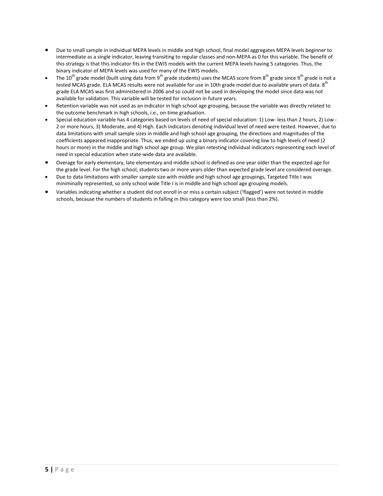- Due to small sample in individual MEPA levels in middle and high school, final model aggregates MEPA levels beginner to intermediate as a single indicator, leaving transiting to regular classes and non-MEPA as 0 for this variable. The benefit of this strategy is that this indicator fits in the EWIS models with the current MEPA levels having 5 categories. Thus, the binary indicator of MEPA levels was used for many of the EWIS models.
- The 10<sup>th</sup> grade model (built using data from 9<sup>th</sup> grade students) uses the MCAS score from 8<sup>th</sup> grade since 9<sup>th</sup> grade is not a tested MCAS grade. ELA MCAS results were not available for use in 10th grade model due to available years of data. 8<sup>th</sup> grade ELA MCAS was first administered in 2006 and so could not be used in developing the model since data was not available for validation. This variable will be tested for inclusion in future years.
- Retention variable was not used as an indicator in high school age grouping, because the variable was directly related to the outcome benchmark in high schools, i.e., on-time graduation.
- Special education variable has 4 categories based on levels of need of special education: 1) Low- less than 2 hours, 2) Low 2 or more hours, 3) Moderate, and 4) High. Each indicators denoting individual level of need were tested. However, due to data limitations with small sample sizes in middle and high school age grouping, the directions and magnitudes of the coefficients appeared inappropriate. Thus, we ended up using a binary indicator covering low to high levels of need (2 hours or more) in the middle and high school age group. We plan retesting individual indicators representing each level of need in special education when state-wide data are available.
- Overage for early elementary, late elementary and middle school is defined as one year older than the expected age for the grade level. For the high school, students two or more years older than expected grade level are considered overage.
- Due to data limitations with smaller sample size with middle and high school age groupings, Targeted Title I was miniminally represented, so only school wide Title I is in middle and high school age grouping models.
- Variables indicating whether a student did not enroll in or miss a certain subject ('flagged') were not tested in middle schools, because the numbers of students in falling in this category were too small (less than 2%).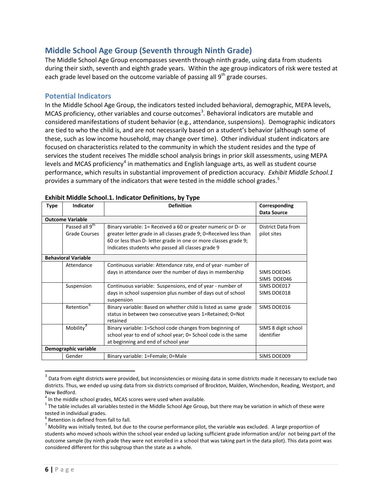# <span id="page-8-0"></span>**Middle School Age Group (Seventh through Ninth Grade)**

The Middle School Age Group encompasses seventh through ninth grade, using data from students during their sixth, seventh and eighth grade years. Within the age group indicators of risk were tested at each grade level based on the outcome variable of passing all  $9<sup>th</sup>$  grade courses.

### <span id="page-8-1"></span>**Potential Indicators**

In the Middle School Age Group, the indicators tested included behavioral, demographic, MEPA levels, MCAS proficiency, other variables and course outcomes<sup>[3](#page-8-2)</sup>. Behavioral indicators are mutable and considered manifestations of student behavior (e.g., attendance, suspensions). Demographic indicators are tied to who the child is, and are not necessarily based on a student's behavior (although some of these, such as low income household, may change over time). Other individual student indicators are focused on characteristics related to the community in which the student resides and the type of services the student receives The middle school analysis brings in prior skill assessments, using MEPA levels and MCAS proficiency<sup>[4](#page-8-3)</sup> in mathematics and English language arts, as well as student course performance, which results in substantial improvement of prediction accuracy. *Exhibit Middle School.1* provides a summary of the indicators that were tested in the middle school grades.<sup>[5](#page-8-4)</sup>

| <b>Type</b> | <b>Indicator</b>                                   | <b>Definition</b>                                                                                                                                                                                                                                          | Corresponding                            |
|-------------|----------------------------------------------------|------------------------------------------------------------------------------------------------------------------------------------------------------------------------------------------------------------------------------------------------------------|------------------------------------------|
|             |                                                    |                                                                                                                                                                                                                                                            | <b>Data Source</b>                       |
|             | <b>Outcome Variable</b>                            |                                                                                                                                                                                                                                                            |                                          |
|             | Passed all 9 <sup>th</sup><br><b>Grade Courses</b> | Binary variable: 1= Received a 60 or greater numeric or D- or<br>greater letter grade in all classes grade 9; 0=Received less than<br>60 or less than D- letter grade in one or more classes grade 9;<br>Indicates students who passed all classes grade 9 | <b>District Data from</b><br>pilot sites |
|             | <b>Behavioral Variable</b>                         |                                                                                                                                                                                                                                                            |                                          |
|             | Attendance                                         | Continuous variable: Attendance rate, end of year- number of                                                                                                                                                                                               |                                          |
|             |                                                    | days in attendance over the number of days in membership                                                                                                                                                                                                   | SIMS DOE045                              |
|             |                                                    |                                                                                                                                                                                                                                                            | SIMS DOE046                              |
|             | Suspension                                         | Continuous variable: Suspensions, end of year - number of                                                                                                                                                                                                  | SIMS DOE017                              |
|             |                                                    | days in school suspension plus number of days out of school<br>suspension                                                                                                                                                                                  | SIMS DOE018                              |
|             | Retention <sup>6</sup>                             | Binary variable: Based on whether child is listed as same grade                                                                                                                                                                                            | SIMS DOE016                              |
|             |                                                    | status in between two consecutive years 1=Retained; 0=Not<br>retained                                                                                                                                                                                      |                                          |
|             | Mobility <sup>'</sup>                              | Binary variable: 1=School code changes from beginning of                                                                                                                                                                                                   | SIMS 8 digit school                      |
|             |                                                    | school year to end of school year; 0= School code is the same                                                                                                                                                                                              | identifier                               |
|             |                                                    | at beginning and end of school year                                                                                                                                                                                                                        |                                          |
|             | Demographic variable                               |                                                                                                                                                                                                                                                            |                                          |
|             | Gender                                             | Binary variable: 1=Female; 0=Male                                                                                                                                                                                                                          | SIMS DOE009                              |

### **Exhibit Middle School.1. Indicator Definitions, by Type**

<span id="page-8-2"></span> $3$  Data from eight districts were provided, but inconsistencies or missing data in some districts made it necessary to exclude two districts. Thus, we ended up using data from six districts comprised of Brockton, Malden, Winchendon, Reading, Westport, and New Bedford.<br><sup>4</sup> In the middle school grades, MCAS scores were used when available.

<span id="page-8-4"></span><span id="page-8-3"></span> $5$  The table includes all variables tested in the Middle School Age Group, but there may be variation in which of these were tested in individual grades.<br><sup>6</sup> Retention is defined from fall to fall.

<span id="page-8-6"></span><span id="page-8-5"></span> $^7$  Mobility was initially tested, but due to the course performance pilot, the variable was excluded. A large proportion of students who moved schools within the school year ended up lacking sufficient grade information and/or not being part of the outcome sample (by ninth grade they were not enrolled in a school that was taking part in the data pilot). This data point was considered different for this subgroup than the state as a whole.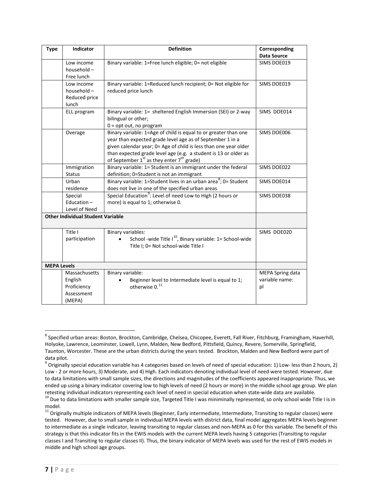| <b>Type</b>        | Indicator                                                       | <b>Definition</b>                                                                                                                                                                                                                                                                                                          | Corresponding<br><b>Data Source</b>      |
|--------------------|-----------------------------------------------------------------|----------------------------------------------------------------------------------------------------------------------------------------------------------------------------------------------------------------------------------------------------------------------------------------------------------------------------|------------------------------------------|
|                    | Low income<br>household-<br>Free lunch                          | Binary variable: 1=Free lunch eligible; 0= not eligible                                                                                                                                                                                                                                                                    | SIMS DOE019                              |
|                    | Low income<br>household-<br>Reduced price<br>lunch              | Binary variable: 1=Reduced lunch recipient; 0= Not eligible for<br>reduced price lunch                                                                                                                                                                                                                                     | SIMS DOE019                              |
|                    | ELL program                                                     | Binary variable: 1= sheltered English Immersion (SEI) or 2-way<br>bilingual or other;<br>$0 = opt out$ , no program                                                                                                                                                                                                        | SIMS DOE014                              |
|                    | Overage                                                         | Binary variable: 1=Age of child is equal to or greater than one<br>year than expected grade level age as of September 1 in a<br>given calendar year; 0= Age of child is less than one year older<br>than expected grade level age (e.g. a student is 13 or older as<br>of September $1^{st}$ as they enter $7^{th}$ grade) | SIMS DOE006                              |
|                    | Immigration<br><b>Status</b>                                    | Binary variable: 1= Student is an immigrant under the federal<br>definition; 0=Student is not an immigrant                                                                                                                                                                                                                 | SIMS DOE022                              |
|                    | Urban<br>residence                                              | Binary variable: 1=Student lives in an urban area <sup>8</sup> ; 0= Student<br>does not live in one of the specified urban areas                                                                                                                                                                                           | SIMS DOE014                              |
|                    | Special<br>Education $-$<br>Level of Need                       | Special Education <sup>9</sup> : Level of need Low to High (2 hours or<br>more) is equal to 1; otherwise 0.                                                                                                                                                                                                                | SIMS DOE038                              |
|                    | <b>Other Individual Student Variable</b>                        |                                                                                                                                                                                                                                                                                                                            |                                          |
|                    | Title I<br>participation                                        | Binary variables:<br>School -wide Title $I^{10}$ , Binary variable: 1= School-wide<br>Title I; 0= Not school-wide Title I                                                                                                                                                                                                  | SIMS DOE020                              |
| <b>MEPA Levels</b> |                                                                 |                                                                                                                                                                                                                                                                                                                            |                                          |
|                    | Massachusetts<br>English<br>Proficiency<br>Assessment<br>(MEPA) | Binary variable:<br>Beginner level to Intermediate level is equal to 1;<br>otherwise 0. <sup>11</sup>                                                                                                                                                                                                                      | MEPA Spring data<br>variable name:<br>pl |

<span id="page-9-0"></span><sup>&</sup>lt;sup>8</sup> Specified urban areas: Boston, Brockton, Cambridge, Chelsea, Chicopee, Everett, Fall River, Fitchburg, Framingham, Haverhill, Holyoke, Lawrence, Leominster, Lowell, Lynn, Malden, New Bedford, Pittsfield, Quincy, Revere, Somerville, Springfield, Taunton, Worcester. These are the urban districts during the years tested. Brockton, Malden and New Bedford were part of data pilot.

<span id="page-9-1"></span> $9$  Originally special education variable has 4 categories based on levels of need of special education: 1) Low- less than 2 hours, 2) Low - 2 or more hours, 3) Moderate, and 4) High. Each indicators denoting individual level of need were tested. However, due to data limitations with small sample sizes, the directions and magnitudes of the coefficients appeared inappropriate. Thus, we ended up using a binary indicator covering low to high levels of need (2 hours or more) in the middle school age group. We plan retesting individual indicators representing each level of need in special education when stat

<span id="page-9-2"></span><sup>&</sup>lt;sup>10</sup> Due to data limitations with smaller sample size, Targeted Title I was miniminally represented, so only school wide Title I is in model.

<span id="page-9-3"></span> $11$  Originally multiple indicators of MEPA levels (Beginner, Early intermediate, Intermediate, Transiting to regular classes) were tested. However, due to small sample in individual MEPA levels with district data, final model aggregates MEPA levels beginner to intermediate as a single indicator, leaving transiting to regular classes and non-MEPA as 0 for this variable. The benefit of this strategy is that this indicator fits in the EWIS models with the current MEPA levels having 5 categories (Transiting to regular classes I and Transiting to regular classes II). Thus, the binary indicator of MEPA levels was used for the rest of EWIS models in middle and high school age groups.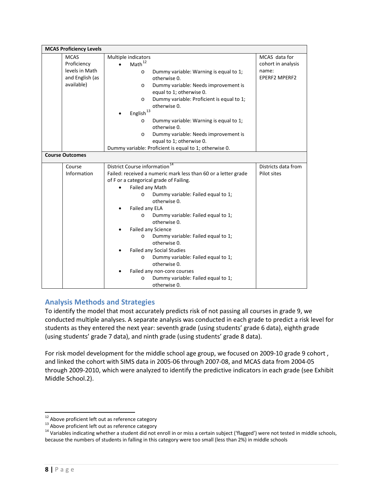| <b>MCAS Proficiency Levels</b> |                                                                |                      |
|--------------------------------|----------------------------------------------------------------|----------------------|
| <b>MCAS</b>                    | Multiple indicators                                            | MCAS data for        |
| Proficiency                    | $\mathsf{Math}^{\mathsf{12}}$                                  | cohort in analysis   |
| levels in Math                 | Dummy variable: Warning is equal to 1;<br>$\circ$              | name:                |
| and English (as                | otherwise 0.                                                   | <b>EPERF2 MPERF2</b> |
| available)                     | Dummy variable: Needs improvement is<br>$\circ$                |                      |
|                                | equal to 1; otherwise 0.                                       |                      |
|                                | Dummy variable: Proficient is equal to 1;<br>$\circ$           |                      |
|                                | otherwise 0.                                                   |                      |
|                                | $\mathsf{English}^{\mathsf{13}}$                               |                      |
|                                | Dummy variable: Warning is equal to 1;<br>$\circ$              |                      |
|                                | otherwise 0.                                                   |                      |
|                                | Dummy variable: Needs improvement is<br>$\Omega$               |                      |
|                                | equal to 1; otherwise 0.                                       |                      |
|                                | Dummy variable: Proficient is equal to 1; otherwise 0.         |                      |
| <b>Course Outcomes</b>         |                                                                |                      |
| Course                         | District Course information <sup>14</sup>                      | Districts data from  |
| Information                    | Failed: received a numeric mark less than 60 or a letter grade | Pilot sites          |
|                                | of F or a categorical grade of Failing.                        |                      |
|                                | Failed any Math                                                |                      |
|                                | Dummy variable: Failed equal to 1;<br>$\circ$                  |                      |
|                                | otherwise 0.                                                   |                      |
|                                | Failed any ELA                                                 |                      |
|                                | Dummy variable: Failed equal to 1;<br>$\circ$                  |                      |
|                                | otherwise 0.                                                   |                      |
|                                | Failed any Science                                             |                      |
|                                | Dummy variable: Failed equal to 1;<br>$\circ$                  |                      |
|                                | otherwise 0.                                                   |                      |
|                                | Failed any Social Studies                                      |                      |
|                                | Dummy variable: Failed equal to 1;<br>$\circ$                  |                      |
|                                | otherwise 0.                                                   |                      |
|                                | Failed any non-core courses                                    |                      |
|                                | Dummy variable: Failed equal to 1;<br>$\circ$                  |                      |
|                                | otherwise 0.                                                   |                      |

# <span id="page-10-0"></span>**Analysis Methods and Strategies**

To identify the model that most accurately predicts risk of not passing all courses in grade 9, we conducted multiple analyses. A separate analysis was conducted in each grade to predict a risk level for students as they entered the next year: seventh grade (using students' grade 6 data), eighth grade (using students' grade 7 data), and ninth grade (using students' grade 8 data).

For risk model development for the middle school age group, we focused on 2009-10 grade 9 cohort , and linked the cohort with SIMS data in 2005-06 through 2007-08, and MCAS data from 2004-05 through 2009-2010, which were analyzed to identify the predictive indicators in each grade (see Exhibit Middle School.2).

<span id="page-10-3"></span><span id="page-10-2"></span>

<span id="page-10-1"></span><sup>&</sup>lt;sup>12</sup> Above proficient left out as reference category<br><sup>13</sup> Above proficient left out as reference category<br><sup>14</sup> Variables indicating whether a student did not enroll in or miss a certain subject ('flagged') were not tested because the numbers of students in falling in this category were too small (less than 2%) in middle schools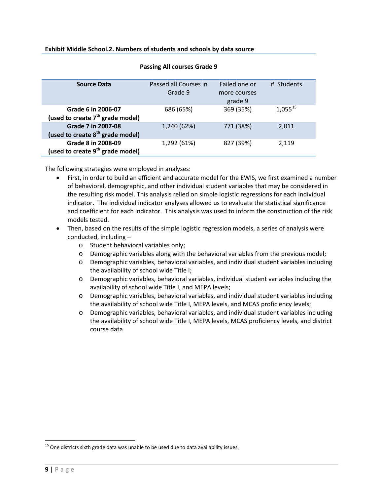| <b>Source Data</b>                                                 | Passed all Courses in<br>Grade 9 | Failed one or<br>more courses<br>grade 9 | # Students   |
|--------------------------------------------------------------------|----------------------------------|------------------------------------------|--------------|
| Grade 6 in 2006-07<br>(used to create 7 <sup>th</sup> grade model) | 686 (65%)                        | 369 (35%)                                | $1,055^{15}$ |
| Grade 7 in 2007-08<br>(used to create 8 <sup>th</sup> grade model) | 1,240 (62%)                      | 771 (38%)                                | 2,011        |
| Grade 8 in 2008-09<br>(used to create 9 <sup>th</sup> grade model) | 1,292 (61%)                      | 827 (39%)                                | 2,119        |

### **Passing All courses Grade 9**

The following strategies were employed in analyses:

- First, in order to build an efficient and accurate model for the EWIS, we first examined a number of behavioral, demographic, and other individual student variables that may be considered in the resulting risk model. This analysis relied on simple logistic regressions for each individual indicator. The individual indicator analyses allowed us to evaluate the statistical significance and coefficient for each indicator. This analysis was used to inform the construction of the risk models tested.
- Then, based on the results of the simple logistic regression models, a series of analysis were conducted, including –
	- o Student behavioral variables only;
	- o Demographic variables along with the behavioral variables from the previous model;
	- o Demographic variables, behavioral variables, and individual student variables including the availability of school wide Title I;
	- o Demographic variables, behavioral variables, individual student variables including the availability of school wide Title I, and MEPA levels;
	- o Demographic variables, behavioral variables, and individual student variables including the availability of school wide Title I, MEPA levels, and MCAS proficiency levels;
	- o Demographic variables, behavioral variables, and individual student variables including the availability of school wide Title I, MEPA levels, MCAS proficiency levels, and district course data

<span id="page-11-0"></span> $15$  One districts sixth grade data was unable to be used due to data availability issues.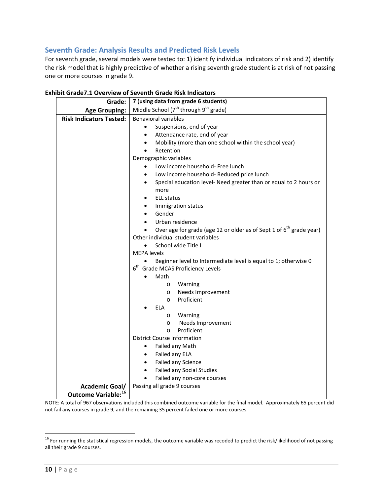# <span id="page-12-0"></span>**Seventh Grade: Analysis Results and Predicted Risk Levels**

For seventh grade, several models were tested to: 1) identify individual indicators of risk and 2) identify the risk model that is highly predictive of whether a rising seventh grade student is at risk of not passing one or more courses in grade 9.

| Grade:                          | 7 (using data from grade 6 students)                                                                                       |  |  |  |  |  |
|---------------------------------|----------------------------------------------------------------------------------------------------------------------------|--|--|--|--|--|
| <b>Age Grouping:</b>            | Middle School $(7^{th}$ through $9^{th}$ grade)                                                                            |  |  |  |  |  |
| <b>Risk Indicators Tested:</b>  | <b>Behavioral variables</b>                                                                                                |  |  |  |  |  |
|                                 | Suspensions, end of year                                                                                                   |  |  |  |  |  |
|                                 | Attendance rate, end of year                                                                                               |  |  |  |  |  |
|                                 | Mobility (more than one school within the school year)                                                                     |  |  |  |  |  |
|                                 | Retention                                                                                                                  |  |  |  |  |  |
|                                 | Demographic variables                                                                                                      |  |  |  |  |  |
|                                 | Low income household- Free lunch                                                                                           |  |  |  |  |  |
|                                 | Low income household- Reduced price lunch                                                                                  |  |  |  |  |  |
|                                 | Special education level- Need greater than or equal to 2 hours or                                                          |  |  |  |  |  |
|                                 | more                                                                                                                       |  |  |  |  |  |
|                                 | <b>ELL status</b>                                                                                                          |  |  |  |  |  |
|                                 | Immigration status                                                                                                         |  |  |  |  |  |
|                                 | Gender                                                                                                                     |  |  |  |  |  |
|                                 | Urban residence                                                                                                            |  |  |  |  |  |
|                                 | Over age for grade (age 12 or older as of Sept 1 of 6 <sup>th</sup> grade year)                                            |  |  |  |  |  |
|                                 | Other individual student variables                                                                                         |  |  |  |  |  |
|                                 | School wide Title I<br><b>MEPA</b> levels                                                                                  |  |  |  |  |  |
|                                 |                                                                                                                            |  |  |  |  |  |
|                                 | Beginner level to Intermediate level is equal to 1; otherwise 0<br>6 <sup>th</sup><br><b>Grade MCAS Proficiency Levels</b> |  |  |  |  |  |
|                                 | Math                                                                                                                       |  |  |  |  |  |
|                                 | Warning<br>$\circ$                                                                                                         |  |  |  |  |  |
|                                 | Needs Improvement<br>$\circ$                                                                                               |  |  |  |  |  |
|                                 | Proficient<br>$\circ$                                                                                                      |  |  |  |  |  |
|                                 | <b>ELA</b>                                                                                                                 |  |  |  |  |  |
|                                 | Warning<br>$\circ$                                                                                                         |  |  |  |  |  |
|                                 | Needs Improvement<br>$\circ$                                                                                               |  |  |  |  |  |
|                                 | Proficient<br>$\circ$                                                                                                      |  |  |  |  |  |
|                                 | District Course information                                                                                                |  |  |  |  |  |
|                                 | Failed any Math<br>٠                                                                                                       |  |  |  |  |  |
|                                 | Failed any ELA                                                                                                             |  |  |  |  |  |
|                                 | Failed any Science                                                                                                         |  |  |  |  |  |
|                                 | <b>Failed any Social Studies</b>                                                                                           |  |  |  |  |  |
|                                 | Failed any non-core courses                                                                                                |  |  |  |  |  |
| <b>Academic Goal/</b>           | Passing all grade 9 courses                                                                                                |  |  |  |  |  |
| Outcome Variable: <sup>16</sup> |                                                                                                                            |  |  |  |  |  |

### **Exhibit Grade7.1 Overview of Seventh Grade Risk Indicators**

NOTE: A total of 967 observations included this combined outcome variable for the final model. Approximately 65 percent did not fail any courses in grade 9, and the remaining 35 percent failed one or more courses.

<span id="page-12-1"></span> $16$  For running the statistical regression models, the outcome variable was recoded to predict the risk/likelihood of not passing all their grade 9 courses.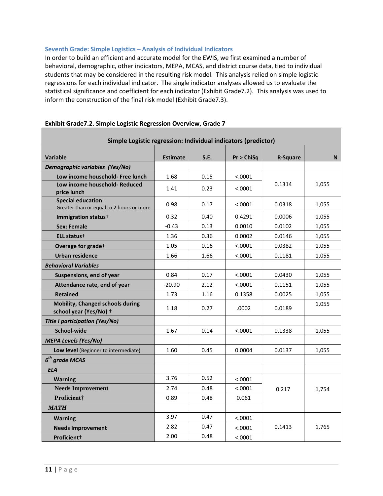### <span id="page-13-0"></span>**Seventh Grade: Simple Logistics – Analysis of Individual Indicators**

In order to build an efficient and accurate model for the EWIS, we first examined a number of behavioral, demographic, other indicators, MEPA, MCAS, and district course data, tied to individual students that may be considered in the resulting risk model. This analysis relied on simple logistic regressions for each individual indicator. The single indicator analyses allowed us to evaluate the statistical significance and coefficient for each indicator (Exhibit Grade7.2). This analysis was used to inform the construction of the final risk model (Exhibit Grade7.3).

| Simple Logistic regression: Individual indicators (predictor)         |                 |      |            |                 |       |
|-----------------------------------------------------------------------|-----------------|------|------------|-----------------|-------|
| <b>Variable</b>                                                       | <b>Estimate</b> | S.E. | Pr > ChiSq |                 |       |
| Demographic variables (Yes/No)                                        |                 |      |            | <b>R-Square</b> | N.    |
| Low income household- Free lunch                                      | 1.68            | 0.15 | < .0001    |                 |       |
| Low income household- Reduced<br>price lunch                          | 1.41            | 0.23 | < .0001    | 0.1314          | 1,055 |
| <b>Special education:</b><br>Greater than or equal to 2 hours or more | 0.98            | 0.17 | < .0001    | 0.0318          | 1,055 |
| Immigration status <sup>+</sup>                                       | 0.32            | 0.40 | 0.4291     | 0.0006          | 1,055 |
| <b>Sex: Female</b>                                                    | $-0.43$         | 0.13 | 0.0010     | 0.0102          | 1,055 |
| ELL status <sup>+</sup>                                               | 1.36            | 0.36 | 0.0002     | 0.0146          | 1,055 |
| Overage for gradet                                                    | 1.05            | 0.16 | < .0001    | 0.0382          | 1,055 |
| <b>Urban residence</b>                                                | 1.66            | 1.66 | < .0001    | 0.1181          | 1,055 |
| <b>Behavioral Variables</b>                                           |                 |      |            |                 |       |
| Suspensions, end of year                                              | 0.84            | 0.17 | < .0001    | 0.0430          | 1,055 |
| Attendance rate, end of year                                          | $-20.90$        | 2.12 | < .0001    | 0.1151          | 1,055 |
| <b>Retained</b>                                                       | 1.73            | 1.16 | 0.1358     | 0.0025          | 1,055 |
| <b>Mobility, Changed schools during</b><br>school year (Yes/No) +     | 1.18            | 0.27 | .0002      | 0.0189          | 1,055 |
| <b>Title I participation (Yes/No)</b>                                 |                 |      |            |                 |       |
| School-wide                                                           | 1.67            | 0.14 | < .0001    | 0.1338          | 1,055 |
| <b>MEPA Levels (Yes/No)</b>                                           |                 |      |            |                 |       |
| Low level (Beginner to intermediate)                                  | 1.60            | 0.45 | 0.0004     | 0.0137          | 1,055 |
| $6th$ grade MCAS                                                      |                 |      |            |                 |       |
| <b>ELA</b>                                                            |                 |      |            |                 |       |
| <b>Warning</b>                                                        | 3.76            | 0.52 | < .0001    |                 |       |
| <b>Needs Improvement</b>                                              | 2.74            | 0.48 | < .0001    | 0.217           | 1,754 |
| Proficient†                                                           | 0.89            | 0.48 | 0.061      |                 |       |
| <b>MATH</b>                                                           |                 |      |            |                 |       |
| <b>Warning</b>                                                        | 3.97            | 0.47 | < .0001    |                 |       |
| <b>Needs Improvement</b>                                              | 2.82            | 0.47 | < .0001    | 0.1413          | 1,765 |
| Proficient <sup>+</sup>                                               | 2.00            | 0.48 | < .0001    |                 |       |

### **Exhibit Grade7.2. Simple Logistic Regression Overview, Grade 7**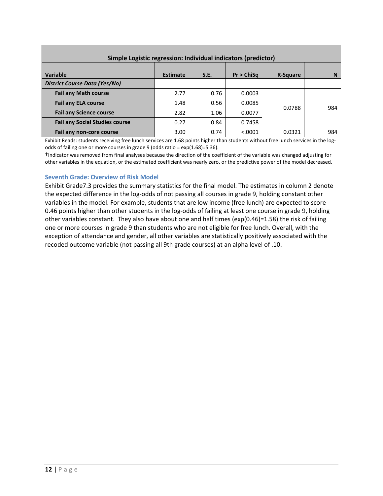| Simple Logistic regression: Individual indicators (predictor) |                 |      |            |          |     |
|---------------------------------------------------------------|-----------------|------|------------|----------|-----|
| Variable                                                      | <b>Estimate</b> | S.E. | Pr > ChiSa | R-Square | N   |
| <b>District Course Data (Yes/No)</b>                          |                 |      |            |          |     |
| <b>Fail any Math course</b>                                   | 2.77            | 0.76 | 0.0003     |          |     |
| <b>Fail any ELA course</b>                                    | 1.48            | 0.56 | 0.0085     | 0.0788   | 984 |
| <b>Fail any Science course</b>                                | 2.82            | 1.06 | 0.0077     |          |     |
| <b>Fail any Social Studies course</b>                         | 0.27            | 0.84 | 0.7458     |          |     |
| Fail any non-core course                                      | 3.00            | 0.74 | < .0001    | 0.0321   | 984 |

Exhibit Reads: students receiving free lunch services are 1.68 points higher than students without free lunch services in the logodds of failing one or more courses in grade 9 (odds ratio = exp(1.68)=5.36).

†Indicator was removed from final analyses because the direction of the coefficient of the variable was changed adjusting for other variables in the equation, or the estimated coefficient was nearly zero, or the predictive power of the model decreased.

### <span id="page-14-0"></span>**Seventh Grade: Overview of Risk Model**

Exhibit Grade7.3 provides the summary statistics for the final model. The estimates in column 2 denote the expected difference in the log-odds of not passing all courses in grade 9, holding constant other variables in the model. For example, students that are low income (free lunch) are expected to score 0.46 points higher than other students in the log-odds of failing at least one course in grade 9, holding other variables constant. They also have about one and half times (exp(0.46)=1.58) the risk of failing one or more courses in grade 9 than students who are not eligible for free lunch. Overall, with the exception of attendance and gender, all other variables are statistically positively associated with the recoded outcome variable (not passing all 9th grade courses) at an alpha level of .10.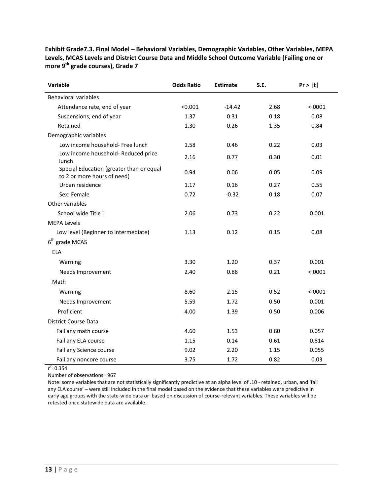| Variable                                                                | <b>Odds Ratio</b> | <b>Estimate</b> | S.E. | Pr >  t |
|-------------------------------------------------------------------------|-------------------|-----------------|------|---------|
| Behavioral variables                                                    |                   |                 |      |         |
| Attendance rate, end of year                                            | < 0.001           | $-14.42$        | 2.68 | < .0001 |
| Suspensions, end of year                                                | 1.37              | 0.31            | 0.18 | 0.08    |
| Retained                                                                | 1.30              | 0.26            | 1.35 | 0.84    |
| Demographic variables                                                   |                   |                 |      |         |
| Low income household- Free lunch                                        | 1.58              | 0.46            | 0.22 | 0.03    |
| Low income household- Reduced price<br>lunch                            | 2.16              | 0.77            | 0.30 | 0.01    |
| Special Education (greater than or equal<br>to 2 or more hours of need) | 0.94              | 0.06            | 0.05 | 0.09    |
| Urban residence                                                         | 1.17              | 0.16            | 0.27 | 0.55    |
| Sex: Female                                                             | 0.72              | $-0.32$         | 0.18 | 0.07    |
| Other variables                                                         |                   |                 |      |         |
| School wide Title I                                                     | 2.06              | 0.73            | 0.22 | 0.001   |
| <b>MEPA Levels</b>                                                      |                   |                 |      |         |
| Low level (Beginner to intermediate)                                    | 1.13              | 0.12            | 0.15 | 0.08    |
| $6th$ grade MCAS                                                        |                   |                 |      |         |
| <b>ELA</b>                                                              |                   |                 |      |         |
| Warning                                                                 | 3.30              | 1.20            | 0.37 | 0.001   |
| Needs Improvement                                                       | 2.40              | 0.88            | 0.21 | < .0001 |
| Math                                                                    |                   |                 |      |         |
| Warning                                                                 | 8.60              | 2.15            | 0.52 | < .0001 |
| Needs Improvement                                                       | 5.59              | 1.72            | 0.50 | 0.001   |
| Proficient                                                              | 4.00              | 1.39            | 0.50 | 0.006   |
| <b>District Course Data</b>                                             |                   |                 |      |         |
| Fail any math course                                                    | 4.60              | 1.53            | 0.80 | 0.057   |
| Fail any ELA course                                                     | 1.15              | 0.14            | 0.61 | 0.814   |
| Fail any Science course                                                 | 9.02              | 2.20            | 1.15 | 0.055   |
| Fail any noncore course                                                 | 3.75              | 1.72            | 0.82 | 0.03    |

**Exhibit Grade7.3. Final Model – Behavioral Variables, Demographic Variables, Other Variables, MEPA Levels, MCAS Levels and District Course Data and Middle School Outcome Variable (Failing one or more 9th grade courses), Grade 7**

 $r^2$ =0.354

Number of observations= 967

<span id="page-15-0"></span>Note: some variables that are not statistically significantly predictive at an alpha level of .10 - retained, urban, and 'fail any ELA course' – were still included in the final model based on the evidence that these variables were predictive in early age groups with the state-wide data or based on discussion of course-relevant variables. These variables will be retested once statewide data are available.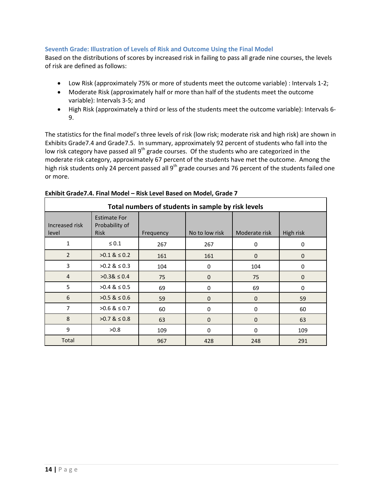### **Seventh Grade: Illustration of Levels of Risk and Outcome Using the Final Model**

Based on the distributions of scores by increased risk in failing to pass all grade nine courses, the levels of risk are defined as follows:

- Low Risk (approximately 75% or more of students meet the outcome variable) : Intervals 1-2;
- Moderate Risk (approximately half or more than half of the students meet the outcome variable): Intervals 3-5; and
- High Risk (approximately a third or less of the students meet the outcome variable): Intervals 6- 9.

The statistics for the final model's three levels of risk (low risk; moderate risk and high risk) are shown in Exhibits Grade7.4 and Grade7.5. In summary, approximately 92 percent of students who fall into the low risk category have passed all  $9<sup>th</sup>$  grade courses. Of the students who are categorized in the moderate risk category, approximately 67 percent of the students have met the outcome. Among the high risk students only 24 percent passed all 9<sup>th</sup> grade courses and 76 percent of the students failed one or more.

| Total numbers of students in sample by risk levels |                                                      |           |                |               |              |
|----------------------------------------------------|------------------------------------------------------|-----------|----------------|---------------|--------------|
| Increased risk<br>level                            | <b>Estimate For</b><br>Probability of<br><b>Risk</b> | Frequency | No to low risk | Moderate risk | High risk    |
| 1                                                  | $\leq 0.1$                                           | 267       | 267            | 0             | 0            |
| $\overline{2}$                                     | $>0.1$ & $\leq 0.2$                                  | 161       | 161            | $\mathbf 0$   | $\mathbf 0$  |
| 3                                                  | $>0.2$ & $\leq 0.3$                                  | 104       | 0              | 104           | 0            |
| $\overline{4}$                                     | $>0.38 \le 0.4$                                      | 75        | $\mathbf{0}$   | 75            | $\mathbf{0}$ |
| 5                                                  | $>0.4$ & $\leq 0.5$                                  | 69        | 0              | 69            | 0            |
| 6                                                  | $>0.5$ & $\leq 0.6$                                  | 59        | 0              | $\mathbf{0}$  | 59           |
| $\overline{7}$                                     | $>0.6$ & $\leq 0.7$                                  | 60        | 0              | 0             | 60           |
| 8                                                  | $>0.7$ & $\leq 0.8$                                  | 63        | $\mathbf 0$    | $\mathbf{0}$  | 63           |
| 9                                                  | >0.8                                                 | 109       | 0              | 0             | 109          |
| Total                                              |                                                      | 967       | 428            | 248           | 291          |

### **Exhibit Grade7.4. Final Model – Risk Level Based on Model, Grade 7**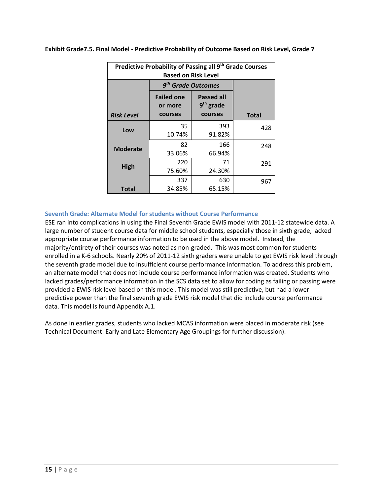| Predictive Probability of Passing all 9 <sup>th</sup> Grade Courses<br><b>Based on Risk Level</b> |                                         |                                                       |              |  |  |
|---------------------------------------------------------------------------------------------------|-----------------------------------------|-------------------------------------------------------|--------------|--|--|
|                                                                                                   | 9 <sup>th</sup> Grade Outcomes          |                                                       |              |  |  |
| <b>Risk Level</b>                                                                                 | <b>Failed one</b><br>or more<br>courses | <b>Passed all</b><br>9 <sup>th</sup> grade<br>courses |              |  |  |
|                                                                                                   | 35                                      | 393                                                   | <b>Total</b> |  |  |
| Low                                                                                               | 10.74%                                  | 91.82%                                                | 428          |  |  |
| <b>Moderate</b>                                                                                   | 82                                      | 166                                                   | 248          |  |  |
|                                                                                                   | 33.06%                                  | 66.94%                                                |              |  |  |
| High                                                                                              | 220                                     | 71                                                    | 291          |  |  |
|                                                                                                   | 75.60%                                  | 24.30%                                                |              |  |  |
|                                                                                                   | 337                                     | 630                                                   | 967          |  |  |
| <b>Total</b>                                                                                      | 34.85%                                  | 65.15%                                                |              |  |  |

**Exhibit Grade7.5. Final Model - Predictive Probability of Outcome Based on Risk Level, Grade 7**

### <span id="page-17-0"></span>**Seventh Grade: Alternate Model for students without Course Performance**

ESE ran into complications in using the Final Seventh Grade EWIS model with 2011-12 statewide data. A large number of student course data for middle school students, especially those in sixth grade, lacked appropriate course performance information to be used in the above model. Instead, the majority/entirety of their courses was noted as non-graded. This was most common for students enrolled in a K-6 schools. Nearly 20% of 2011-12 sixth graders were unable to get EWIS risk level through the seventh grade model due to insufficient course performance information. To address this problem, an alternate model that does not include course performance information was created. Students who lacked grades/performance information in the SCS data set to allow for coding as failing or passing were provided a EWIS risk level based on this model. This model was still predictive, but had a lower predictive power than the final seventh grade EWIS risk model that did include course performance data. This model is found Appendix A.1.

As done in earlier grades, students who lacked MCAS information were placed in moderate risk (see Technical Document: Early and Late Elementary Age Groupings for further discussion).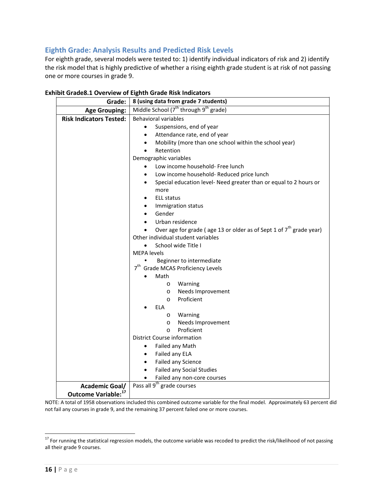# <span id="page-18-0"></span>**Eighth Grade: Analysis Results and Predicted Risk Levels**

For eighth grade, several models were tested to: 1) identify individual indicators of risk and 2) identify the risk model that is highly predictive of whether a rising eighth grade student is at risk of not passing one or more courses in grade 9.

| Grade:                          | 8 (using data from grade 7 students)                                  |  |  |  |
|---------------------------------|-----------------------------------------------------------------------|--|--|--|
| <b>Age Grouping:</b>            | Middle School $(7^{th}$ through $9^{th}$ grade)                       |  |  |  |
| <b>Risk Indicators Tested:</b>  | <b>Behavioral variables</b>                                           |  |  |  |
|                                 | Suspensions, end of year                                              |  |  |  |
|                                 | Attendance rate, end of year                                          |  |  |  |
|                                 | Mobility (more than one school within the school year)                |  |  |  |
|                                 | Retention                                                             |  |  |  |
|                                 | Demographic variables                                                 |  |  |  |
|                                 | Low income household- Free lunch                                      |  |  |  |
|                                 | Low income household- Reduced price lunch                             |  |  |  |
|                                 | Special education level- Need greater than or equal to 2 hours or     |  |  |  |
|                                 | more                                                                  |  |  |  |
|                                 | <b>ELL status</b>                                                     |  |  |  |
|                                 | Immigration status                                                    |  |  |  |
|                                 | Gender                                                                |  |  |  |
|                                 | Urban residence                                                       |  |  |  |
|                                 | Over age for grade (age 13 or older as of Sept 1 of $7th$ grade year) |  |  |  |
|                                 | Other individual student variables                                    |  |  |  |
|                                 | School wide Title I<br>$\bullet$<br><b>MEPA</b> levels                |  |  |  |
|                                 | Beginner to intermediate                                              |  |  |  |
|                                 | 7 <sup>th</sup><br><b>Grade MCAS Proficiency Levels</b>               |  |  |  |
|                                 | Math                                                                  |  |  |  |
|                                 | Warning                                                               |  |  |  |
|                                 | $\circ$<br>Needs Improvement<br>$\circ$                               |  |  |  |
|                                 | Proficient<br>$\circ$                                                 |  |  |  |
|                                 | <b>ELA</b>                                                            |  |  |  |
|                                 | Warning<br>$\circ$                                                    |  |  |  |
|                                 | Needs Improvement<br>$\circ$                                          |  |  |  |
|                                 | Proficient<br>$\circ$                                                 |  |  |  |
|                                 | District Course information                                           |  |  |  |
|                                 | Failed any Math<br>$\bullet$                                          |  |  |  |
|                                 | Failed any ELA<br>$\bullet$                                           |  |  |  |
|                                 | Failed any Science<br>$\bullet$                                       |  |  |  |
|                                 | Failed any Social Studies<br>$\bullet$                                |  |  |  |
|                                 | Failed any non-core courses                                           |  |  |  |
| <b>Academic Goal/</b>           | Pass all 9 <sup>th</sup> grade courses                                |  |  |  |
| Outcome Variable: <sup>17</sup> |                                                                       |  |  |  |

### **Exhibit Grade8.1 Overview of Eighth Grade Risk Indicators**

NOTE: A total of 1958 observations included this combined outcome variable for the final model. Approximately 63 percent did not fail any courses in grade 9, and the remaining 37 percent failed one or more courses.

<span id="page-18-1"></span><sup>&</sup>lt;sup>17</sup> For running the statistical regression models, the outcome variable was recoded to predict the risk/likelihood of not passing all their grade 9 courses.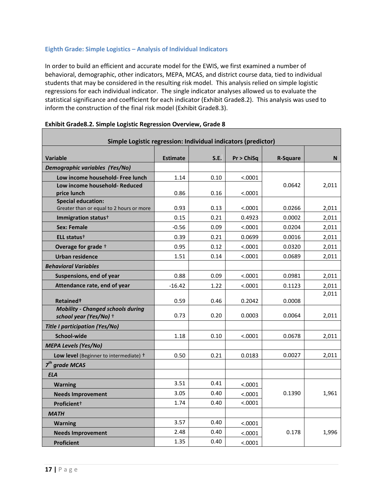### <span id="page-19-0"></span>**Eighth Grade: Simple Logistics – Analysis of Individual Indicators**

In order to build an efficient and accurate model for the EWIS, we first examined a number of behavioral, demographic, other indicators, MEPA, MCAS, and district course data, tied to individual students that may be considered in the resulting risk model. This analysis relied on simple logistic regressions for each individual indicator. The single indicator analyses allowed us to evaluate the statistical significance and coefficient for each indicator (Exhibit Grade8.2). This analysis was used to inform the construction of the final risk model (Exhibit Grade8.3).

| Simple Logistic regression: Individual indicators (predictor)         |                 |      |            |                 |       |
|-----------------------------------------------------------------------|-----------------|------|------------|-----------------|-------|
|                                                                       |                 |      |            |                 |       |
| <b>Variable</b>                                                       | <b>Estimate</b> | S.E. | Pr > ChiSq | <b>R-Square</b> | N     |
| Demographic variables (Yes/No)                                        |                 |      |            |                 |       |
| Low income household- Free lunch                                      | 1.14            | 0.10 | < .0001    |                 |       |
| Low income household- Reduced<br>price lunch                          | 0.86            | 0.16 | < .0001    | 0.0642          | 2,011 |
| <b>Special education:</b><br>Greater than or equal to 2 hours or more | 0.93            | 0.13 | < .0001    | 0.0266          | 2,011 |
| Immigration status <sup>+</sup>                                       | 0.15            | 0.21 | 0.4923     | 0.0002          | 2,011 |
| <b>Sex: Female</b>                                                    | $-0.56$         | 0.09 | < .0001    | 0.0204          | 2,011 |
| ELL status <sup>+</sup>                                               | 0.39            | 0.21 | 0.0699     | 0.0016          | 2,011 |
| Overage for grade +                                                   | 0.95            | 0.12 | < .0001    | 0.0320          | 2,011 |
| <b>Urban residence</b>                                                | 1.51            | 0.14 | < .0001    | 0.0689          | 2,011 |
| <b>Behavioral Variables</b>                                           |                 |      |            |                 |       |
| Suspensions, end of year                                              | 0.88            | 0.09 | < .0001    | 0.0981          | 2,011 |
| Attendance rate, end of year                                          | $-16.42$        | 1.22 | < .0001    | 0.1123          | 2,011 |
|                                                                       |                 |      |            |                 | 2,011 |
| Retained <sup>+</sup>                                                 | 0.59            | 0.46 | 0.2042     | 0.0008          |       |
| <b>Mobility - Changed schools during</b><br>school year (Yes/No) +    | 0.73            | 0.20 | 0.0003     | 0.0064          | 2,011 |
| <b>Title I participation (Yes/No)</b>                                 |                 |      |            |                 |       |
| School-wide                                                           | 1.18            | 0.10 | < .0001    | 0.0678          | 2,011 |
| <b>MEPA Levels (Yes/No)</b>                                           |                 |      |            |                 |       |
| Low level (Beginner to intermediate) +                                | 0.50            | 0.21 | 0.0183     | 0.0027          | 2,011 |
| $7th$ grade MCAS                                                      |                 |      |            |                 |       |
| <b>ELA</b>                                                            |                 |      |            |                 |       |
| <b>Warning</b>                                                        | 3.51            | 0.41 | < .0001    |                 |       |
| <b>Needs Improvement</b>                                              | 3.05            | 0.40 | < .0001    | 0.1390          | 1,961 |
| Proficient <sup>+</sup>                                               | 1.74            | 0.40 | < .0001    |                 |       |
| <b>MATH</b>                                                           |                 |      |            |                 |       |
| <b>Warning</b>                                                        | 3.57            | 0.40 | < .0001    |                 |       |
| <b>Needs Improvement</b>                                              | 2.48            | 0.40 | < .0001    | 0.178           | 1,996 |
| <b>Proficient</b>                                                     | 1.35            | 0.40 | < .0001    |                 |       |

### **Exhibit Grade8.2. Simple Logistic Regression Overview, Grade 8**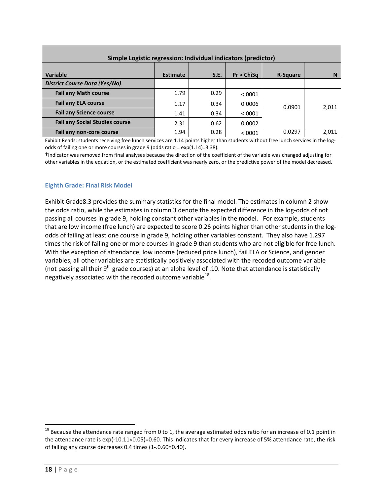| Simple Logistic regression: Individual indicators (predictor) |                 |      |            |                 |       |
|---------------------------------------------------------------|-----------------|------|------------|-----------------|-------|
| Variable                                                      | <b>Estimate</b> | S.E. | Pr > ChiSa | <b>R-Square</b> | N     |
| <b>District Course Data (Yes/No)</b>                          |                 |      |            |                 |       |
| <b>Fail any Math course</b>                                   | 1.79            | 0.29 | < 0.0001   |                 |       |
| <b>Fail any ELA course</b>                                    | 1.17            | 0.34 | 0.0006     | 0.0901          | 2,011 |
| <b>Fail any Science course</b>                                | 1.41            | 0.34 | < 0.0001   |                 |       |
| <b>Fail any Social Studies course</b>                         | 2.31            | 0.62 | 0.0002     |                 |       |
| Fail any non-core course                                      | 1.94            | 0.28 | < .0001    | 0.0297          | 2,011 |

Exhibit Reads: students receiving free lunch services are 1.14 points higher than students without free lunch services in the logodds of failing one or more courses in grade 9 (odds ratio = exp(1.14)=3.38).

†Indicator was removed from final analyses because the direction of the coefficient of the variable was changed adjusting for other variables in the equation, or the estimated coefficient was nearly zero, or the predictive power of the model decreased.

### <span id="page-20-0"></span>**Eighth Grade: Final Risk Model**

Exhibit Grade8.3 provides the summary statistics for the final model. The estimates in column 2 show the odds ratio, while the estimates in column 3 denote the expected difference in the log-odds of not passing all courses in grade 9, holding constant other variables in the model. For example, students that are low income (free lunch) are expected to score 0.26 points higher than other students in the logodds of failing at least one course in grade 9, holding other variables constant. They also have 1.297 times the risk of failing one or more courses in grade 9 than students who are not eligible for free lunch. With the exception of attendance, low income (reduced price lunch), fail ELA or Science, and gender variables, all other variables are statistically positively associated with the recoded outcome variable (not passing all their  $9<sup>th</sup>$  grade courses) at an alpha level of .10. Note that attendance is statistically negatively associated with the recoded outcome variable $^{18}$ .

<span id="page-20-1"></span> $18$  Because the attendance rate ranged from 0 to 1, the average estimated odds ratio for an increase of 0.1 point in the attendance rate is exp(-10.11×0.05)=0.60. This indicates that for every increase of 5% attendance rate, the risk of failing any course decreases 0.4 times (1-.0.60=0.40).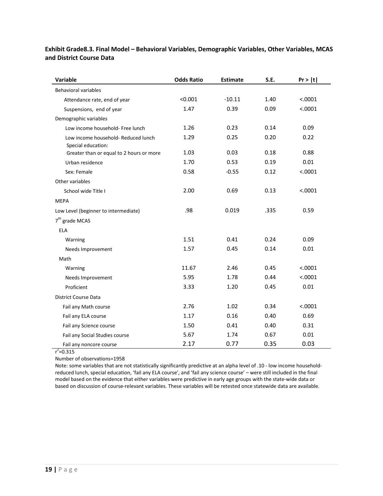| Variable                                                  | <b>Odds Ratio</b> | <b>Estimate</b> | S.E. | Pr >  t |
|-----------------------------------------------------------|-------------------|-----------------|------|---------|
| <b>Behavioral variables</b>                               |                   |                 |      |         |
| Attendance rate, end of year                              | < 0.001           | $-10.11$        | 1.40 | < .0001 |
| Suspensions, end of year                                  | 1.47              | 0.39            | 0.09 | < .0001 |
| Demographic variables                                     |                   |                 |      |         |
| Low income household- Free lunch                          | 1.26              | 0.23            | 0.14 | 0.09    |
| Low income household- Reduced lunch<br>Special education: | 1.29              | 0.25            | 0.20 | 0.22    |
| Greater than or equal to 2 hours or more                  | 1.03              | 0.03            | 0.18 | 0.88    |
| Urban residence                                           | 1.70              | 0.53            | 0.19 | 0.01    |
| Sex: Female                                               | 0.58              | $-0.55$         | 0.12 | < .0001 |
| Other variables                                           |                   |                 |      |         |
| School wide Title I                                       | 2.00              | 0.69            | 0.13 | < .0001 |
| <b>MEPA</b>                                               |                   |                 |      |         |
| Low Level (beginner to intermediate)                      | .98               | 0.019           | .335 | 0.59    |
| $7th$ grade MCAS                                          |                   |                 |      |         |
| <b>ELA</b>                                                |                   |                 |      |         |
| Warning                                                   | 1.51              | 0.41            | 0.24 | 0.09    |
| Needs Improvement                                         | 1.57              | 0.45            | 0.14 | 0.01    |
| Math                                                      |                   |                 |      |         |
| Warning                                                   | 11.67             | 2.46            | 0.45 | < .0001 |
| Needs Improvement                                         | 5.95              | 1.78            | 0.44 | < .0001 |
| Proficient                                                | 3.33              | 1.20            | 0.45 | 0.01    |
| <b>District Course Data</b>                               |                   |                 |      |         |
| Fail any Math course                                      | 2.76              | 1.02            | 0.34 | < .0001 |
| Fail any ELA course                                       | 1.17              | 0.16            | 0.40 | 0.69    |
| Fail any Science course                                   | 1.50              | 0.41            | 0.40 | 0.31    |
| Fail any Social Studies course                            | 5.67              | 1.74            | 0.67 | 0.01    |
| Fail any noncore course                                   | 2.17              | 0.77            | 0.35 | 0.03    |

# **Exhibit Grade8.3. Final Model – Behavioral Variables, Demographic Variables, Other Variables, MCAS and District Course Data**

 $r^2$ =0.315

Number of observations=1958

<span id="page-21-0"></span>Note: some variables that are not statistically significantly predictive at an alpha level of .10 - low income householdreduced lunch, special education, 'fail any ELA course', and 'fail any science course' – were still included in the final model based on the evidence that either variables were predictive in early age groups with the state-wide data or based on discussion of course-relevant variables. These variables will be retested once statewide data are available.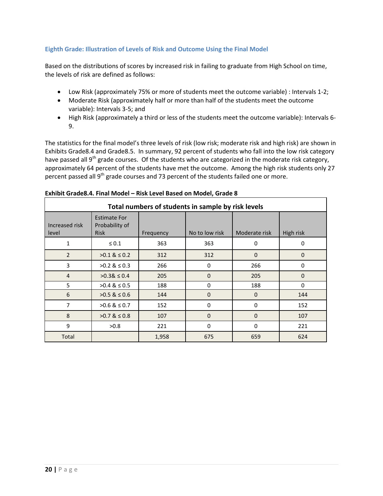### **Eighth Grade: Illustration of Levels of Risk and Outcome Using the Final Model**

Based on the distributions of scores by increased risk in failing to graduate from High School on time, the levels of risk are defined as follows:

- Low Risk (approximately 75% or more of students meet the outcome variable) : Intervals 1-2;
- Moderate Risk (approximately half or more than half of the students meet the outcome variable): Intervals 3-5; and
- High Risk (approximately a third or less of the students meet the outcome variable): Intervals 6- 9.

The statistics for the final model's three levels of risk (low risk; moderate risk and high risk) are shown in Exhibits Grade8.4 and Grade8.5. In summary, 92 percent of students who fall into the low risk category have passed all 9<sup>th</sup> grade courses. Of the students who are categorized in the moderate risk category, approximately 64 percent of the students have met the outcome. Among the high risk students only 27 percent passed all 9<sup>th</sup> grade courses and 73 percent of the students failed one or more.

| Total numbers of students in sample by risk levels |                                                      |           |                |               |              |
|----------------------------------------------------|------------------------------------------------------|-----------|----------------|---------------|--------------|
| Increased risk<br>level                            | <b>Estimate For</b><br>Probability of<br><b>Risk</b> | Frequency | No to low risk | Moderate risk | High risk    |
| 1                                                  | $\leq 0.1$                                           | 363       | 363            | 0             | 0            |
| $\overline{2}$                                     | $>0.1$ & $\leq 0.2$                                  | 312       | 312            | $\mathbf 0$   | $\mathbf{0}$ |
| 3                                                  | $>0.2$ & $\leq 0.3$                                  | 266       | $\Omega$       | 266           | 0            |
| $\overline{4}$                                     | $>0.38 \le 0.4$                                      | 205       | $\Omega$       | 205           | $\Omega$     |
| 5                                                  | $>0.4$ & $\leq 0.5$                                  | 188       | 0              | 188           | $\Omega$     |
| 6                                                  | $>0.5$ & $\leq 0.6$                                  | 144       | $\Omega$       | $\Omega$      | 144          |
| 7                                                  | $>0.6$ & $\leq 0.7$                                  | 152       | $\Omega$       | $\Omega$      | 152          |
| 8                                                  | $>0.7$ & $\leq 0.8$                                  | 107       | $\mathbf 0$    | $\mathbf 0$   | 107          |
| 9                                                  | >0.8                                                 | 221       | $\Omega$       | $\Omega$      | 221          |
| Total                                              |                                                      | 1,958     | 675            | 659           | 624          |

### **Exhibit Grade8.4. Final Model – Risk Level Based on Model, Grade 8**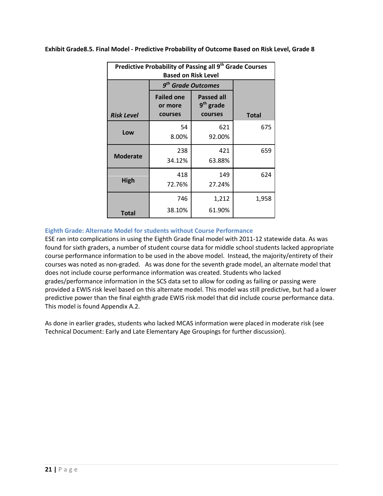| Predictive Probability of Passing all 9 <sup>th</sup> Grade Courses<br><b>Based on Risk Level</b> |                                         |                                             |              |  |
|---------------------------------------------------------------------------------------------------|-----------------------------------------|---------------------------------------------|--------------|--|
|                                                                                                   | 9 <sup>th</sup> Grade Outcomes          |                                             |              |  |
| <b>Risk Level</b>                                                                                 | <b>Failed one</b><br>or more<br>courses | <b>Passed all</b><br>$9th$ grade<br>courses | <b>Total</b> |  |
| Low                                                                                               | 54<br>8.00%                             | 621<br>92.00%                               | 675          |  |
| <b>Moderate</b>                                                                                   | 238<br>34.12%                           | 421<br>63.88%                               | 659          |  |
| <b>High</b>                                                                                       | 418<br>72.76%                           | 149<br>27.24%                               | 624          |  |
| <b>Total</b>                                                                                      | 746<br>38.10%                           | 1,212<br>61.90%                             | 1,958        |  |

**Exhibit Grade8.5. Final Model - Predictive Probability of Outcome Based on Risk Level, Grade 8**

### <span id="page-23-0"></span>**Eighth Grade: Alternate Model for students without Course Performance**

ESE ran into complications in using the Eighth Grade final model with 2011-12 statewide data. As was found for sixth graders, a number of student course data for middle school students lacked appropriate course performance information to be used in the above model. Instead, the majority/entirety of their courses was noted as non-graded. As was done for the seventh grade model, an alternate model that does not include course performance information was created. Students who lacked grades/performance information in the SCS data set to allow for coding as failing or passing were provided a EWIS risk level based on this alternate model. This model was still predictive, but had a lower predictive power than the final eighth grade EWIS risk model that did include course performance data. This model is found Appendix A.2.

As done in earlier grades, students who lacked MCAS information were placed in moderate risk (see Technical Document: Early and Late Elementary Age Groupings for further discussion).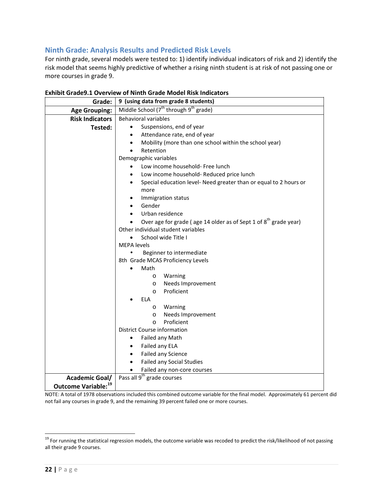# <span id="page-24-0"></span>**Ninth Grade: Analysis Results and Predicted Risk Levels**

For ninth grade, several models were tested to: 1) identify individual indicators of risk and 2) identify the risk model that seems highly predictive of whether a rising ninth student is at risk of not passing one or more courses in grade 9.

| Grade:                          | 9 (using data from grade 8 students)                                           |  |  |  |
|---------------------------------|--------------------------------------------------------------------------------|--|--|--|
| <b>Age Grouping:</b>            | Middle School $(7^{th}$ through $9^{th}$ grade)                                |  |  |  |
| <b>Risk Indicators</b>          | <b>Behavioral variables</b>                                                    |  |  |  |
| Tested:                         | Suspensions, end of year                                                       |  |  |  |
|                                 | Attendance rate, end of year                                                   |  |  |  |
|                                 | Mobility (more than one school within the school year)                         |  |  |  |
|                                 | Retention                                                                      |  |  |  |
|                                 | Demographic variables                                                          |  |  |  |
|                                 | Low income household- Free lunch<br>$\bullet$                                  |  |  |  |
|                                 | Low income household- Reduced price lunch                                      |  |  |  |
|                                 | Special education level- Need greater than or equal to 2 hours or<br>$\bullet$ |  |  |  |
|                                 | more                                                                           |  |  |  |
|                                 | Immigration status                                                             |  |  |  |
|                                 | Gender                                                                         |  |  |  |
|                                 | Urban residence                                                                |  |  |  |
|                                 | Over age for grade (age 14 older as of Sept 1 of $8th$ grade year)             |  |  |  |
|                                 | Other individual student variables                                             |  |  |  |
|                                 | School wide Title I<br>$\bullet$                                               |  |  |  |
|                                 | <b>MEPA</b> levels<br>٠                                                        |  |  |  |
|                                 | Beginner to intermediate<br>8th Grade MCAS Proficiency Levels                  |  |  |  |
|                                 | Math                                                                           |  |  |  |
|                                 | Warning                                                                        |  |  |  |
|                                 | $\circ$<br>Needs Improvement<br>$\circ$                                        |  |  |  |
|                                 | Proficient<br>$\circ$                                                          |  |  |  |
|                                 | <b>ELA</b>                                                                     |  |  |  |
|                                 | Warning<br>$\circ$                                                             |  |  |  |
|                                 | Needs Improvement<br>$\circ$                                                   |  |  |  |
|                                 | Proficient<br>$\circ$                                                          |  |  |  |
|                                 | District Course information                                                    |  |  |  |
|                                 | Failed any Math<br>٠                                                           |  |  |  |
|                                 | Failed any ELA                                                                 |  |  |  |
|                                 | Failed any Science                                                             |  |  |  |
|                                 | <b>Failed any Social Studies</b>                                               |  |  |  |
|                                 | Failed any non-core courses<br>$\bullet$                                       |  |  |  |
| <b>Academic Goal/</b>           | Pass all 9 <sup>th</sup> grade courses                                         |  |  |  |
| Outcome Variable: <sup>19</sup> |                                                                                |  |  |  |

### **Exhibit Grade9.1 Overview of Ninth Grade Model Risk Indicators**

NOTE: A total of 1978 observations included this combined outcome variable for the final model. Approximately 61 percent did not fail any courses in grade 9, and the remaining 39 percent failed one or more courses.

<span id="page-24-1"></span><sup>&</sup>lt;sup>19</sup> For running the statistical regression models, the outcome variable was recoded to predict the risk/likelihood of not passing all their grade 9 courses.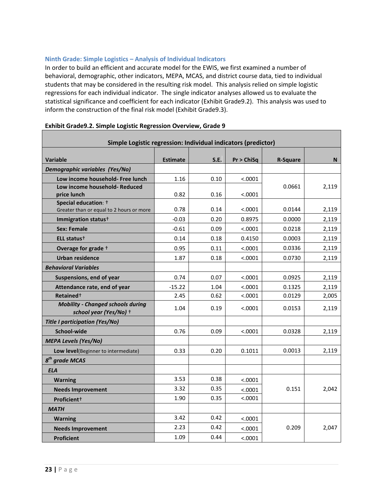### <span id="page-25-0"></span>**Ninth Grade: Simple Logistics – Analysis of Individual Indicators**

In order to build an efficient and accurate model for the EWIS, we first examined a number of behavioral, demographic, other indicators, MEPA, MCAS, and district course data, tied to individual students that may be considered in the resulting risk model. This analysis relied on simple logistic regressions for each individual indicator. The single indicator analyses allowed us to evaluate the statistical significance and coefficient for each indicator (Exhibit Grade9.2). This analysis was used to inform the construction of the final risk model (Exhibit Grade9.3).

| Simple Logistic regression: Individual indicators (predictor)      |                 |      |            |                 |       |  |
|--------------------------------------------------------------------|-----------------|------|------------|-----------------|-------|--|
|                                                                    |                 |      |            |                 |       |  |
| <b>Variable</b>                                                    | <b>Estimate</b> | S.E. | Pr > ChiSq | <b>R-Square</b> | N.    |  |
| Demographic variables (Yes/No)                                     |                 |      |            |                 |       |  |
| Low income household- Free lunch                                   | 1.16            | 0.10 | < .0001    |                 |       |  |
| Low income household- Reduced<br>price lunch                       | 0.82            | 0.16 | < .0001    | 0.0661          | 2,119 |  |
| Special education: +                                               |                 |      |            |                 |       |  |
| Greater than or equal to 2 hours or more                           | 0.78            | 0.14 | < 0.0001   | 0.0144          | 2,119 |  |
| Immigration status <sup>+</sup>                                    | $-0.03$         | 0.20 | 0.8975     | 0.0000          | 2,119 |  |
| <b>Sex: Female</b>                                                 | $-0.61$         | 0.09 | < .0001    | 0.0218          | 2,119 |  |
| ELL status <sup>+</sup>                                            | 0.14            | 0.18 | 0.4150     | 0.0003          | 2,119 |  |
| Overage for grade +                                                | 0.95            | 0.11 | < .0001    | 0.0336          | 2,119 |  |
| <b>Urban residence</b>                                             | 1.87            | 0.18 | < .0001    | 0.0730          | 2,119 |  |
| <b>Behavioral Variables</b>                                        |                 |      |            |                 |       |  |
| Suspensions, end of year                                           | 0.74            | 0.07 | < .0001    | 0.0925          | 2,119 |  |
| Attendance rate, end of year                                       | $-15.22$        | 1.04 | < .0001    | 0.1325          | 2,119 |  |
| Retained <sup>+</sup>                                              | 2.45            | 0.62 | < .0001    | 0.0129          | 2,005 |  |
| <b>Mobility - Changed schools during</b><br>school year (Yes/No) + | 1.04            | 0.19 | < .0001    | 0.0153          | 2,119 |  |
| <b>Title I participation (Yes/No)</b>                              |                 |      |            |                 |       |  |
| School-wide                                                        | 0.76            | 0.09 | < .0001    | 0.0328          | 2,119 |  |
| <b>MEPA Levels (Yes/No)</b>                                        |                 |      |            |                 |       |  |
| Low level(Beginner to intermediate)                                | 0.33            | 0.20 | 0.1011     | 0.0013          | 2,119 |  |
| $8th$ grade MCAS                                                   |                 |      |            |                 |       |  |
| <b>ELA</b>                                                         |                 |      |            |                 |       |  |
| <b>Warning</b>                                                     | 3.53            | 0.38 | < .0001    |                 |       |  |
| <b>Needs Improvement</b>                                           | 3.32            | 0.35 | < .0001    | 0.151           | 2,042 |  |
| Proficient+                                                        | 1.90            | 0.35 | < .0001    |                 |       |  |
| <b>MATH</b>                                                        |                 |      |            |                 |       |  |
| <b>Warning</b>                                                     | 3.42            | 0.42 | < .0001    |                 |       |  |
| <b>Needs Improvement</b>                                           | 2.23            | 0.42 | < .0001    | 0.209           | 2,047 |  |
| <b>Proficient</b>                                                  | 1.09            | 0.44 | < .0001    |                 |       |  |

## **Exhibit Grade9.2. Simple Logistic Regression Overview, Grade 9**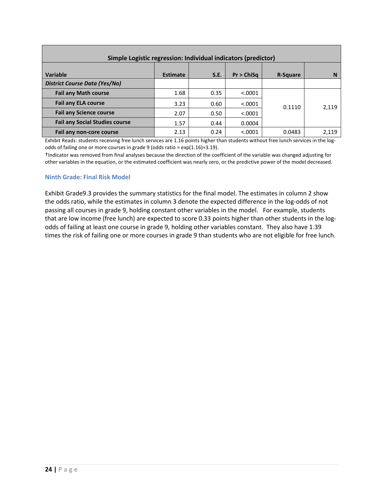| Simple Logistic regression: Individual indicators (predictor) |                 |      |            |                 |       |  |  |
|---------------------------------------------------------------|-----------------|------|------------|-----------------|-------|--|--|
| Variable                                                      | <b>Estimate</b> | S.E. | Pr > ChiSa | <b>R-Square</b> | N     |  |  |
| <b>District Course Data (Yes/No)</b>                          |                 |      |            |                 |       |  |  |
| <b>Fail any Math course</b>                                   | 1.68            | 0.35 | < .0001    |                 |       |  |  |
| <b>Fail any ELA course</b>                                    | 3.23            | 0.60 | < 0.0001   | 0.1110          | 2,119 |  |  |
| <b>Fail any Science course</b>                                | 2.07            | 0.50 | < 0.0001   |                 |       |  |  |
| <b>Fail any Social Studies course</b>                         | 1.57            | 0.44 | 0.0004     |                 |       |  |  |
| Fail any non-core course                                      | 2.13            | 0.24 | < 0.0001   | 0.0483          | 2.119 |  |  |

Exhibit Reads: students receiving free lunch services are 1.16 points higher than students without free lunch services in the logodds of failing one or more courses in grade 9 (odds ratio = exp(1.16)=3.19).

†Indicator was removed from final analyses because the direction of the coefficient of the variable was changed adjusting for other variables in the equation, or the estimated coefficient was nearly zero, or the predictive power of the model decreased.

### <span id="page-26-0"></span>**Ninth Grade: Final Risk Model**

Exhibit Grade9.3 provides the summary statistics for the final model. The estimates in column 2 show the odds ratio, while the estimates in column 3 denote the expected difference in the log-odds of not passing all courses in grade 9, holding constant other variables in the model. For example, students that are low income (free lunch) are expected to score 0.33 points higher than other students in the logodds of failing at least one course in grade 9, holding other variables constant. They also have 1.39 times the risk of failing one or more courses in grade 9 than students who are not eligible for free lunch.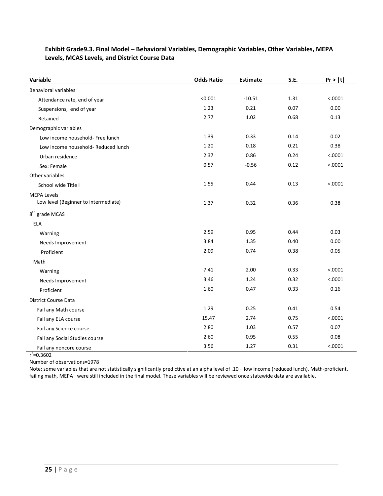| Variable                                                   | <b>Odds Ratio</b> | <b>Estimate</b> | S.E. | Pr >  t |
|------------------------------------------------------------|-------------------|-----------------|------|---------|
| <b>Behavioral variables</b>                                |                   |                 |      |         |
| Attendance rate, end of year                               | < 0.001           | $-10.51$        | 1.31 | < .0001 |
| Suspensions, end of year                                   | 1.23              | 0.21            | 0.07 | 0.00    |
| Retained                                                   | 2.77              | 1.02            | 0.68 | 0.13    |
| Demographic variables                                      |                   |                 |      |         |
| Low income household- Free lunch                           | 1.39              | 0.33            | 0.14 | 0.02    |
| Low income household- Reduced lunch                        | 1.20              | 0.18            | 0.21 | 0.38    |
| Urban residence                                            | 2.37              | 0.86            | 0.24 | < .0001 |
| Sex: Female                                                | 0.57              | $-0.56$         | 0.12 | < .0001 |
| Other variables                                            |                   |                 |      |         |
| School wide Title I                                        | 1.55              | 0.44            | 0.13 | < .0001 |
| <b>MEPA Levels</b><br>Low level (Beginner to intermediate) | 1.37              | 0.32            | 0.36 | 0.38    |
| $8th$ grade MCAS                                           |                   |                 |      |         |
| <b>ELA</b>                                                 |                   |                 |      |         |
| Warning                                                    | 2.59              | 0.95            | 0.44 | 0.03    |
| Needs Improvement                                          | 3.84              | 1.35            | 0.40 | 0.00    |
| Proficient                                                 | 2.09              | 0.74            | 0.38 | 0.05    |
| Math                                                       |                   |                 |      |         |
| Warning                                                    | 7.41              | 2.00            | 0.33 | < .0001 |
| Needs Improvement                                          | 3.46              | 1.24            | 0.32 | < .0001 |
| Proficient                                                 | 1.60              | 0.47            | 0.33 | 0.16    |
| <b>District Course Data</b>                                |                   |                 |      |         |
| Fail any Math course                                       | 1.29              | 0.25            | 0.41 | 0.54    |
| Fail any ELA course                                        | 15.47             | 2.74            | 0.75 | < .0001 |
| Fail any Science course                                    | 2.80              | 1.03            | 0.57 | 0.07    |
| Fail any Social Studies course                             | 2.60              | 0.95            | 0.55 | 0.08    |
| Fail any noncore course                                    | 3.56              | 1.27            | 0.31 | < .0001 |

### **Exhibit Grade9.3. Final Model – Behavioral Variables, Demographic Variables, Other Variables, MEPA Levels, MCAS Levels, and District Course Data**

 $r^2$ =0.3602

Number of observations=1978

<span id="page-27-0"></span>Note: some variables that are not statistically significantly predictive at an alpha level of .10 – low income (reduced lunch), Math-proficient, failing math, MEPA– were still included in the final model. These variables will be reviewed once statewide data are available.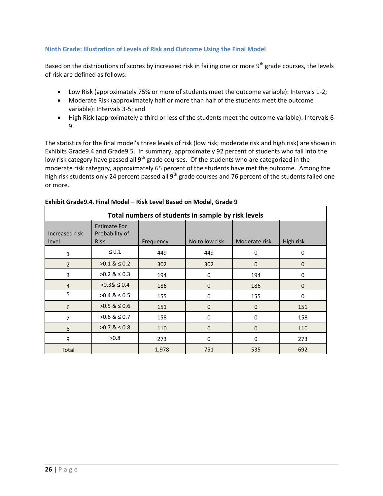### **Ninth Grade: Illustration of Levels of Risk and Outcome Using the Final Model**

Based on the distributions of scores by increased risk in failing one or more 9<sup>th</sup> grade courses, the levels of risk are defined as follows:

- Low Risk (approximately 75% or more of students meet the outcome variable): Intervals 1-2;
- Moderate Risk (approximately half or more than half of the students meet the outcome variable): Intervals 3-5; and
- High Risk (approximately a third or less of the students meet the outcome variable): Intervals 6- 9.

The statistics for the final model's three levels of risk (low risk; moderate risk and high risk) are shown in Exhibits Grade9.4 and Grade9.5. In summary, approximately 92 percent of students who fall into the low risk category have passed all 9<sup>th</sup> grade courses. Of the students who are categorized in the moderate risk category, approximately 65 percent of the students have met the outcome. Among the high risk students only 24 percent passed all 9<sup>th</sup> grade courses and 76 percent of the students failed one or more.

| Total numbers of students in sample by risk levels |                                                      |           |                |               |             |  |
|----------------------------------------------------|------------------------------------------------------|-----------|----------------|---------------|-------------|--|
| Increased risk<br>level                            | <b>Estimate For</b><br>Probability of<br><b>Risk</b> | Frequency | No to low risk | Moderate risk | High risk   |  |
| $\mathbf 1$                                        | $\leq 0.1$                                           | 449       | 449            | 0             | 0           |  |
| $\overline{2}$                                     | $>0.1 \& 0.2$                                        | 302       | 302            | $\mathbf{0}$  | $\mathbf 0$ |  |
| 3                                                  | $>0.2$ & $\leq 0.3$                                  | 194       | 0              | 194           | 0           |  |
| $\overline{4}$                                     | $>0.38 \le 0.4$                                      | 186       | 0              | 186           | $\mathbf 0$ |  |
| 5                                                  | $>0.4$ & $\leq 0.5$                                  | 155       | 0              | 155           | 0           |  |
| 6                                                  | $>0.5$ & $\leq 0.6$                                  | 151       | $\mathbf 0$    | $\mathbf{0}$  | 151         |  |
| 7                                                  | $>0.6$ & $\leq 0.7$                                  | 158       | 0              | $\Omega$      | 158         |  |
| 8                                                  | $>0.7$ & $\leq 0.8$                                  | 110       | $\mathbf 0$    | $\mathbf{0}$  | 110         |  |
| 9                                                  | >0.8                                                 | 273       | 0              | $\Omega$      | 273         |  |
| Total                                              |                                                      | 1,978     | 751            | 535           | 692         |  |

### **Exhibit Grade9.4. Final Model – Risk Level Based on Model, Grade 9**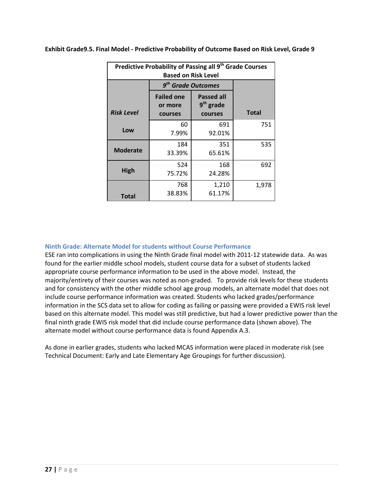| Predictive Probability of Passing all 9 <sup>th</sup> Grade Courses<br><b>Based on Risk Level</b> |                                         |                                                       |              |  |
|---------------------------------------------------------------------------------------------------|-----------------------------------------|-------------------------------------------------------|--------------|--|
|                                                                                                   |                                         | 9 <sup>th</sup> Grade Outcomes                        |              |  |
| <b>Risk Level</b>                                                                                 | <b>Failed one</b><br>or more<br>courses | <b>Passed all</b><br>9 <sup>th</sup> grade<br>courses | <b>Total</b> |  |
| Low                                                                                               | 60<br>7.99%                             | 691<br>92.01%                                         | 751          |  |
| <b>Moderate</b>                                                                                   | 184<br>33.39%                           | 351<br>65.61%                                         | 535          |  |
| High                                                                                              | 524<br>75.72%                           | 168<br>24.28%                                         | 692          |  |
| Total                                                                                             | 768<br>38.83%                           | 1,210<br>61.17%                                       | 1,978        |  |

**Exhibit Grade9.5. Final Model - Predictive Probability of Outcome Based on Risk Level, Grade 9**

### <span id="page-29-0"></span>**Ninth Grade: Alternate Model for students without Course Performance**

ESE ran into complications in using the Ninth Grade final model with 2011-12 statewide data. As was found for the earlier middle school models, student course data for a subset of students lacked appropriate course performance information to be used in the above model. Instead, the majority/entirety of their courses was noted as non-graded. To provide risk levels for these students and for consistency with the other middle school age group models, an alternate model that does not include course performance information was created. Students who lacked grades/performance information in the SCS data set to allow for coding as failing or passing were provided a EWIS risk level based on this alternate model. This model was still predictive, but had a lower predictive power than the final ninth grade EWIS risk model that did include course performance data (shown above). The alternate model without course performance data is found Appendix A.3.

As done in earlier grades, students who lacked MCAS information were placed in moderate risk (see Technical Document: Early and Late Elementary Age Groupings for further discussion).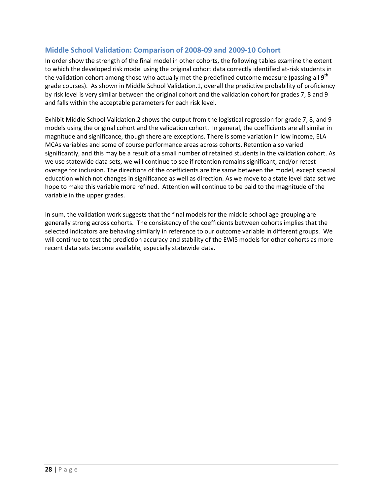# **Middle School Validation: Comparison of 2008-09 and 2009-10 Cohort**

In order show the strength of the final model in other cohorts, the following tables examine the extent to which the developed risk model using the original cohort data correctly identified at-risk students in the validation cohort among those who actually met the predefined outcome measure (passing all  $9<sup>th</sup>$ grade courses). As shown in Middle School Validation.1, overall the predictive probability of proficiency by risk level is very similar between the original cohort and the validation cohort for grades 7, 8 and 9 and falls within the acceptable parameters for each risk level.

Exhibit Middle School Validation.2 shows the output from the logistical regression for grade 7, 8, and 9 models using the original cohort and the validation cohort. In general, the coefficients are all similar in magnitude and significance, though there are exceptions. There is some variation in low income, ELA MCAs variables and some of course performance areas across cohorts. Retention also varied significantly, and this may be a result of a small number of retained students in the validation cohort. As we use statewide data sets, we will continue to see if retention remains significant, and/or retest overage for inclusion. The directions of the coefficients are the same between the model, except special education which not changes in significance as well as direction. As we move to a state level data set we hope to make this variable more refined. Attention will continue to be paid to the magnitude of the variable in the upper grades.

In sum, the validation work suggests that the final models for the middle school age grouping are generally strong across cohorts. The consistency of the coefficients between cohorts implies that the selected indicators are behaving similarly in reference to our outcome variable in different groups.We will continue to test the prediction accuracy and stability of the EWIS models for other cohorts as more recent data sets become available, especially statewide data.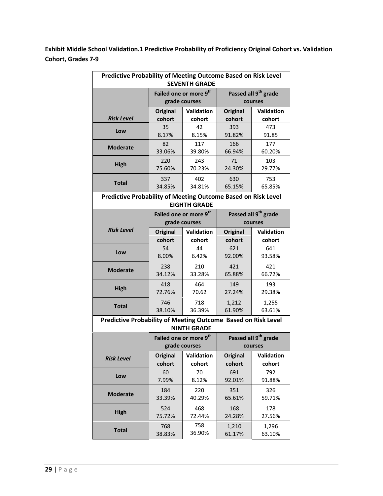**Exhibit Middle School Validation.1 Predictive Probability of Proficiency Original Cohort vs. Validation Cohort, Grades 7-9**

| <b>Predictive Probability of Meeting Outcome Based on Risk Level</b><br><b>SEVENTH GRADE</b> |                 |                                                     |                                             |                                             |  |  |  |
|----------------------------------------------------------------------------------------------|-----------------|-----------------------------------------------------|---------------------------------------------|---------------------------------------------|--|--|--|
|                                                                                              |                 | Failed one or more 9 <sup>th</sup><br>grade courses |                                             | Passed all 9 <sup>th</sup> grade<br>courses |  |  |  |
|                                                                                              | Original        | Validation                                          | Original                                    | <b>Validation</b>                           |  |  |  |
| <b>Risk Level</b>                                                                            | cohort          | cohort                                              | cohort                                      | cohort                                      |  |  |  |
| Low                                                                                          | 35<br>8.17%     | 42<br>8.15%                                         | 393<br>91.82%                               | 473<br>91.85                                |  |  |  |
| <b>Moderate</b>                                                                              | 82<br>33.06%    | 117<br>39.80%                                       | 166<br>66.94%                               | 177<br>60.20%                               |  |  |  |
| <b>High</b>                                                                                  | 220<br>75.60%   | 243<br>70.23%                                       | 71<br>24.30%                                | 103<br>29.77%                               |  |  |  |
| <b>Total</b>                                                                                 | 337<br>34.85%   | 402<br>34.81%                                       | 630<br>65.15%                               | 753<br>65.85%                               |  |  |  |
| Predictive Probability of Meeting Outcome Based on Risk Level<br><b>EIGHTH GRADE</b>         |                 |                                                     |                                             |                                             |  |  |  |
|                                                                                              |                 | Failed one or more 9 <sup>th</sup>                  |                                             |                                             |  |  |  |
|                                                                                              |                 | grade courses                                       | Passed all 9 <sup>th</sup> grade<br>courses |                                             |  |  |  |
| <b>Risk Level</b>                                                                            | Original        | Validation                                          | Original                                    | <b>Validation</b>                           |  |  |  |
|                                                                                              | cohort          | cohort                                              | cohort                                      | cohort                                      |  |  |  |
|                                                                                              | 54              | 44                                                  | 621                                         | 641                                         |  |  |  |
| Low                                                                                          | 8.00%           | 6.42%                                               | 92.00%                                      | 93.58%                                      |  |  |  |
|                                                                                              | 238             | 210                                                 | 421                                         | 421                                         |  |  |  |
| <b>Moderate</b>                                                                              | 34.12%          | 33.28%                                              | 65.88%                                      | 66.72%                                      |  |  |  |
| <b>High</b>                                                                                  | 418             | 464                                                 | 149                                         | 193                                         |  |  |  |
|                                                                                              | 72.76%          | 70.62                                               | 27.24%                                      | 29.38%                                      |  |  |  |
| <b>Total</b>                                                                                 | 746             | 718                                                 | 1,212                                       | 1,255                                       |  |  |  |
|                                                                                              | 38.10%          | 36.39%                                              | 61.90%                                      | 63.61%                                      |  |  |  |
| Predictive Probability of Meeting Outcome Based on Risk Level                                |                 | <b>NINTH GRADE</b>                                  |                                             |                                             |  |  |  |
|                                                                                              |                 | Failed one or more 9 <sup>th</sup>                  |                                             | Passed all 9 <sup>th</sup> grade            |  |  |  |
|                                                                                              |                 | grade courses                                       |                                             | courses                                     |  |  |  |
| <b>Risk Level</b>                                                                            | <b>Original</b> | Validation                                          | <b>Original</b>                             | Validation                                  |  |  |  |
|                                                                                              | cohort          | cohort                                              | cohort                                      | cohort                                      |  |  |  |
| Low                                                                                          | 60<br>7.99%     | 70<br>8.12%                                         | 691<br>92.01%                               | 792<br>91.88%                               |  |  |  |
| <b>Moderate</b>                                                                              | 184             | 220                                                 | 351                                         | 326                                         |  |  |  |
|                                                                                              | 33.39%          | 40.29%                                              | 65.61%                                      | 59.71%                                      |  |  |  |
| <b>High</b>                                                                                  | 524<br>75.72%   | 468<br>72.44%                                       | 168<br>24.28%                               | 178<br>27.56%                               |  |  |  |
|                                                                                              | 768             | 758                                                 | 1,210                                       | 1,296                                       |  |  |  |
| <b>Total</b>                                                                                 | 38.83%          | 36.90%                                              | 61.17%                                      | 63.10%                                      |  |  |  |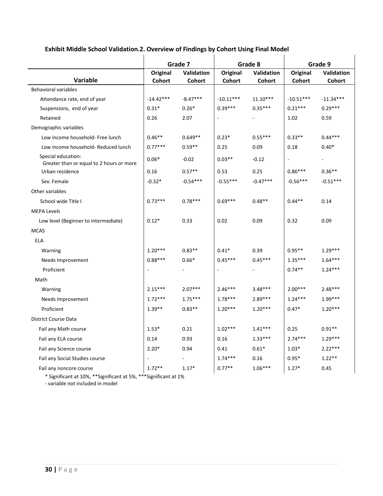# **Exhibit Middle School Validation.2. Overview of Findings by Cohort Using Final Model**

|                                                                |             | Grade 7    | Grade 8     |            | Grade 9                  |                          |
|----------------------------------------------------------------|-------------|------------|-------------|------------|--------------------------|--------------------------|
|                                                                | Original    | Validation | Original    | Validation | Original                 | <b>Validation</b>        |
| Variable                                                       | Cohort      | Cohort     | Cohort      | Cohort     | Cohort                   | Cohort                   |
| <b>Behavioral variables</b>                                    |             |            |             |            |                          |                          |
| Attendance rate, end of year                                   | $-14.42***$ | $-8.47***$ | $-10.11***$ | $11.10***$ | $-10.51***$              | $-11.34***$              |
| Suspensions, end of year                                       | $0.31*$     | $0.26*$    | $0.39***$   | $0.35***$  | $0.21***$                | $0.29***$                |
| Retained                                                       | 0.26        | 2.07       |             |            | 1.02                     | 0.59                     |
| Demographic variables                                          |             |            |             |            |                          |                          |
| Low income household- Free lunch                               | $0.46**$    | $0.649**$  | $0.23*$     | $0.55***$  | $0.33**$                 | $0.44***$                |
| Low income household- Reduced lunch                            | $0.77***$   | $0.59**$   | 0.25        | 0.09       | 0.18                     | $0.40*$                  |
| Special education:<br>Greater than or equal to 2 hours or more | $0.06*$     | $-0.02$    | $0.03**$    | $-0.12$    | $\overline{\phantom{a}}$ | $\overline{\phantom{a}}$ |
| Urban residence                                                | 0.16        | $0.57**$   | 0.53        | 0.25       | $0.86***$                | $0.36**$                 |
| Sex: Female                                                    | $-0.32*$    | $-0.54***$ | $-0.55***$  | $-0.47***$ | $-0.56***$               | $-0.51***$               |
| Other variables                                                |             |            |             |            |                          |                          |
| School wide Title I                                            | $0.73***$   | $0.78***$  | $0.69***$   | $0.48**$   | $0.44**$                 | 0.14                     |
| <b>MEPA Levels</b>                                             |             |            |             |            |                          |                          |
| Low level (Beginner to intermediate)                           | $0.12*$     | 0.33       | 0.02        | 0.09       | 0.32                     | 0.09                     |
| <b>MCAS</b>                                                    |             |            |             |            |                          |                          |
| ELA                                                            |             |            |             |            |                          |                          |
| Warning                                                        | $1.20***$   | $0.83**$   | $0.41*$     | 0.39       | $0.95**$                 | $1.29***$                |
| Needs Improvement                                              | $0.88***$   | $0.66*$    | $0.45***$   | $0.45***$  | $1.35***$                | $1.64***$                |
| Proficient                                                     |             |            | ÷,          |            | $0.74**$                 | $1.24***$                |
| Math                                                           |             |            |             |            |                          |                          |
| Warning                                                        | $2.15***$   | $2.07***$  | $2.46***$   | $3.48***$  | $2.00***$                | $2.48***$                |
| Needs Improvement                                              | $1.72***$   | $1.75***$  | $1.78***$   | $2.89***$  | $1.24***$                | $1.99***$                |
| Proficient                                                     | $1.39**$    | $0.83**$   | $1.20***$   | $1.20***$  | $0.47*$                  | $1.20***$                |
| District Course Data                                           |             |            |             |            |                          |                          |
| Fail any Math course                                           | $1.53*$     | 0.21       | $1.02***$   | $1.41***$  | 0.25                     | $0.91**$                 |
| Fail any ELA course                                            | 0.14        | 0.93       | 0.16        | $1.33***$  | $2.74***$                | $1.29***$                |
| Fail any Science course                                        | $2.20*$     | 0.94       | 0.41        | $0.61*$    | $1.03*$                  | $2.22***$                |
| Fail any Social Studies course                                 |             |            | $1.74***$   | 0.16       | $0.95*$                  | $1.22**$                 |
| Fail any noncore course                                        | $1.72**$    | $1.17*$    | $0.77**$    | $1.06***$  | $1.27*$                  | 0.45                     |

\* Significant at 10%, \*\*Significant at 5%, \*\*\*Significant at 1%

- variable not included in model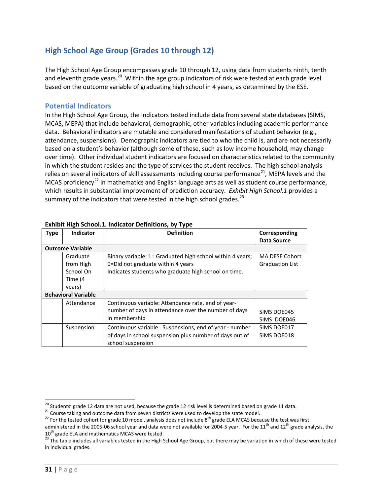# <span id="page-33-0"></span>**High School Age Group (Grades 10 through 12)**

The High School Age Group encompasses grade 10 through 12, using data from students ninth, tenth and eleventh grade years.<sup>[20](#page-33-2)</sup> Within the age group indicators of risk were tested at each grade level based on the outcome variable of graduating high school in 4 years, as determined by the ESE.

### <span id="page-33-1"></span>**Potential Indicators**

In the High School Age Group, the indicators tested include data from several state databases (SIMS, MCAS, MEPA) that include behavioral, demographic, other variables including academic performance data. Behavioral indicators are mutable and considered manifestations of student behavior (e.g., attendance, suspensions). Demographic indicators are tied to who the child is, and are not necessarily based on a student's behavior (although some of these, such as low income household, may change over time). Other individual student indicators are focused on characteristics related to the community in which the student resides and the type of services the student receives. The high school analysis relies on several indicators of skill assessments including course performance<sup>21</sup>, MEPA levels and the MCAS proficiency<sup>[22](#page-33-4)</sup> in mathematics and English language arts as well as student course performance, which results in substantial improvement of prediction accuracy. *Exhibit High School.1* provides a summary of the indicators that were tested in the high school grades.<sup>[23](#page-33-5)</sup>

|             | EANING INSII JUNUURI MUUUUU DUMMUUDI NY TYPU |                                                           |                        |  |  |  |  |
|-------------|----------------------------------------------|-----------------------------------------------------------|------------------------|--|--|--|--|
| <b>Type</b> | Indicator                                    | <b>Definition</b>                                         | Corresponding          |  |  |  |  |
|             |                                              |                                                           | <b>Data Source</b>     |  |  |  |  |
|             | <b>Outcome Variable</b>                      |                                                           |                        |  |  |  |  |
|             | Graduate                                     | Binary variable: 1= Graduated high school within 4 years; | MA DESE Cohort         |  |  |  |  |
|             | from High                                    | 0=Did not graduate within 4 years                         | <b>Graduation List</b> |  |  |  |  |
|             | School On                                    | Indicates students who graduate high school on time.      |                        |  |  |  |  |
|             | Time (4                                      |                                                           |                        |  |  |  |  |
|             | years)                                       |                                                           |                        |  |  |  |  |
|             | <b>Behavioral Variable</b>                   |                                                           |                        |  |  |  |  |
|             | Attendance                                   | Continuous variable: Attendance rate, end of year-        |                        |  |  |  |  |
|             |                                              | number of days in attendance over the number of days      | SIMS DOE045            |  |  |  |  |
|             |                                              | in membership                                             | SIMS DOE046            |  |  |  |  |
|             | Suspension                                   | Continuous variable: Suspensions, end of year - number    | SIMS DOE017            |  |  |  |  |
|             |                                              | of days in school suspension plus number of days out of   | SIMS DOE018            |  |  |  |  |
|             |                                              | school suspension                                         |                        |  |  |  |  |

### **Exhibit High School.1. Indicator Definitions, by Type**

<span id="page-33-3"></span>

<span id="page-33-2"></span><sup>&</sup>lt;sup>20</sup> Students' grade 12 data are not used, because the grade 12 risk level is determined based on grade 11 data.<br><sup>21</sup> Course taking and outcome data from seven districts were used to develop the state model.<br><sup>22</sup> For the

<span id="page-33-4"></span>administered in the 2005-06 school year and data were not available for 2004-5 year. For the 11<sup>th</sup> and 12<sup>th</sup> grade analysis, the 10<sup>th</sup> grade analysis, the 10<sup>th</sup> grade ELA and mathematics MCAS were tested.

<span id="page-33-5"></span><sup>&</sup>lt;sup>23</sup> The table includes all variables tested in the High School Age Group, but there may be variation in which of these were tested in individual grades.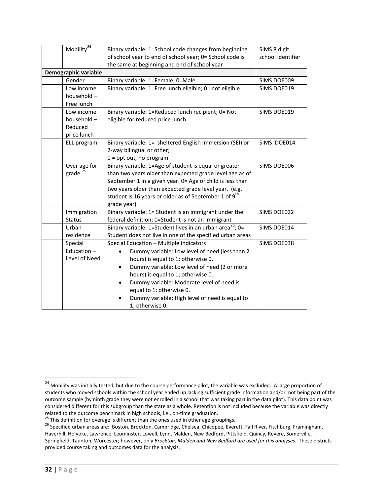| Mobility <sup>24</sup>                | Binary variable: 1=School code changes from beginning<br>of school year to end of school year; 0= School code is      | SIMS 8 digit<br>school identifier |
|---------------------------------------|-----------------------------------------------------------------------------------------------------------------------|-----------------------------------|
|                                       | the same at beginning and end of school year                                                                          |                                   |
| Demographic variable                  |                                                                                                                       |                                   |
| Gender                                | Binary variable: 1=Female; 0=Male                                                                                     | SIMS DOE009                       |
| Low income                            | Binary variable: 1=Free lunch eligible; 0= not eligible                                                               | SIMS DOE019                       |
| household-                            |                                                                                                                       |                                   |
| Free lunch                            |                                                                                                                       |                                   |
| Low income                            | Binary variable: 1=Reduced lunch recipient; 0= Not                                                                    | SIMS DOE019                       |
| household-                            | eligible for reduced price lunch                                                                                      |                                   |
| Reduced                               |                                                                                                                       |                                   |
| price lunch                           |                                                                                                                       |                                   |
| ELL program                           | Binary variable: 1= sheltered English Immersion (SEI) or                                                              | SIMS DOE014                       |
|                                       | 2-way bilingual or other;                                                                                             |                                   |
|                                       | $0 = opt out, no program$                                                                                             |                                   |
| Over age for<br>$grade$ <sup>25</sup> | Binary variable: 1=Age of student is equal or greater                                                                 | SIMS DOE006                       |
|                                       | than two years older than expected grade level age as of<br>September 1 in a given year. 0= Age of child is less than |                                   |
|                                       | two years older than expected grade level year. (e.g.                                                                 |                                   |
|                                       | student is 16 years or older as of September 1 of 9 <sup>th</sup>                                                     |                                   |
|                                       | grade year)                                                                                                           |                                   |
| Immigration                           | Binary variable: 1= Student is an immigrant under the                                                                 | SIMS DOE022                       |
| <b>Status</b>                         | federal definition; 0=Student is not an immigrant                                                                     |                                   |
| Urban                                 | Binary variable: 1=Student lives in an urban area <sup>26</sup> ; 0=                                                  | SIMS DOE014                       |
| residence                             | Student does not live in one of the specified urban areas                                                             |                                   |
| Special                               | Special Education - Multiple indicators                                                                               | SIMS DOE038                       |
| Education-                            | Dummy variable: Low level of need (less than 2                                                                        |                                   |
| Level of Need                         | hours) is equal to 1; otherwise 0.                                                                                    |                                   |
|                                       | Dummy variable: Low level of need (2 or more                                                                          |                                   |
|                                       | hours) is equal to 1; otherwise 0.                                                                                    |                                   |
|                                       | Dummy variable: Moderate level of need is                                                                             |                                   |
|                                       | equal to 1; otherwise 0.                                                                                              |                                   |
|                                       | Dummy variable: High level of need is equal to                                                                        |                                   |
|                                       | 1; otherwise 0.                                                                                                       |                                   |

<span id="page-34-0"></span><sup>&</sup>lt;sup>24</sup> Mobility was initially tested, but due to the course performance pilot, the variable was excluded. A large proportion of students who moved schools within the school year ended up lacking sufficient grade information and/or not being part of the outcome sample (by ninth grade they were not enrolled in a school that was taking part in the data pilot). This data point was considered different for this subgroup than the state as a whole. Retention is not included because the variable was directly related to the outcome benchmark in high schools, i.e., on-time graduation.<br><sup>25</sup> This definition for overage is different than the ones used in other age groupings.<br><sup>26</sup> Specified urban areas are: Boston, Brockton, Cambrid

<span id="page-34-2"></span><span id="page-34-1"></span>

Haverhill, Holyoke, Lawrence, Leominster, Lowell, Lynn, Malden, New Bedford, Pittsfield, Quincy, Revere, Somerville, Springfield, Taunton, Worcester; however, only *Brockton, Malden and New Bedford are used for this analyses*. These districts provided course taking and outcomes data for the analysis.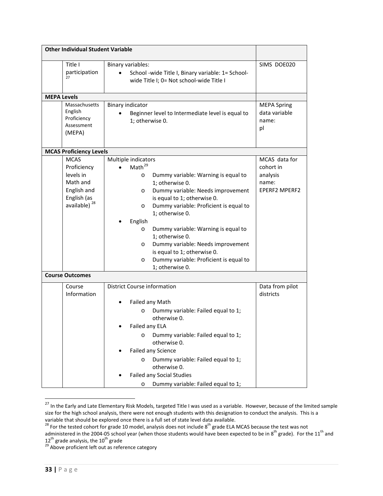| <b>Other Individual Student Variable</b>                                                                      |                                                                                                                                                                                                                                                                                                                                                                                                                                                                          |                                                                         |
|---------------------------------------------------------------------------------------------------------------|--------------------------------------------------------------------------------------------------------------------------------------------------------------------------------------------------------------------------------------------------------------------------------------------------------------------------------------------------------------------------------------------------------------------------------------------------------------------------|-------------------------------------------------------------------------|
| Title I<br>participation<br>27                                                                                | Binary variables:<br>School -wide Title I, Binary variable: 1= School-<br>wide Title I; 0= Not school-wide Title I                                                                                                                                                                                                                                                                                                                                                       | SIMS DOE020                                                             |
| <b>MEPA Levels</b>                                                                                            |                                                                                                                                                                                                                                                                                                                                                                                                                                                                          |                                                                         |
| Massachusetts<br>English<br>Proficiency<br>Assessment<br>(MEPA)                                               | <b>Binary indicator</b><br>Beginner level to Intermediate level is equal to<br>1; otherwise 0.                                                                                                                                                                                                                                                                                                                                                                           | <b>MEPA Spring</b><br>data variable<br>name:<br>pl                      |
| <b>MCAS Proficiency Levels</b>                                                                                |                                                                                                                                                                                                                                                                                                                                                                                                                                                                          |                                                                         |
| <b>MCAS</b><br>Proficiency<br>levels in<br>Math and<br>English and<br>English (as<br>available) <sup>28</sup> | Multiple indicators<br>Math <sup>29</sup><br>Dummy variable: Warning is equal to<br>O<br>1; otherwise 0.<br>Dummy variable: Needs improvement<br>O<br>is equal to 1; otherwise 0.<br>Dummy variable: Proficient is equal to<br>O<br>1; otherwise 0.<br>English<br>Dummy variable: Warning is equal to<br>O<br>1; otherwise 0.<br>Dummy variable: Needs improvement<br>O<br>is equal to 1; otherwise 0.<br>Dummy variable: Proficient is equal to<br>O<br>1; otherwise 0. | MCAS data for<br>cohort in<br>analysis<br>name:<br><b>EPERF2 MPERF2</b> |
| <b>Course Outcomes</b>                                                                                        |                                                                                                                                                                                                                                                                                                                                                                                                                                                                          |                                                                         |
| Course<br>Information                                                                                         | <b>District Course information</b><br>Failed any Math<br>Dummy variable: Failed equal to 1;<br>$\circ$<br>otherwise 0.<br>Failed any ELA<br>Dummy variable: Failed equal to 1;<br>$\circ$<br>otherwise 0.<br>Failed any Science<br>Dummy variable: Failed equal to 1;<br>$\circ$<br>otherwise 0.<br><b>Failed any Social Studies</b><br>Dummy variable: Failed equal to 1;<br>O                                                                                          | Data from pilot<br>districts                                            |

<span id="page-35-0"></span><sup>&</sup>lt;sup>27</sup> In the Early and Late Elementary Risk Models, targeted Title I was used as a variable. However, because of the limited sample size for the high school analysis, there were not enough students with this designation to conduct the analysis. This is a variable that should be explored once there is a full set of state level data available.

<span id="page-35-1"></span> $^{28}$  For the tested cohort for grade 10 model, analysis does not include 8<sup>th</sup> grade ELA MCAS because the test was not

administered in the 2004-05 school year (when those students would have been expected to be in 8<sup>th</sup> grade). For the 11<sup>th</sup> and

<span id="page-35-2"></span><sup>12&</sup>lt;sup>th</sup> grade analysis, the 10<sup>th</sup> grade<br><sup>29</sup> Above proficient left out as reference category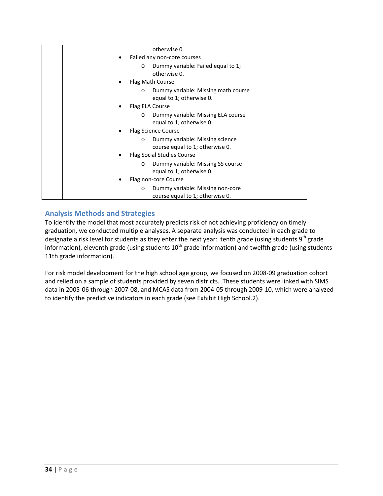|  | otherwise 0.                                                                   |  |
|--|--------------------------------------------------------------------------------|--|
|  | Failed any non-core courses                                                    |  |
|  | Dummy variable: Failed equal to 1;<br>$\circ$<br>otherwise 0.                  |  |
|  | Flag Math Course                                                               |  |
|  | Dummy variable: Missing math course<br>$\circ$<br>equal to 1; otherwise 0.     |  |
|  | Flag ELA Course                                                                |  |
|  | Dummy variable: Missing ELA course<br>$\circ$<br>equal to 1; otherwise 0.      |  |
|  | Flag Science Course                                                            |  |
|  | Dummy variable: Missing science<br>$\circ$<br>course equal to 1; otherwise 0.  |  |
|  | <b>Flag Social Studies Course</b>                                              |  |
|  | Dummy variable: Missing SS course<br>$\circ$<br>equal to 1; otherwise 0.       |  |
|  | Flag non-core Course                                                           |  |
|  | Dummy variable: Missing non-core<br>$\circ$<br>course equal to 1; otherwise 0. |  |

# <span id="page-36-0"></span>**Analysis Methods and Strategies**

To identify the model that most accurately predicts risk of not achieving proficiency on timely graduation, we conducted multiple analyses. A separate analysis was conducted in each grade to designate a risk level for students as they enter the next year: tenth grade (using students 9<sup>th</sup> grade information), eleventh grade (using students  $10^{th}$  grade information) and twelfth grade (using students 11th grade information).

For risk model development for the high school age group, we focused on 2008-09 graduation cohort and relied on a sample of students provided by seven districts. These students were linked with SIMS data in 2005-06 through 2007-08, and MCAS data from 2004-05 through 2009-10, which were analyzed to identify the predictive indicators in each grade (see Exhibit High School.2).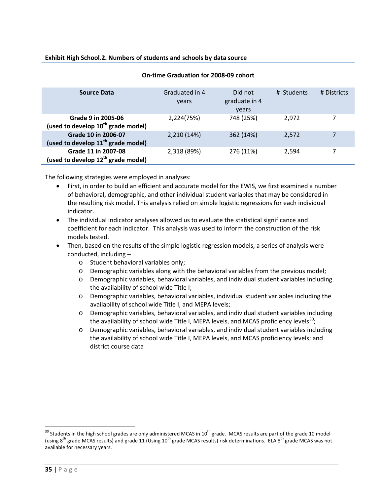| <b>Source Data</b>                                                           | Graduated in 4<br>years | Did not<br>graduate in 4 | # Students | # Districts |
|------------------------------------------------------------------------------|-------------------------|--------------------------|------------|-------------|
|                                                                              |                         | years                    |            |             |
| Grade 9 in 2005-06<br>(used to develop 10 <sup>th</sup> grade model)         | 2,224(75%)              | 748 (25%)                | 2.972      |             |
| <b>Grade 10 in 2006-07</b><br>(used to develop 11 <sup>th</sup> grade model) | 2,210 (14%)             | 362 (14%)                | 2,572      | 7           |
| Grade 11 in 2007-08<br>(used to develop 12 <sup>th</sup> grade model)        | 2,318 (89%)             | 276 (11%)                | 2,594      |             |

### **On-time Graduation for 2008-09 cohort**

The following strategies were employed in analyses:

- First, in order to build an efficient and accurate model for the EWIS, we first examined a number of behavioral, demographic, and other individual student variables that may be considered in the resulting risk model. This analysis relied on simple logistic regressions for each individual indicator.
- The individual indicator analyses allowed us to evaluate the statistical significance and coefficient for each indicator. This analysis was used to inform the construction of the risk models tested.
- Then, based on the results of the simple logistic regression models, a series of analysis were conducted, including –
	- o Student behavioral variables only;
	- o Demographic variables along with the behavioral variables from the previous model;
	- o Demographic variables, behavioral variables, and individual student variables including the availability of school wide Title I;
	- o Demographic variables, behavioral variables, individual student variables including the availability of school wide Title I, and MEPA levels;
	- o Demographic variables, behavioral variables, and individual student variables including the availability of school wide Title I, MEPA levels, and MCAS proficiency levels<sup>[30](#page-37-0)</sup>;
	- o Demographic variables, behavioral variables, and individual student variables including the availability of school wide Title I, MEPA levels, and MCAS proficiency levels; and district course data

<span id="page-37-0"></span> $30$  Students in the high school grades are only administered MCAS in  $10^{th}$  grade. MCAS results are part of the grade 10 model (using 8<sup>th</sup> grade MCAS results) and grade 11 (Using 10<sup>th</sup> grade MCAS results) risk determinations. ELA 8<sup>th</sup> grade MCAS was not available for necessary years.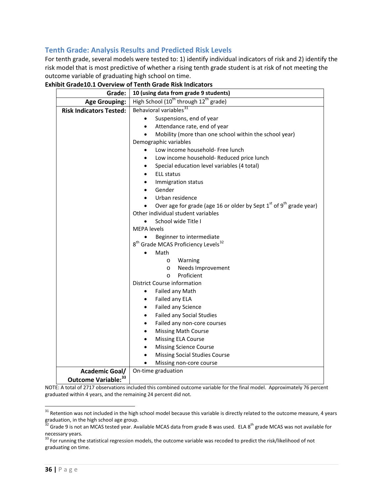# <span id="page-38-0"></span>**Tenth Grade: Analysis Results and Predicted Risk Levels**

For tenth grade, several models were tested to: 1) identify individual indicators of risk and 2) identify the risk model that is most predictive of whether a rising tenth grade student is at risk of not meeting the outcome variable of graduating high school on time.

| Grade:                         | 10 (using data from grade 9 students)                                                                                |  |  |  |  |
|--------------------------------|----------------------------------------------------------------------------------------------------------------------|--|--|--|--|
| <b>Age Grouping:</b>           | High School (10 <sup>th</sup> through 12 <sup>th</sup> grade)                                                        |  |  |  |  |
| <b>Risk Indicators Tested:</b> | Behavioral variables <sup>31</sup>                                                                                   |  |  |  |  |
|                                | Suspensions, end of year                                                                                             |  |  |  |  |
|                                | Attendance rate, end of year<br>$\bullet$                                                                            |  |  |  |  |
|                                | Mobility (more than one school within the school year)<br>$\bullet$                                                  |  |  |  |  |
|                                | Demographic variables                                                                                                |  |  |  |  |
|                                | Low income household- Free lunch                                                                                     |  |  |  |  |
|                                | Low income household- Reduced price lunch                                                                            |  |  |  |  |
|                                | Special education level variables (4 total)<br>$\bullet$                                                             |  |  |  |  |
|                                | <b>ELL status</b>                                                                                                    |  |  |  |  |
|                                | Immigration status<br>$\bullet$                                                                                      |  |  |  |  |
|                                | Gender<br>$\bullet$                                                                                                  |  |  |  |  |
|                                | Urban residence                                                                                                      |  |  |  |  |
|                                | Over age for grade (age 16 or older by Sept 1st of 9 <sup>th</sup> grade year)<br>Other individual student variables |  |  |  |  |
|                                | School wide Title I<br>$\bullet$                                                                                     |  |  |  |  |
|                                | <b>MEPA</b> levels                                                                                                   |  |  |  |  |
|                                | Beginner to intermediate<br>$\bullet$                                                                                |  |  |  |  |
|                                | 8 <sup>th</sup> Grade MCAS Proficiency Levels <sup>32</sup>                                                          |  |  |  |  |
|                                | Math                                                                                                                 |  |  |  |  |
|                                | Warning<br>$\circ$                                                                                                   |  |  |  |  |
|                                | Needs Improvement<br>$\circ$                                                                                         |  |  |  |  |
|                                | Proficient<br>$\circ$                                                                                                |  |  |  |  |
|                                | District Course information                                                                                          |  |  |  |  |
|                                | Failed any Math<br>$\bullet$                                                                                         |  |  |  |  |
|                                | Failed any ELA<br>$\bullet$                                                                                          |  |  |  |  |
|                                | Failed any Science<br>$\bullet$                                                                                      |  |  |  |  |
|                                | Failed any Social Studies<br>$\bullet$                                                                               |  |  |  |  |
|                                | Failed any non-core courses                                                                                          |  |  |  |  |
|                                | <b>Missing Math Course</b>                                                                                           |  |  |  |  |
|                                | <b>Missing ELA Course</b>                                                                                            |  |  |  |  |
|                                | <b>Missing Science Course</b>                                                                                        |  |  |  |  |
|                                | <b>Missing Social Studies Course</b>                                                                                 |  |  |  |  |
|                                | Missing non-core course                                                                                              |  |  |  |  |
| <b>Academic Goal/</b>          | On-time graduation                                                                                                   |  |  |  |  |
| Outcome Variable: 33           |                                                                                                                      |  |  |  |  |

**Exhibit Grade10.1 Overview of Tenth Grade Risk Indicators**

NOTE: A total of 2717 observations included this combined outcome variable for the final model. Approximately 76 percent graduated within 4 years, and the remaining 24 percent did not.

<span id="page-38-1"></span><sup>&</sup>lt;sup>31</sup> Retention was not included in the high school model because this variable is directly related to the outcome measure, 4 years graduation, in the high school age group.<br><sup>32</sup> Grade 9 is not an MCAS tested year. Available MCAS data from grade 8 was used. ELA 8<sup>th</sup> grade MCAS was not available for

<span id="page-38-2"></span>necessary years.

<span id="page-38-3"></span><sup>&</sup>lt;sup>33</sup> For running the statistical regression models, the outcome variable was recoded to predict the risk/likelihood of not graduating on time.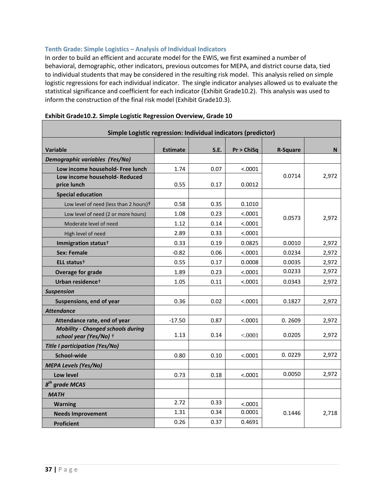### <span id="page-39-0"></span>**Tenth Grade: Simple Logistics – Analysis of Individual Indicators**

In order to build an efficient and accurate model for the EWIS, we first examined a number of behavioral, demographic, other indicators, previous outcomes for MEPA, and district course data, tied to individual students that may be considered in the resulting risk model. This analysis relied on simple logistic regressions for each individual indicator. The single indicator analyses allowed us to evaluate the statistical significance and coefficient for each indicator (Exhibit Grade10.2). This analysis was used to inform the construction of the final risk model (Exhibit Grade10.3).

| Simple Logistic regression: Individual indicators (predictor)      |                 |      |            |                 |       |  |
|--------------------------------------------------------------------|-----------------|------|------------|-----------------|-------|--|
| <b>Variable</b>                                                    | <b>Estimate</b> | S.E. | Pr > ChiSq | <b>R-Square</b> | N.    |  |
| Demographic variables (Yes/No)                                     |                 |      |            |                 |       |  |
| Low income household- Free lunch                                   | 1.74            | 0.07 | < .0001    |                 |       |  |
| Low income household- Reduced                                      |                 |      |            | 0.0714          | 2,972 |  |
| price lunch                                                        | 0.55            | 0.17 | 0.0012     |                 |       |  |
| <b>Special education</b>                                           |                 |      |            |                 |       |  |
| Low level of need (less than 2 hours) <sup>+</sup>                 | 0.58            | 0.35 | 0.1010     |                 |       |  |
| Low level of need (2 or more hours)                                | 1.08            | 0.23 | < .0001    | 0.0573          | 2,972 |  |
| Moderate level of need                                             | 1.12            | 0.14 | < .0001    |                 |       |  |
| High level of need                                                 | 2.89            | 0.33 | < .0001    |                 |       |  |
| Immigration status <sup>+</sup>                                    | 0.33            | 0.19 | 0.0825     | 0.0010          | 2,972 |  |
| <b>Sex: Female</b>                                                 | $-0.82$         | 0.06 | < .0001    | 0.0234          | 2,972 |  |
| ELL status <sup>+</sup>                                            | 0.55            | 0.17 | 0.0008     | 0.0035          | 2,972 |  |
| <b>Overage for grade</b>                                           | 1.89            | 0.23 | < .0001    | 0.0233          | 2,972 |  |
| Urban residence <sup>+</sup>                                       | 1.05            | 0.11 | < .0001    | 0.0343          | 2,972 |  |
| <b>Suspension</b>                                                  |                 |      |            |                 |       |  |
| Suspensions, end of year                                           | 0.36            | 0.02 | < .0001    | 0.1827          | 2,972 |  |
| <b>Attendance</b>                                                  |                 |      |            |                 |       |  |
| Attendance rate, end of year                                       | $-17.50$        | 0.87 | < .0001    | 0.2609          | 2,972 |  |
| <b>Mobility - Changed schools during</b><br>school year (Yes/No) + | 1.13            | 0.14 | < .0001    | 0.0205          | 2,972 |  |
| <b>Title I participation (Yes/No)</b>                              |                 |      |            |                 |       |  |
| School-wide                                                        | 0.80            | 0.10 | < .0001    | 0.0229          | 2,972 |  |
| <b>MEPA Levels (Yes/No)</b>                                        |                 |      |            |                 |       |  |
| Low level                                                          | 0.73            | 0.18 | < .0001    | 0.0050          | 2,972 |  |
| $8th$ grade MCAS                                                   |                 |      |            |                 |       |  |
| <b>MATH</b>                                                        |                 |      |            |                 |       |  |
| <b>Warning</b>                                                     | 2.72            | 0.33 | < .0001    |                 |       |  |
| <b>Needs Improvement</b>                                           | 1.31            | 0.34 | 0.0001     | 0.1446          | 2,718 |  |
| <b>Proficient</b>                                                  | 0.26            | 0.37 | 0.4691     |                 |       |  |

### **Exhibit Grade10.2. Simple Logistic Regression Overview, Grade 10**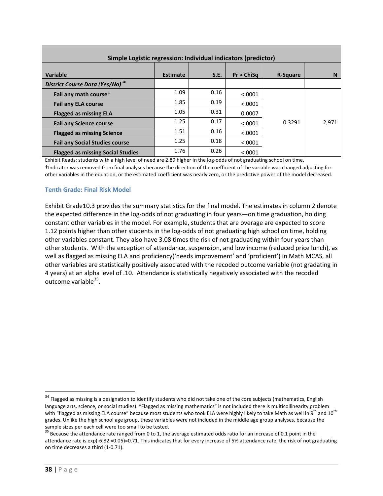| Simple Logistic regression: Individual indicators (predictor) |                 |      |            |                 |       |  |
|---------------------------------------------------------------|-----------------|------|------------|-----------------|-------|--|
| Variable                                                      | <b>Estimate</b> | S.E. | Pr > ChiSa | <b>R-Square</b> | N     |  |
| District Course Data (Yes/No) <sup>34</sup>                   |                 |      |            |                 |       |  |
| Fail any math course <sup>+</sup>                             | 1.09            | 0.16 | < .0001    |                 |       |  |
| <b>Fail any ELA course</b>                                    | 1.85            | 0.19 | < .0001    |                 |       |  |
| <b>Flagged as missing ELA</b>                                 | 1.05            | 0.31 | 0.0007     |                 |       |  |
| <b>Fail any Science course</b>                                | 1.25            | 0.17 | < .0001    | 0.3291          | 2,971 |  |
| <b>Flagged as missing Science</b>                             | 1.51            | 0.16 | < .0001    |                 |       |  |
| <b>Fail any Social Studies course</b>                         | 1.25            | 0.18 | < .0001    |                 |       |  |
| <b>Flagged as missing Social Studies</b>                      | 1.76            | 0.26 | < 0.0001   |                 |       |  |

Exhibit Reads: students with a high level of need are 2.89 higher in the log-odds of not graduating school on time. †Indicator was removed from final analyses because the direction of the coefficient of the variable was changed adjusting for other variables in the equation, or the estimated coefficient was nearly zero, or the predictive power of the model decreased.

### <span id="page-40-0"></span>**Tenth Grade: Final Risk Model**

Exhibit Grade10.3 provides the summary statistics for the final model. The estimates in column 2 denote the expected difference in the log-odds of not graduating in four years—on time graduation, holding constant other variables in the model. For example, students that are overage are expected to score 1.12 points higher than other students in the log-odds of not graduating high school on time, holding other variables constant. They also have 3.08 times the risk of not graduating within four years than other students. With the exception of attendance, suspension, and low income (reduced price lunch), as well as flagged as missing ELA and proficiency('needs improvement' and 'proficient') in Math MCAS, all other variables are statistically positively associated with the recoded outcome variable (not gradating in 4 years) at an alpha level of .10. Attendance is statistically negatively associated with the recoded outcome variable[35.](#page-40-2)

<span id="page-40-1"></span><sup>&</sup>lt;sup>34</sup> Flagged as missing is a designation to identify students who did not take one of the core subjects (mathematics, English language arts, science, or social studies). "Flagged as missing mathematics" is not included there is multicollinearity problem with "flagged as missing ELA course" because most students who took ELA were highly likely to take Math as well in 9<sup>th</sup> and 10<sup>th</sup> grades. Unlike the high school age group, these variables were not included in the middle age group analyses, because the sample sizes per each cell were too small to be tested.<br><sup>35</sup> Because the attendance rate ranged from 0 to 1, the average estimated odds ratio for an increase of 0.1 point in the

<span id="page-40-2"></span>attendance rate is exp(-6.82 ×0.05)=0.71. This indicates that for every increase of 5% attendance rate, the risk of not graduating on time decreases a third (1-0.71).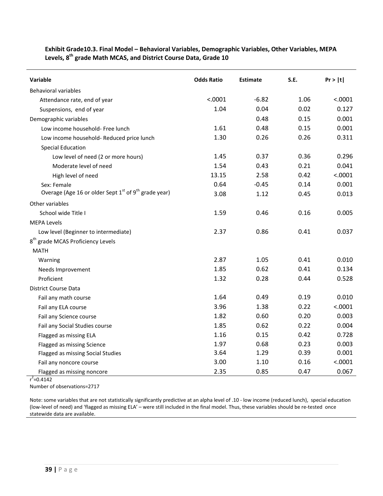| <b>Variable</b>                                          | <b>Odds Ratio</b> | <b>Estimate</b> | S.E. | Pr >  t |
|----------------------------------------------------------|-------------------|-----------------|------|---------|
| <b>Behavioral variables</b>                              |                   |                 |      |         |
| Attendance rate, end of year                             | < .0001           | $-6.82$         | 1.06 | < .0001 |
| Suspensions, end of year                                 | 1.04              | 0.04            | 0.02 | 0.127   |
| Demographic variables                                    |                   | 0.48            | 0.15 | 0.001   |
| Low income household- Free lunch                         | 1.61              | 0.48            | 0.15 | 0.001   |
| Low income household- Reduced price lunch                | 1.30              | 0.26            | 0.26 | 0.311   |
| <b>Special Education</b>                                 |                   |                 |      |         |
| Low level of need (2 or more hours)                      | 1.45              | 0.37            | 0.36 | 0.296   |
| Moderate level of need                                   | 1.54              | 0.43            | 0.21 | 0.041   |
| High level of need                                       | 13.15             | 2.58            | 0.42 | < .0001 |
| Sex: Female                                              | 0.64              | $-0.45$         | 0.14 | 0.001   |
| Overage (Age 16 or older Sept $1st$ of $9th$ grade year) | 3.08              | 1.12            | 0.45 | 0.013   |
| Other variables                                          |                   |                 |      |         |
| School wide Title I                                      | 1.59              | 0.46            | 0.16 | 0.005   |
| <b>MEPA Levels</b>                                       |                   |                 |      |         |
| Low level (Beginner to intermediate)                     | 2.37              | 0.86            | 0.41 | 0.037   |
| 8 <sup>th</sup> grade MCAS Proficiency Levels            |                   |                 |      |         |
| <b>MATH</b>                                              |                   |                 |      |         |
| Warning                                                  | 2.87              | 1.05            | 0.41 | 0.010   |
| Needs Improvement                                        | 1.85              | 0.62            | 0.41 | 0.134   |
| Proficient                                               | 1.32              | 0.28            | 0.44 | 0.528   |
| <b>District Course Data</b>                              |                   |                 |      |         |
| Fail any math course                                     | 1.64              | 0.49            | 0.19 | 0.010   |
| Fail any ELA course                                      | 3.96              | 1.38            | 0.22 | < .0001 |
| Fail any Science course                                  | 1.82              | 0.60            | 0.20 | 0.003   |
| Fail any Social Studies course                           | 1.85              | 0.62            | 0.22 | 0.004   |
| Flagged as missing ELA                                   | 1.16              | 0.15            | 0.42 | 0.728   |
| Flagged as missing Science                               | 1.97              | 0.68            | 0.23 | 0.003   |
| Flagged as missing Social Studies                        | 3.64              | 1.29            | 0.39 | 0.001   |
| Fail any noncore course                                  | 3.00              | 1.10            | 0.16 | < .0001 |
| Flagged as missing noncore                               | 2.35              | 0.85            | 0.47 | 0.067   |

**Exhibit Grade10.3. Final Model – Behavioral Variables, Demographic Variables, Other Variables, MEPA Levels, 8th grade Math MCAS, and District Course Data, Grade 10**

 $r^2$ =0.4142

Number of observations=2717

Note: some variables that are not statistically significantly predictive at an alpha level of .10 - low income (reduced lunch), special education (low-level of need) and 'flagged as missing ELA' – were still included in the final model. Thus, these variables should be re-tested once statewide data are available.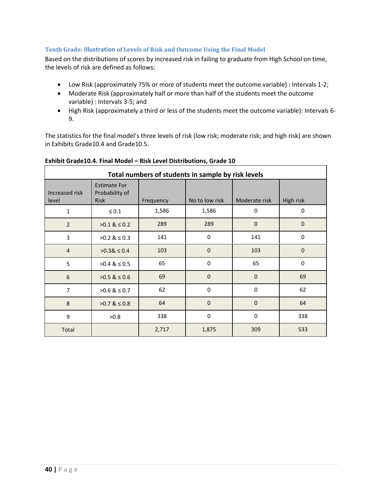### <span id="page-42-0"></span>**Tenth Grade: Illustration of Levels of Risk and Outcome Using the Final Model**

Based on the distributions of scores by increased risk in failing to graduate from High School on time, the levels of risk are defined as follows:

- Low Risk (approximately 75% or more of students meet the outcome variable) : Intervals 1-2;
- Moderate Risk (approximately half or more than half of the students meet the outcome variable) : Intervals 3-5; and
- High Risk (approximately a third or less of the students meet the outcome variable): Intervals 6- 9.

The statistics for the final model's three levels of risk (low risk; moderate risk; and high risk) are shown in Exhibits Grade10.4 and Grade10.5.

| Total numbers of students in sample by risk levels |                                                      |           |                |                |           |
|----------------------------------------------------|------------------------------------------------------|-----------|----------------|----------------|-----------|
| Increased risk<br>level                            | <b>Estimate For</b><br>Probability of<br><b>Risk</b> | Frequency | No to low risk | Moderate risk  | High risk |
| $\mathbf{1}$                                       | $\leq 0.1$                                           | 1,586     | 1,586          | 0              | $\Omega$  |
| $\overline{2}$                                     | $>0.1$ & $\leq 0.2$                                  | 289       | 289            | $\overline{0}$ | $\Omega$  |
| 3                                                  | $>0.2$ & $\leq 0.3$                                  | 141       | $\mathbf{0}$   | 141            | $\Omega$  |
| $\overline{4}$                                     | $>0.38 \le 0.4$                                      | 103       | $\Omega$       | 103            | $\Omega$  |
| 5                                                  | $>0.4$ & $\leq 0.5$                                  | 65        | $\Omega$       | 65             | $\Omega$  |
| 6                                                  | $>0.5$ & $\leq 0.6$                                  | 69        | $\Omega$       | $\mathbf{0}$   | 69        |
| 7                                                  | $>0.6$ & $\leq 0.7$                                  | 62        | $\mathbf 0$    | 0              | 62        |
| 8                                                  | $>0.7$ & $\leq 0.8$                                  | 64        | $\Omega$       | $\overline{0}$ | 64        |
| 9                                                  | >0.8                                                 | 338       | $\mathbf 0$    | 0              | 338       |
| Total                                              |                                                      | 2,717     | 1,875          | 309            | 533       |

### **Exhibit Grade10.4. Final Model – Risk Level Distributions, Grade 10**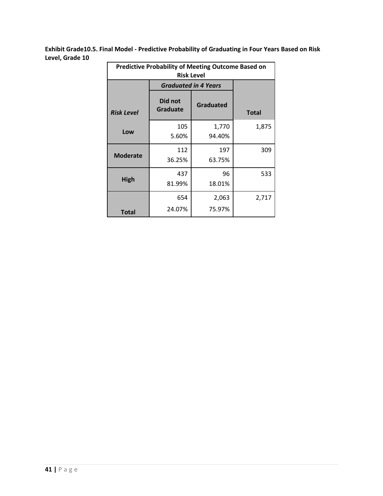**Exhibit Grade10.5. Final Model - Predictive Probability of Graduating in Four Years Based on Risk Level, Grade 10**

| <b>Predictive Probability of Meeting Outcome Based on</b><br><b>Risk Level</b> |                             |                  |              |  |
|--------------------------------------------------------------------------------|-----------------------------|------------------|--------------|--|
|                                                                                | <b>Graduated in 4 Years</b> |                  |              |  |
| <b>Risk Level</b>                                                              | Did not<br>Graduate         | <b>Graduated</b> | <b>Total</b> |  |
| Low                                                                            | 105<br>5.60%                | 1,770<br>94.40%  | 1,875        |  |
| <b>Moderate</b>                                                                | 112<br>36.25%               | 197<br>63.75%    | 309          |  |
| High                                                                           | 437<br>81.99%               | 96<br>18.01%     | 533          |  |
| Total                                                                          | 654<br>24.07%               | 2,063<br>75.97%  | 2,717        |  |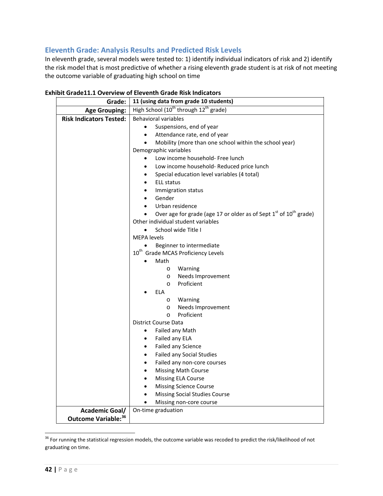# <span id="page-44-0"></span>**Eleventh Grade: Analysis Results and Predicted Risk Levels**

In eleventh grade, several models were tested to: 1) identify individual indicators of risk and 2) identify the risk model that is most predictive of whether a rising eleventh grade student is at risk of not meeting the outcome variable of graduating high school on time

| Grade:                         | 11 (using data from grade 10 students)                                             |  |  |  |  |
|--------------------------------|------------------------------------------------------------------------------------|--|--|--|--|
| <b>Age Grouping:</b>           | High School (10 <sup>th</sup> through 12 <sup>th</sup> grade)                      |  |  |  |  |
| <b>Risk Indicators Tested:</b> | <b>Behavioral variables</b>                                                        |  |  |  |  |
|                                | Suspensions, end of year<br>$\bullet$                                              |  |  |  |  |
|                                | Attendance rate, end of year<br>$\bullet$                                          |  |  |  |  |
|                                | Mobility (more than one school within the school year)<br>$\bullet$                |  |  |  |  |
|                                | Demographic variables                                                              |  |  |  |  |
|                                | Low income household- Free lunch<br>$\bullet$                                      |  |  |  |  |
|                                | Low income household- Reduced price lunch<br>$\bullet$                             |  |  |  |  |
|                                | Special education level variables (4 total)<br>$\bullet$                           |  |  |  |  |
|                                | <b>ELL status</b><br>$\bullet$                                                     |  |  |  |  |
|                                | Immigration status<br>$\bullet$                                                    |  |  |  |  |
|                                | Gender<br>$\bullet$                                                                |  |  |  |  |
|                                | Urban residence                                                                    |  |  |  |  |
|                                | Over age for grade (age 17 or older as of Sept $1st$ of $10th$ grade)<br>$\bullet$ |  |  |  |  |
|                                | Other individual student variables                                                 |  |  |  |  |
|                                | School wide Title I<br>$\bullet$                                                   |  |  |  |  |
|                                | <b>MEPA</b> levels<br>Beginner to intermediate                                     |  |  |  |  |
|                                | 10 <sup>th</sup> Grade MCAS Proficiency Levels                                     |  |  |  |  |
|                                | Math                                                                               |  |  |  |  |
|                                | Warning<br>$\circ$                                                                 |  |  |  |  |
|                                | Needs Improvement<br>$\circ$                                                       |  |  |  |  |
|                                | Proficient<br>$\circ$                                                              |  |  |  |  |
|                                | ELA                                                                                |  |  |  |  |
|                                | Warning<br>$\circ$                                                                 |  |  |  |  |
|                                | Needs Improvement<br>$\circ$                                                       |  |  |  |  |
|                                | Proficient<br>$\circ$                                                              |  |  |  |  |
|                                | District Course Data                                                               |  |  |  |  |
|                                | Failed any Math<br>$\bullet$                                                       |  |  |  |  |
|                                | Failed any ELA<br>$\bullet$                                                        |  |  |  |  |
|                                | Failed any Science<br>$\bullet$                                                    |  |  |  |  |
|                                | <b>Failed any Social Studies</b><br>$\bullet$                                      |  |  |  |  |
|                                | Failed any non-core courses<br>$\bullet$                                           |  |  |  |  |
|                                | <b>Missing Math Course</b><br>$\bullet$                                            |  |  |  |  |
|                                | <b>Missing ELA Course</b><br>$\bullet$                                             |  |  |  |  |
|                                | <b>Missing Science Course</b><br>$\bullet$                                         |  |  |  |  |
|                                | Missing Social Studies Course                                                      |  |  |  |  |
|                                | Missing non-core course                                                            |  |  |  |  |
| <b>Academic Goal/</b>          | On-time graduation                                                                 |  |  |  |  |
| Outcome Variable: 36           |                                                                                    |  |  |  |  |

**Exhibit Grade11.1 Overview of Eleventh Grade Risk Indicators**

<span id="page-44-1"></span><sup>&</sup>lt;sup>36</sup> For running the statistical regression models, the outcome variable was recoded to predict the risk/likelihood of not graduating on time.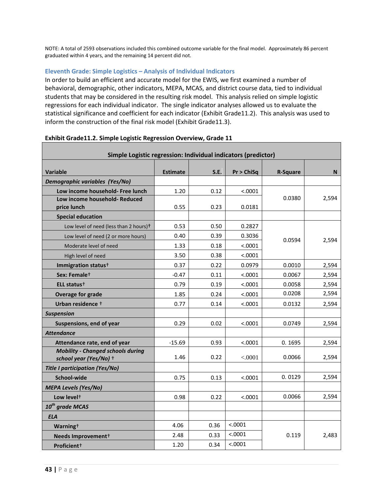NOTE: A total of 2593 observations included this combined outcome variable for the final model. Approximately 86 percent graduated within 4 years, and the remaining 14 percent did not.

### <span id="page-45-0"></span>**Eleventh Grade: Simple Logistics – Analysis of Individual Indicators**

In order to build an efficient and accurate model for the EWIS, we first examined a number of behavioral, demographic, other indicators, MEPA, MCAS, and district course data, tied to individual students that may be considered in the resulting risk model. This analysis relied on simple logistic regressions for each individual indicator. The single indicator analyses allowed us to evaluate the statistical significance and coefficient for each indicator (Exhibit Grade11.2). This analysis was used to inform the construction of the final risk model (Exhibit Grade11.3).

| Simple Logistic regression: Individual indicators (predictor)      |                 |      |            |                 |       |  |
|--------------------------------------------------------------------|-----------------|------|------------|-----------------|-------|--|
| <b>Variable</b>                                                    | <b>Estimate</b> | S.E. | Pr > ChiSq | <b>R-Square</b> | N     |  |
| Demographic variables (Yes/No)                                     |                 |      |            |                 |       |  |
| Low income household- Free lunch                                   | 1.20            | 0.12 | < .0001    |                 |       |  |
| Low income household- Reduced                                      |                 |      |            | 0.0380          | 2,594 |  |
| price lunch                                                        | 0.55            | 0.23 | 0.0181     |                 |       |  |
| <b>Special education</b>                                           |                 |      |            |                 |       |  |
| Low level of need (less than 2 hours) <sup>+</sup>                 | 0.53            | 0.50 | 0.2827     |                 |       |  |
| Low level of need (2 or more hours)                                | 0.40            | 0.39 | 0.3036     | 0.0594          | 2,594 |  |
| Moderate level of need                                             | 1.33            | 0.18 | < .0001    |                 |       |  |
| High level of need                                                 | 3.50            | 0.38 | < .0001    |                 |       |  |
| Immigration status <sup>+</sup>                                    | 0.37            | 0.22 | 0.0979     | 0.0010          | 2,594 |  |
| Sex: Female <sup>+</sup>                                           | $-0.47$         | 0.11 | < .0001    | 0.0067          | 2,594 |  |
| ELL status <sup>+</sup>                                            | 0.79            | 0.19 | < .0001    | 0.0058          | 2,594 |  |
| <b>Overage for grade</b>                                           | 1.85            | 0.24 | < .0001    | 0.0208          | 2,594 |  |
| Urban residence +                                                  | 0.77            | 0.14 | < .0001    | 0.0132          | 2,594 |  |
| <b>Suspension</b>                                                  |                 |      |            |                 |       |  |
| Suspensions, end of year                                           | 0.29            | 0.02 | < .0001    | 0.0749          | 2,594 |  |
| <b>Attendance</b>                                                  |                 |      |            |                 |       |  |
| Attendance rate, end of year                                       | $-15.69$        | 0.93 | < .0001    | 0.1695          | 2,594 |  |
| <b>Mobility - Changed schools during</b><br>school year (Yes/No) + | 1.46            | 0.22 | < .0001    | 0.0066          | 2,594 |  |
| <b>Title I participation (Yes/No)</b>                              |                 |      |            |                 |       |  |
| School-wide                                                        | 0.75            | 0.13 | < .0001    | 0.0129          | 2,594 |  |
| <b>MEPA Levels (Yes/No)</b>                                        |                 |      |            |                 |       |  |
| Low level <sup>+</sup>                                             | 0.98            | 0.22 | < .0001    | 0.0066          | 2,594 |  |
| 10 <sup>th</sup> grade MCAS                                        |                 |      |            |                 |       |  |
| <b>ELA</b>                                                         |                 |      |            |                 |       |  |
| Warning <sup>+</sup>                                               | 4.06            | 0.36 | < .0001    |                 |       |  |
| Needs Improvement <sup>+</sup>                                     | 2.48            | 0.33 | < .0001    | 0.119           | 2,483 |  |
| Proficient <sup>+</sup>                                            | 1.20            | 0.34 | < .0001    |                 |       |  |

#### **Exhibit Grade11.2. Simple Logistic Regression Overview, Grade 11**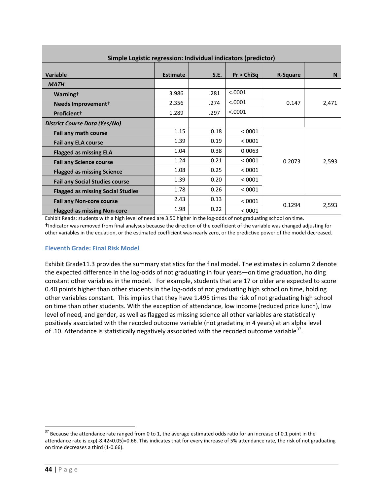| Simple Logistic regression: Individual indicators (predictor) |                 |      |            |                 |          |  |
|---------------------------------------------------------------|-----------------|------|------------|-----------------|----------|--|
| <b>Variable</b>                                               | <b>Estimate</b> | S.E. | Pr > ChiSa | <b>R-Square</b> | <b>N</b> |  |
| <b>MATH</b>                                                   |                 |      |            |                 |          |  |
| Warning <sup>+</sup>                                          | 3.986           | .281 | < .0001    |                 |          |  |
| Needs Improvement <sup>+</sup>                                | 2.356           | .274 | < .0001    | 0.147           | 2,471    |  |
| Proficient <sup>+</sup>                                       | 1.289           | .297 | < .0001    |                 |          |  |
| District Course Data (Yes/No)                                 |                 |      |            |                 |          |  |
| Fail any math course                                          | 1.15            | 0.18 | < .0001    |                 |          |  |
| <b>Fail any ELA course</b>                                    | 1.39            | 0.19 | < .0001    |                 |          |  |
| <b>Flagged as missing ELA</b>                                 | 1.04            | 0.38 | 0.0063     |                 |          |  |
| <b>Fail any Science course</b>                                | 1.24            | 0.21 | < .0001    | 0.2073          | 2,593    |  |
| <b>Flagged as missing Science</b>                             | 1.08            | 0.25 | < .0001    |                 |          |  |
| <b>Fail any Social Studies course</b>                         | 1.39            | 0.20 | < .0001    |                 |          |  |
| <b>Flagged as missing Social Studies</b>                      | 1.78            | 0.26 | < .0001    |                 |          |  |
| <b>Fail any Non-core course</b>                               | 2.43            | 0.13 | < .0001    |                 |          |  |
| <b>Flagged as missing Non-core</b>                            | 1.98            | 0.22 | < .0001    | 0.1294          | 2,593    |  |

Exhibit Reads: students with a high level of need are 3.50 higher in the log-odds of not graduating school on time. †Indicator was removed from final analyses because the direction of the coefficient of the variable was changed adjusting for other variables in the equation, or the estimated coefficient was nearly zero, or the predictive power of the model decreased.

### <span id="page-46-0"></span>**Eleventh Grade: Final Risk Model**

Exhibit Grade11.3 provides the summary statistics for the final model. The estimates in column 2 denote the expected difference in the log-odds of not graduating in four years—on time graduation, holding constant other variables in the model. For example, students that are 17 or older are expected to score 0.40 points higher than other students in the log-odds of not graduating high school on time, holding other variables constant. This implies that they have 1.495 times the risk of not graduating high school on time than other students. With the exception of attendance, low income (reduced price lunch), low level of need, and gender, as well as flagged as missing science all other variables are statistically positively associated with the recoded outcome variable (not gradating in 4 years) at an alpha level of .10. Attendance is statistically negatively associated with the recoded outcome variable<sup>37</sup>.

<span id="page-46-1"></span> $37$  Because the attendance rate ranged from 0 to 1, the average estimated odds ratio for an increase of 0.1 point in the attendance rate is exp(-8.42×0.05)=0.66. This indicates that for every increase of 5% attendance rate, the risk of not graduating on time decreases a third (1-0.66).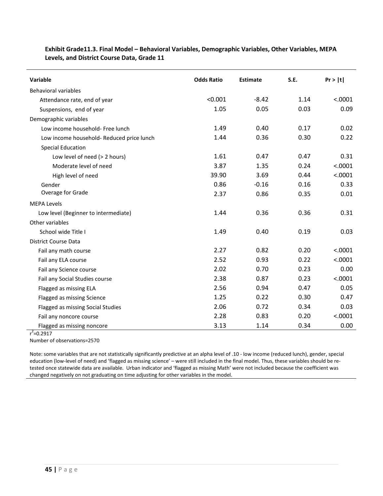| Variable                                  | <b>Odds Ratio</b> | <b>Estimate</b> | S.E. | Pr >  t |
|-------------------------------------------|-------------------|-----------------|------|---------|
| <b>Behavioral variables</b>               |                   |                 |      |         |
| Attendance rate, end of year              | < 0.001           | $-8.42$         | 1.14 | < .0001 |
| Suspensions, end of year                  | 1.05              | 0.05            | 0.03 | 0.09    |
|                                           |                   |                 |      |         |
| Demographic variables                     |                   |                 |      |         |
| Low income household- Free lunch          | 1.49              | 0.40            | 0.17 | 0.02    |
| Low income household- Reduced price lunch | 1.44              | 0.36            | 0.30 | 0.22    |
| <b>Special Education</b>                  |                   |                 |      |         |
| Low level of need (> 2 hours)             | 1.61              | 0.47            | 0.47 | 0.31    |
| Moderate level of need                    | 3.87              | 1.35            | 0.24 | < .0001 |
| High level of need                        | 39.90             | 3.69            | 0.44 | < .0001 |
| Gender                                    | 0.86              | $-0.16$         | 0.16 | 0.33    |
| Overage for Grade                         | 2.37              | 0.86            | 0.35 | 0.01    |
| <b>MEPA Levels</b>                        |                   |                 |      |         |
| Low level (Beginner to intermediate)      | 1.44              | 0.36            | 0.36 | 0.31    |
| Other variables                           |                   |                 |      |         |
| School wide Title I                       | 1.49              | 0.40            | 0.19 | 0.03    |
| <b>District Course Data</b>               |                   |                 |      |         |
| Fail any math course                      | 2.27              | 0.82            | 0.20 | < .0001 |
| Fail any ELA course                       | 2.52              | 0.93            | 0.22 | < .0001 |
| Fail any Science course                   | 2.02              | 0.70            | 0.23 | 0.00    |
| Fail any Social Studies course            | 2.38              | 0.87            | 0.23 | < .0001 |
| Flagged as missing ELA                    | 2.56              | 0.94            | 0.47 | 0.05    |
| Flagged as missing Science                | 1.25              | 0.22            | 0.30 | 0.47    |
| Flagged as missing Social Studies         | 2.06              | 0.72            | 0.34 | 0.03    |
| Fail any noncore course                   | 2.28              | 0.83            | 0.20 | < .0001 |
| Flagged as missing noncore                | 3.13              | 1.14            | 0.34 | 0.00    |

### **Exhibit Grade11.3. Final Model – Behavioral Variables, Demographic Variables, Other Variables, MEPA Levels, and District Course Data, Grade 11**

 $r^2$ =0.2917

Number of observations=2570

<span id="page-47-0"></span>Note: some variables that are not statistically significantly predictive at an alpha level of .10 - low income (reduced lunch), gender, special education (low-level of need) and 'flagged as missing science' – were still included in the final model. Thus, these variables should be retested once statewide data are available. Urban indicator and 'flagged as missing Math' were not included because the coefficient was changed negatively on not graduating on time adjusting for other variables in the model.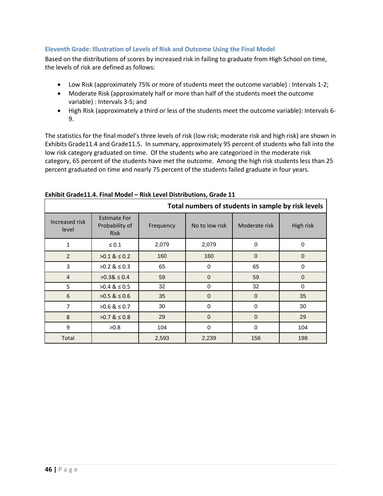### **Eleventh Grade: Illustration of Levels of Risk and Outcome Using the Final Model**

Based on the distributions of scores by increased risk in failing to graduate from High School on time, the levels of risk are defined as follows:

- Low Risk (approximately 75% or more of students meet the outcome variable) : Intervals 1-2;
- Moderate Risk (approximately half or more than half of the students meet the outcome variable) : Intervals 3-5; and
- High Risk (approximately a third or less of the students meet the outcome variable): Intervals 6- 9.

The statistics for the final model's three levels of risk (low risk; moderate risk and high risk) are shown in Exhibits Grade11.4 and Grade11.5. In summary, approximately 95 percent of students who fall into the low risk category graduated on time. Of the students who are categorized in the moderate risk category, 65 percent of the students have met the outcome. Among the high risk students less than 25 percent graduated on time and nearly 75 percent of the students failed graduate in four years.

| Total numbers of students in sample by risk levels |                                                      |           |                |               |             |
|----------------------------------------------------|------------------------------------------------------|-----------|----------------|---------------|-------------|
| Increased risk<br>level                            | <b>Estimate For</b><br>Probability of<br><b>Risk</b> | Frequency | No to low risk | Moderate risk | High risk   |
| $\mathbf{1}$                                       | $\leq 0.1$                                           | 2,079     | 2,079          | 0             | 0           |
| $\overline{2}$                                     | $>0.1$ & $\leq 0.2$                                  | 160       | 160            | $\mathbf 0$   | $\mathbf 0$ |
| 3                                                  | $>0.2$ & $\leq 0.3$                                  | 65        | $\Omega$       | 65            | 0           |
| $\overline{4}$                                     | $>0.38 \le 0.4$                                      | 59        | $\Omega$       | 59            | $\mathbf 0$ |
| 5                                                  | $>0.4$ & $\leq 0.5$                                  | 32        | $\Omega$       | 32            | $\Omega$    |
| 6                                                  | $>0.5$ & $\leq 0.6$                                  | 35        | $\mathbf 0$    | $\mathbf{0}$  | 35          |
| 7                                                  | $>0.6$ & $\leq 0.7$                                  | 30        | 0              | 0             | 30          |
| 8                                                  | $>0.7$ & $\leq 0.8$                                  | 29        | $\Omega$       | $\mathbf 0$   | 29          |
| 9                                                  | >0.8                                                 | 104       | $\Omega$       | $\mathbf 0$   | 104         |
| Total                                              |                                                      | 2,593     | 2,239          | 156           | 198         |

### **Exhibit Grade11.4. Final Model – Risk Level Distributions, Grade 11**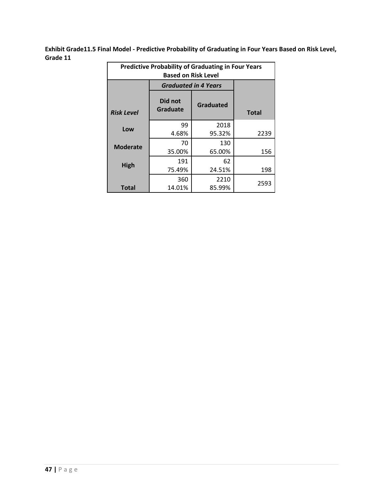**Exhibit Grade11.5 Final Model - Predictive Probability of Graduating in Four Years Based on Risk Level, Grade 11**

| <b>Predictive Probability of Graduating in Four Years</b><br><b>Based on Risk Level</b> |                     |                             |              |  |
|-----------------------------------------------------------------------------------------|---------------------|-----------------------------|--------------|--|
|                                                                                         |                     | <b>Graduated in 4 Years</b> |              |  |
| <b>Risk Level</b>                                                                       | Did not<br>Graduate | <b>Graduated</b>            | <b>Total</b> |  |
| Low                                                                                     | 99<br>4.68%         | 2018<br>95.32%              | 2239         |  |
| <b>Moderate</b>                                                                         | 70<br>35.00%        | 130<br>65.00%               | 156          |  |
| High                                                                                    | 191<br>75.49%       | 62<br>24.51%                | 198          |  |
| Total                                                                                   | 360<br>14.01%       | 2210<br>85.99%              | 2593         |  |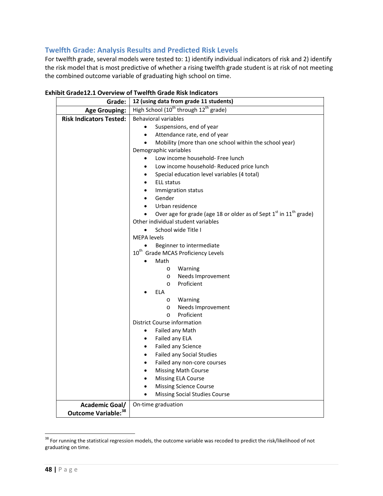# <span id="page-50-0"></span>**Twelfth Grade: Analysis Results and Predicted Risk Levels**

For twelfth grade, several models were tested to: 1) identify individual indicators of risk and 2) identify the risk model that is most predictive of whether a rising twelfth grade student is at risk of not meeting the combined outcome variable of graduating high school on time.

| Grade:                         | 12 (using data from grade 11 students)                                                                                          |  |  |  |  |
|--------------------------------|---------------------------------------------------------------------------------------------------------------------------------|--|--|--|--|
| <b>Age Grouping:</b>           | High School (10 <sup>th</sup> through 12 <sup>th</sup> grade)                                                                   |  |  |  |  |
| <b>Risk Indicators Tested:</b> | <b>Behavioral variables</b>                                                                                                     |  |  |  |  |
|                                | Suspensions, end of year                                                                                                        |  |  |  |  |
|                                | Attendance rate, end of year<br>$\bullet$                                                                                       |  |  |  |  |
|                                | Mobility (more than one school within the school year)<br>$\bullet$                                                             |  |  |  |  |
|                                | Demographic variables                                                                                                           |  |  |  |  |
|                                | Low income household- Free lunch<br>$\bullet$                                                                                   |  |  |  |  |
|                                | Low income household- Reduced price lunch<br>٠                                                                                  |  |  |  |  |
|                                | Special education level variables (4 total)<br>$\bullet$                                                                        |  |  |  |  |
|                                | <b>ELL status</b><br>$\bullet$                                                                                                  |  |  |  |  |
|                                | Immigration status<br>$\bullet$                                                                                                 |  |  |  |  |
|                                | Gender                                                                                                                          |  |  |  |  |
|                                | Urban residence<br>$\bullet$                                                                                                    |  |  |  |  |
|                                | Over age for grade (age 18 or older as of Sept 1 <sup>st</sup> in 11 <sup>th</sup> grade)<br>Other individual student variables |  |  |  |  |
|                                |                                                                                                                                 |  |  |  |  |
|                                | School wide Title I                                                                                                             |  |  |  |  |
|                                | <b>MEPA</b> levels<br>Beginner to intermediate                                                                                  |  |  |  |  |
|                                | 10 <sup>th</sup> Grade MCAS Proficiency Levels                                                                                  |  |  |  |  |
|                                | Math                                                                                                                            |  |  |  |  |
|                                | Warning<br>$\circ$                                                                                                              |  |  |  |  |
|                                | Needs Improvement<br>$\circ$                                                                                                    |  |  |  |  |
|                                | Proficient<br>$\circ$                                                                                                           |  |  |  |  |
|                                | <b>ELA</b>                                                                                                                      |  |  |  |  |
|                                | Warning<br>$\circ$                                                                                                              |  |  |  |  |
|                                | Needs Improvement<br>$\circ$                                                                                                    |  |  |  |  |
|                                | Proficient<br>$\circ$                                                                                                           |  |  |  |  |
|                                | District Course information                                                                                                     |  |  |  |  |
|                                | Failed any Math<br>٠                                                                                                            |  |  |  |  |
|                                | Failed any ELA<br>$\bullet$                                                                                                     |  |  |  |  |
|                                | Failed any Science<br>$\bullet$                                                                                                 |  |  |  |  |
|                                | <b>Failed any Social Studies</b><br>$\bullet$                                                                                   |  |  |  |  |
|                                | Failed any non-core courses<br>$\bullet$                                                                                        |  |  |  |  |
|                                | <b>Missing Math Course</b><br>٠                                                                                                 |  |  |  |  |
|                                | <b>Missing ELA Course</b><br>$\bullet$                                                                                          |  |  |  |  |
|                                | <b>Missing Science Course</b><br>$\bullet$                                                                                      |  |  |  |  |
|                                | Missing Social Studies Course<br>$\bullet$                                                                                      |  |  |  |  |
| Academic Goal/                 | On-time graduation                                                                                                              |  |  |  |  |
| Outcome Variable: 38           |                                                                                                                                 |  |  |  |  |

**Exhibit Grade12.1 Overview of Twelfth Grade Risk Indicators**

<span id="page-50-1"></span> $38$  For running the statistical regression models, the outcome variable was recoded to predict the risk/likelihood of not graduating on time.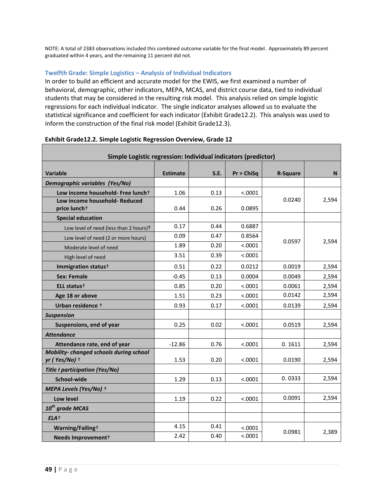NOTE: A total of 2383 observations included this combined outcome variable for the final model. Approximately 89 percent graduated within 4 years, and the remaining 11 percent did not.

### <span id="page-51-0"></span>**Twelfth Grade: Simple Logistics – Analysis of Individual Indicators**

In order to build an efficient and accurate model for the EWIS, we first examined a number of behavioral, demographic, other indicators, MEPA, MCAS, and district course data, tied to individual students that may be considered in the resulting risk model. This analysis relied on simple logistic regressions for each individual indicator. The single indicator analyses allowed us to evaluate the statistical significance and coefficient for each indicator (Exhibit Grade12.2). This analysis was used to inform the construction of the final risk model (Exhibit Grade12.3).

| Simple Logistic regression: Individual indicators (predictor)    |                 |      |            |                 |       |  |
|------------------------------------------------------------------|-----------------|------|------------|-----------------|-------|--|
| <b>Variable</b>                                                  | <b>Estimate</b> | S.E. | Pr > ChiSq | <b>R-Square</b> | N     |  |
| Demographic variables (Yes/No)                                   |                 |      |            |                 |       |  |
| Low income household- Free lunch <sup>+</sup>                    | 1.06            | 0.13 | < .0001    |                 |       |  |
| Low income household- Reduced<br>price lunch <sup>+</sup>        | 0.44            | 0.26 | 0.0895     | 0.0240          | 2,594 |  |
| <b>Special education</b>                                         |                 |      |            |                 |       |  |
| Low level of need (less than 2 hours) <sup>+</sup>               | 0.17            | 0.44 | 0.6887     |                 |       |  |
| Low level of need (2 or more hours)                              | 0.09            | 0.47 | 0.8564     | 0.0597          | 2,594 |  |
| Moderate level of need                                           | 1.89            | 0.20 | < .0001    |                 |       |  |
| High level of need                                               | 3.51            | 0.39 | < .0001    |                 |       |  |
| Immigration status <sup>+</sup>                                  | 0.51            | 0.22 | 0.0212     | 0.0019          | 2,594 |  |
| <b>Sex: Female</b>                                               | $-0.45$         | 0.13 | 0.0004     | 0.0049          | 2,594 |  |
| ELL status <sup>+</sup>                                          | 0.85            | 0.20 | < .0001    | 0.0061          | 2,594 |  |
| Age 18 or above                                                  | 1.51            | 0.23 | < .0001    | 0.0142          | 2,594 |  |
| Urban residence +                                                | 0.93            | 0.17 | < .0001    | 0.0139          | 2,594 |  |
| <b>Suspension</b>                                                |                 |      |            |                 |       |  |
| Suspensions, end of year                                         | 0.25            | 0.02 | < .0001    | 0.0519          | 2,594 |  |
| <b>Attendance</b>                                                |                 |      |            |                 |       |  |
| Attendance rate, end of year                                     | $-12.86$        | 0.76 | < .0001    | 0.1611          | 2,594 |  |
| <b>Mobility-changed schools during school</b><br>$yr$ (Yes/No) + | 1.53            | 0.20 | < .0001    | 0.0190          | 2,594 |  |
| <b>Title I participation (Yes/No)</b>                            |                 |      |            |                 |       |  |
| School-wide                                                      | 1.29            | 0.13 | < .0001    | 0.0333          | 2,594 |  |
| MEPA Levels (Yes/No) +                                           |                 |      |            |                 |       |  |
| Low level                                                        | 1.19            | 0.22 | < .0001    | 0.0091          | 2,594 |  |
| $10^{th}$ grade MCAS                                             |                 |      |            |                 |       |  |
| $ELA+$                                                           |                 |      |            |                 |       |  |
| Warning/Failing+                                                 | 4.15            | 0.41 | < .0001    | 0.0981          | 2,389 |  |
| Needs Improvement <sup>+</sup>                                   | 2.42            | 0.40 | < .0001    |                 |       |  |

### **Exhibit Grade12.2. Simple Logistic Regression Overview, Grade 12**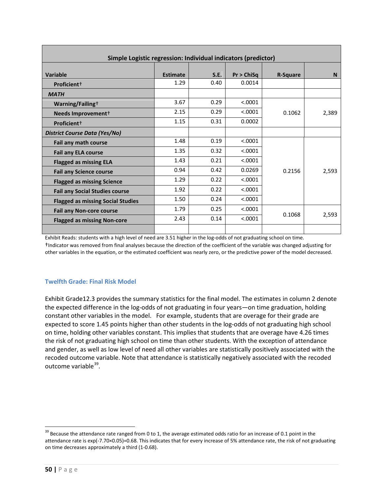| Simple Logistic regression: Individual indicators (predictor) |                 |      |            |                 |       |  |  |
|---------------------------------------------------------------|-----------------|------|------------|-----------------|-------|--|--|
| <b>Variable</b>                                               | <b>Estimate</b> | S.E. | Pr > ChiSq | <b>R-Square</b> | N     |  |  |
| Proficient <sup>+</sup>                                       | 1.29            | 0.40 | 0.0014     |                 |       |  |  |
| <b>MATH</b>                                                   |                 |      |            |                 |       |  |  |
| Warning/Failing <sup>+</sup>                                  | 3.67            | 0.29 | < .0001    |                 |       |  |  |
| Needs Improvement <sup>+</sup>                                | 2.15            | 0.29 | < .0001    | 0.1062          | 2,389 |  |  |
| Proficient <sup>+</sup>                                       | 1.15            | 0.31 | 0.0002     |                 |       |  |  |
| District Course Data (Yes/No)                                 |                 |      |            |                 |       |  |  |
| Fail any math course                                          | 1.48            | 0.19 | < .0001    |                 |       |  |  |
| <b>Fail any ELA course</b>                                    | 1.35            | 0.32 | < 0.0001   |                 |       |  |  |
| <b>Flagged as missing ELA</b>                                 | 1.43            | 0.21 | < 0.0001   |                 |       |  |  |
| <b>Fail any Science course</b>                                | 0.94            | 0.42 | 0.0269     | 0.2156          | 2,593 |  |  |
| <b>Flagged as missing Science</b>                             | 1.29            | 0.22 | < .0001    |                 |       |  |  |
| <b>Fail any Social Studies course</b>                         | 1.92            | 0.22 | < .0001    |                 |       |  |  |
| <b>Flagged as missing Social Studies</b>                      | 1.50            | 0.24 | < 0.0001   |                 |       |  |  |
| <b>Fail any Non-core course</b>                               | 1.79            | 0.25 | < 0.0001   | 0.1068          |       |  |  |
| <b>Flagged as missing Non-core</b>                            | 2.43            | 0.14 | < 0.0001   |                 | 2,593 |  |  |
|                                                               |                 |      |            |                 |       |  |  |

Exhibit Reads: students with a high level of need are 3.51 higher in the log-odds of not graduating school on time. †Indicator was removed from final analyses because the direction of the coefficient of the variable was changed adjusting for other variables in the equation, or the estimated coefficient was nearly zero, or the predictive power of the model decreased.

### <span id="page-52-0"></span>**Twelfth Grade: Final Risk Model**

Exhibit Grade12.3 provides the summary statistics for the final model. The estimates in column 2 denote the expected difference in the log-odds of not graduating in four years—on time graduation, holding constant other variables in the model. For example, students that are overage for their grade are expected to score 1.45 points higher than other students in the log-odds of not graduating high school on time, holding other variables constant. This implies that students that are overage have 4.26 times the risk of not graduating high school on time than other students. With the exception of attendance and gender, as well as low level of need all other variables are statistically positively associated with the recoded outcome variable. Note that attendance is statistically negatively associated with the recoded outcome variable<sup>39</sup>.

<span id="page-52-1"></span> $39$  Because the attendance rate ranged from 0 to 1, the average estimated odds ratio for an increase of 0.1 point in the attendance rate is exp(-7.70×0.05)=0.68. This indicates that for every increase of 5% attendance rate, the risk of not graduating on time decreases approximately a third (1-0.68).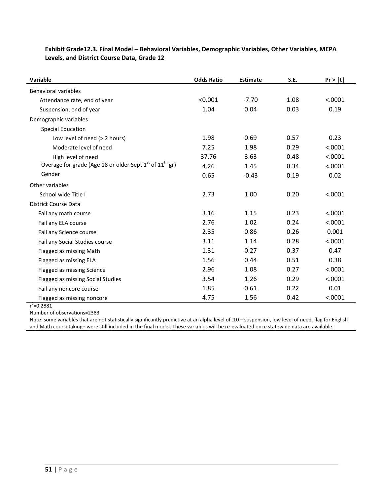| Variable                                                          | <b>Odds Ratio</b> | <b>Estimate</b> | S.E. | Pr >  t |
|-------------------------------------------------------------------|-------------------|-----------------|------|---------|
| <b>Behavioral variables</b>                                       |                   |                 |      |         |
| Attendance rate, end of year                                      | < 0.001           | $-7.70$         | 1.08 | < .0001 |
| Suspension, end of year                                           | 1.04              | 0.04            | 0.03 | 0.19    |
| Demographic variables                                             |                   |                 |      |         |
| <b>Special Education</b>                                          |                   |                 |      |         |
| Low level of need (> 2 hours)                                     | 1.98              | 0.69            | 0.57 | 0.23    |
| Moderate level of need                                            | 7.25              | 1.98            | 0.29 | < .0001 |
| High level of need                                                | 37.76             | 3.63            | 0.48 | < .0001 |
| Overage for grade (Age 18 or older Sept $1^{st}$ of $11^{th}$ gr) | 4.26              | 1.45            | 0.34 | < .0001 |
| Gender                                                            | 0.65              | $-0.43$         | 0.19 | 0.02    |
| Other variables                                                   |                   |                 |      |         |
| School wide Title I                                               | 2.73              | 1.00            | 0.20 | < .0001 |
| <b>District Course Data</b>                                       |                   |                 |      |         |
| Fail any math course                                              | 3.16              | 1.15            | 0.23 | < .0001 |
| Fail any ELA course                                               | 2.76              | 1.02            | 0.24 | < .0001 |
| Fail any Science course                                           | 2.35              | 0.86            | 0.26 | 0.001   |
| Fail any Social Studies course                                    | 3.11              | 1.14            | 0.28 | < .0001 |
| Flagged as missing Math                                           | 1.31              | 0.27            | 0.37 | 0.47    |
| Flagged as missing ELA                                            | 1.56              | 0.44            | 0.51 | 0.38    |
| Flagged as missing Science                                        | 2.96              | 1.08            | 0.27 | < .0001 |
| Flagged as missing Social Studies                                 | 3.54              | 1.26            | 0.29 | < .0001 |
| Fail any noncore course                                           | 1.85              | 0.61            | 0.22 | 0.01    |
| Flagged as missing noncore                                        | 4.75              | 1.56            | 0.42 | < .0001 |

### **Exhibit Grade12.3. Final Model – Behavioral Variables, Demographic Variables, Other Variables, MEPA Levels, and District Course Data, Grade 12**

 $r^2$ =0.2881 Number of observations=2383

<span id="page-53-0"></span>Note: some variables that are not statistically significantly predictive at an alpha level of .10 – suspension, low level of need, flag for English and Math coursetaking– were still included in the final model. These variables will be re-evaluated once statewide data are available.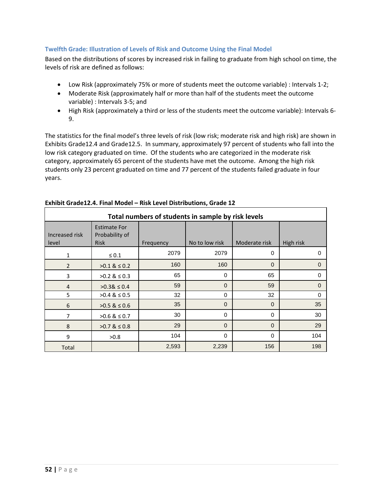### **Twelfth Grade: Illustration of Levels of Risk and Outcome Using the Final Model**

Based on the distributions of scores by increased risk in failing to graduate from high school on time, the levels of risk are defined as follows:

- Low Risk (approximately 75% or more of students meet the outcome variable) : Intervals 1-2;
- Moderate Risk (approximately half or more than half of the students meet the outcome variable) : Intervals 3-5; and
- High Risk (approximately a third or less of the students meet the outcome variable): Intervals 6- 9.

The statistics for the final model's three levels of risk (low risk; moderate risk and high risk) are shown in Exhibits Grade12.4 and Grade12.5. In summary, approximately 97 percent of students who fall into the low risk category graduated on time. Of the students who are categorized in the moderate risk category, approximately 65 percent of the students have met the outcome. Among the high risk students only 23 percent graduated on time and 77 percent of the students failed graduate in four years.

| Total numbers of students in sample by risk levels |                                                      |           |                |                |           |  |  |
|----------------------------------------------------|------------------------------------------------------|-----------|----------------|----------------|-----------|--|--|
| Increased risk<br>level                            | <b>Estimate For</b><br>Probability of<br><b>Risk</b> | Frequency | No to low risk | Moderate risk  | High risk |  |  |
| 1                                                  | $\leq 0.1$                                           | 2079      | 2079           | $\Omega$       | $\Omega$  |  |  |
| $\overline{2}$                                     | $>0.1 \& 0.2$                                        | 160       | 160            | $\overline{0}$ | $\Omega$  |  |  |
| 3                                                  | $>0.2$ & $\leq 0.3$                                  | 65        | 0              | 65             | $\Omega$  |  |  |
| $\overline{4}$                                     | $>0.38 \le 0.4$                                      | 59        | $\Omega$       | 59             | $\Omega$  |  |  |
| 5                                                  | $>0.4 \& 50.5$                                       | 32        | $\Omega$       | 32             | $\Omega$  |  |  |
| 6                                                  | $>0.5$ & $\leq 0.6$                                  | 35        | $\mathbf 0$    | $\overline{0}$ | 35        |  |  |
| 7                                                  | $>0.6$ & $\leq 0.7$                                  | 30        | 0              | $\Omega$       | 30        |  |  |
| 8                                                  | $>0.7 \& 50.8$                                       | 29        | $\Omega$       | $\Omega$       | 29        |  |  |
| 9                                                  | >0.8                                                 | 104       | 0              | $\Omega$       | 104       |  |  |
| Total                                              |                                                      | 2,593     | 2,239          | 156            | 198       |  |  |

### **Exhibit Grade12.4. Final Model – Risk Level Distributions, Grade 12**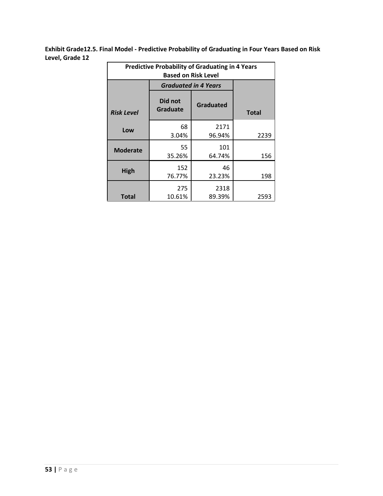**Exhibit Grade12.5. Final Model - Predictive Probability of Graduating in Four Years Based on Risk Level, Grade 12**

| <b>Predictive Probability of Graduating in 4 Years</b><br><b>Based on Risk Level</b> |                     |                             |              |  |
|--------------------------------------------------------------------------------------|---------------------|-----------------------------|--------------|--|
|                                                                                      |                     | <b>Graduated in 4 Years</b> |              |  |
| <b>Risk Level</b>                                                                    | Did not<br>Graduate | Graduated                   | <b>Total</b> |  |
| Low                                                                                  | 68<br>3.04%         | 2171<br>96.94%              | 2239         |  |
| <b>Moderate</b>                                                                      | 55<br>35.26%        | 101<br>64.74%               | 156          |  |
| High                                                                                 | 152<br>76.77%       | 46<br>23.23%                | 198          |  |
| Total                                                                                | 275<br>10.61%       | 2318<br>89.39%              | 2593         |  |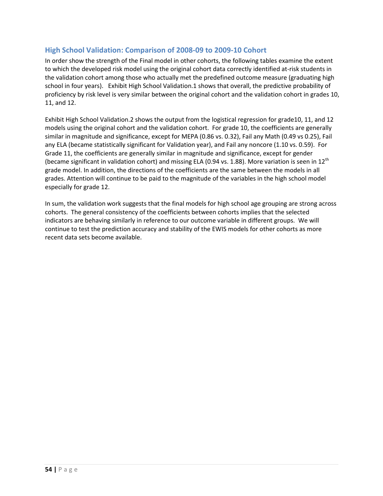# **High School Validation: Comparison of 2008-09 to 2009-10 Cohort**

In order show the strength of the Final model in other cohorts, the following tables examine the extent to which the developed risk model using the original cohort data correctly identified at-risk students in the validation cohort among those who actually met the predefined outcome measure (graduating high school in four years). Exhibit High School Validation.1 shows that overall, the predictive probability of proficiency by risk level is very similar between the original cohort and the validation cohort in grades 10, 11, and 12.

Exhibit High School Validation.2 shows the output from the logistical regression for grade10, 11, and 12 models using the original cohort and the validation cohort. For grade 10, the coefficients are generally similar in magnitude and significance, except for MEPA (0.86 vs. 0.32), Fail any Math (0.49 vs 0.25), Fail any ELA (became statistically significant for Validation year), and Fail any noncore (1.10 vs. 0.59). For Grade 11, the coefficients are generally similar in magnitude and significance, except for gender (became significant in validation cohort) and missing ELA (0.94 vs. 1.88). More variation is seen in 12<sup>th</sup> grade model. In addition, the directions of the coefficients are the same between the models in all grades. Attention will continue to be paid to the magnitude of the variables in the high school model especially for grade 12.

In sum, the validation work suggests that the final models for high school age grouping are strong across cohorts. The general consistency of the coefficients between cohorts implies that the selected indicators are behaving similarly in reference to our outcome variable in different groups.We will continue to test the prediction accuracy and stability of the EWIS models for other cohorts as more recent data sets become available.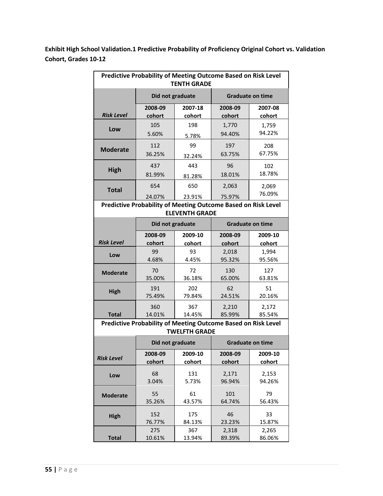**Exhibit High School Validation.1 Predictive Probability of Proficiency Original Cohort vs. Validation Cohort, Grades 10-12**

| Predictive Probability of Meeting Outcome Based on Risk Level<br><b>TENTH GRADE</b>    |                                                               |                      |         |                         |  |  |
|----------------------------------------------------------------------------------------|---------------------------------------------------------------|----------------------|---------|-------------------------|--|--|
|                                                                                        | Did not graduate                                              |                      |         | <b>Graduate on time</b> |  |  |
| <b>Risk Level</b>                                                                      | 2008-09                                                       | 2007-18              | 2008-09 | 2007-08                 |  |  |
|                                                                                        | cohort                                                        | cohort               | cohort  | cohort                  |  |  |
| Low                                                                                    | 105                                                           | 198                  | 1,770   | 1,759                   |  |  |
|                                                                                        | 5.60%                                                         | 5.78%                | 94.40%  | 94.22%                  |  |  |
| <b>Moderate</b>                                                                        | 112                                                           | 99                   | 197     | 208                     |  |  |
|                                                                                        | 36.25%                                                        | 32.24%               | 63.75%  | 67.75%                  |  |  |
| <b>High</b>                                                                            | 437                                                           | 443                  | 96      | 102                     |  |  |
|                                                                                        | 81.99%                                                        | 81.28%               | 18.01%  | 18.78%                  |  |  |
| <b>Total</b>                                                                           | 654                                                           | 650                  | 2,063   | 2,069                   |  |  |
|                                                                                        | 24.07%                                                        | 23.91%               | 75.97%  | 76.09%                  |  |  |
| Predictive Probability of Meeting Outcome Based on Risk Level<br><b>ELEVENTH GRADE</b> |                                                               |                      |         |                         |  |  |
|                                                                                        | Did not graduate                                              |                      |         | <b>Graduate on time</b> |  |  |
| <b>Risk Level</b>                                                                      | 2008-09                                                       | 2009-10              | 2008-09 | 2009-10                 |  |  |
|                                                                                        | cohort                                                        | cohort               | cohort  | cohort                  |  |  |
| Low                                                                                    | 99                                                            | 93                   | 2,018   | 1,994                   |  |  |
|                                                                                        | 4.68%                                                         | 4.45%                | 95.32%  | 95.56%                  |  |  |
| Moderate                                                                               | 70                                                            | 72                   | 130     | 127                     |  |  |
|                                                                                        | 35.00%                                                        | 36.18%               | 65.00%  | 63.81%                  |  |  |
| <b>High</b>                                                                            | 191                                                           | 202                  | 62      | 51                      |  |  |
|                                                                                        | 75.49%                                                        | 79.84%               | 24.51%  | 20.16%                  |  |  |
| <b>Total</b>                                                                           | 360                                                           | 367                  | 2,210   | 2,172                   |  |  |
|                                                                                        | 14.01%                                                        | 14.45%               | 85.99%  | 85.54%                  |  |  |
|                                                                                        | Predictive Probability of Meeting Outcome Based on Risk Level | <b>TWELFTH GRADE</b> |         |                         |  |  |
|                                                                                        | Did not graduate                                              |                      |         | <b>Graduate on time</b> |  |  |
| <b>Risk Level</b>                                                                      | 2008-09                                                       | 2009-10              | 2008-09 | 2009-10                 |  |  |
|                                                                                        | cohort                                                        | cohort               | cohort  | cohort                  |  |  |
| Low                                                                                    | 68                                                            | 131                  | 2,171   | 2,153                   |  |  |
|                                                                                        | 3.04%                                                         | 5.73%                | 96.94%  | 94.26%                  |  |  |
| <b>Moderate</b>                                                                        | 55                                                            | 61                   | 101     | 79                      |  |  |
|                                                                                        | 35.26%                                                        | 43.57%               | 64.74%  | 56.43%                  |  |  |
| <b>High</b>                                                                            | 152                                                           | 175                  | 46      | 33                      |  |  |
|                                                                                        | 76.77%                                                        | 84.13%               | 23.23%  | 15.87%                  |  |  |
| <b>Total</b>                                                                           | 275                                                           | 367                  | 2,318   | 2,265                   |  |  |
|                                                                                        | 10.61%                                                        | 13.94%               | 89.39%  | 86.06%                  |  |  |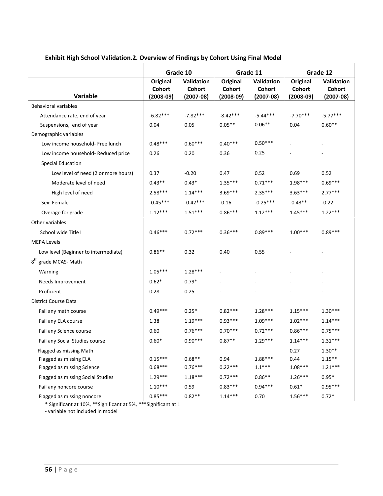|                                      | Grade 10    |             | Grade 11    |             | Grade 12    |             |
|--------------------------------------|-------------|-------------|-------------|-------------|-------------|-------------|
|                                      | Original    | Validation  | Original    | Validation  | Original    | Validation  |
|                                      | Cohort      | Cohort      | Cohort      | Cohort      | Cohort      | Cohort      |
| <b>Variable</b>                      | $(2008-09)$ | $(2007-08)$ | $(2008-09)$ | $(2007-08)$ | $(2008-09)$ | $(2007-08)$ |
| <b>Behavioral variables</b>          |             |             |             |             |             |             |
| Attendance rate, end of year         | $-6.82***$  | $-7.82***$  | $-8.42***$  | $-5.44***$  | $-7.70***$  | $-5.77***$  |
| Suspensions, end of year             | 0.04        | 0.05        | $0.05**$    | $0.06**$    | 0.04        | $0.60**$    |
| Demographic variables                |             |             |             |             |             |             |
| Low income household- Free lunch     | $0.48***$   | $0.60***$   | $0.40***$   | $0.50***$   |             |             |
| Low income household- Reduced price  | 0.26        | 0.20        | 0.36        | 0.25        |             |             |
| Special Education                    |             |             |             |             |             |             |
| Low level of need (2 or more hours)  | 0.37        | $-0.20$     | 0.47        | 0.52        | 0.69        | 0.52        |
| Moderate level of need               | $0.43**$    | $0.43*$     | $1.35***$   | $0.71***$   | 1.98***     | $0.69***$   |
| High level of need                   | $2.58***$   | $1.14***$   | $3.69***$   | $2.35***$   | $3.63***$   | $2.77***$   |
| Sex: Female                          | $-0.45***$  | $-0.42***$  | $-0.16$     | $-0.25***$  | $-0.43**$   | $-0.22$     |
| Overage for grade                    | $1.12***$   | $1.51***$   | $0.86***$   | $1.12***$   | $1.45***$   | $1.22***$   |
| Other variables                      |             |             |             |             |             |             |
| School wide Title I                  | $0.46***$   | $0.72***$   | $0.36***$   | $0.89***$   | $1.00***$   | $0.89***$   |
| <b>MEPA Levels</b>                   |             |             |             |             |             |             |
| Low level (Beginner to intermediate) | $0.86**$    | 0.32        | 0.40        | 0.55        |             |             |
| 8 <sup>th</sup> grade MCAS- Math     |             |             |             |             |             |             |
| Warning                              | $1.05***$   | $1.28***$   |             |             |             |             |
| Needs Improvement                    | $0.62*$     | $0.79*$     |             |             |             |             |
| Proficient                           | 0.28        | 0.25        |             |             |             |             |
| District Course Data                 |             |             |             |             |             |             |
| Fail any math course                 | $0.49***$   | $0.25*$     | $0.82***$   | $1.28***$   | $1.15***$   | $1.30***$   |
| Fail any ELA course                  | 1.38        | $1.19***$   | $0.93***$   | $1.09***$   | $1.02***$   | $1.14***$   |
| Fail any Science course              | 0.60        | $0.76***$   | $0.70***$   | $0.72***$   | $0.86***$   | $0.75***$   |
| Fail any Social Studies course       | $0.60*$     | $0.90***$   | $0.87**$    | $1.29***$   | $1.14***$   | $1.31***$   |
| Flagged as missing Math              |             |             |             |             | 0.27        | $1.30**$    |
| Flagged as missing ELA               | $0.15***$   | $0.68**$    | 0.94        | 1.88***     | 0.44        | $1.15***$   |
| Flagged as missing Science           | $0.68***$   | $0.76***$   | $0.22***$   | $1.1***$    | $1.08***$   | $1.21***$   |
| Flagged as missing Social Studies    | $1.29***$   | $1.18***$   | $0.72***$   | $0.86**$    | $1.26***$   | $0.95*$     |
| Fail any noncore course              | $1.10***$   | 0.59        | $0.83***$   | $0.94***$   | $0.61*$     | $0.95***$   |
| Flagged as missing noncore           | $0.85***$   | $0.82**$    | $1.14***$   | 0.70        | $1.56***$   | $0.72*$     |

# **Exhibit High School Validation.2. Overview of Findings by Cohort Using Final Model**

\* Significant at 10%, \*\*Significant at 5%, \*\*\*Significant at 1

<span id="page-58-0"></span>- variable not included in model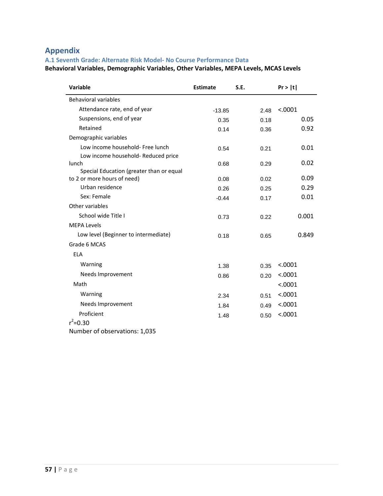# **Appendix**

# <span id="page-59-0"></span>**A.1 Seventh Grade: Alternate Risk Model- No Course Performance Data**

**Behavioral Variables, Demographic Variables, Other Variables, MEPA Levels, MCAS Levels**

| <b>Variable</b>                                                         | <b>Estimate</b> | S.E. | Pr >  t |
|-------------------------------------------------------------------------|-----------------|------|---------|
| Behavioral variables                                                    |                 |      |         |
| Attendance rate, end of year                                            | $-13.85$        | 2.48 | < .0001 |
| Suspensions, end of year                                                | 0.35            | 0.18 | 0.05    |
| Retained                                                                | 0.14            | 0.36 | 0.92    |
| Demographic variables                                                   |                 |      |         |
| Low income household- Free lunch                                        | 0.54            | 0.21 | 0.01    |
| Low income household- Reduced price                                     |                 |      |         |
| lunch                                                                   | 0.68            | 0.29 | 0.02    |
| Special Education (greater than or equal<br>to 2 or more hours of need) |                 |      | 0.09    |
| Urban residence                                                         | 0.08            | 0.02 | 0.29    |
| Sex: Female                                                             | 0.26            | 0.25 |         |
|                                                                         | $-0.44$         | 0.17 | 0.01    |
| Other variables                                                         |                 |      |         |
| School wide Title I                                                     | 0.73            | 0.22 | 0.001   |
| <b>MEPA Levels</b>                                                      |                 |      |         |
| Low level (Beginner to intermediate)                                    | 0.18            | 0.65 | 0.849   |
| Grade 6 MCAS                                                            |                 |      |         |
| <b>ELA</b>                                                              |                 |      |         |
| Warning                                                                 | 1.38            | 0.35 | < .0001 |
| Needs Improvement                                                       | 0.86            | 0.20 | < .0001 |
| Math                                                                    |                 |      | < .0001 |
| Warning                                                                 | 2.34            | 0.51 | < .0001 |
| Needs Improvement                                                       | 1.84            | 0.49 | < .0001 |
| Proficient                                                              | 1.48            | 0.50 | < .0001 |
| $r^2 = 0.30$                                                            |                 |      |         |
| Number of observations: 1,035                                           |                 |      |         |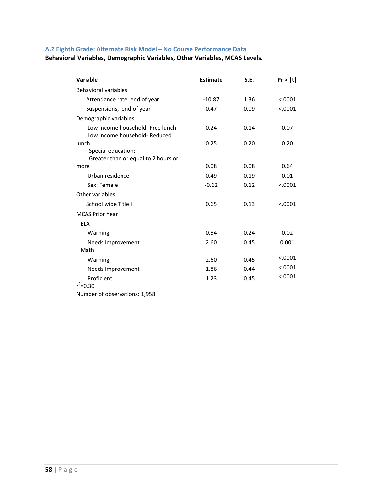# <span id="page-60-0"></span>**A.2 Eighth Grade: Alternate Risk Model – No Course Performance Data**

# **Behavioral Variables, Demographic Variables, Other Variables, MCAS Levels.**

| Variable                                                          | <b>Estimate</b> | S.E. | Pr >  t |
|-------------------------------------------------------------------|-----------------|------|---------|
| <b>Behavioral variables</b>                                       |                 |      |         |
| Attendance rate, end of year                                      | $-10.87$        | 1.36 | < .0001 |
| Suspensions, end of year                                          | 0.47            | 0.09 | < .0001 |
| Demographic variables                                             |                 |      |         |
| Low income household- Free lunch<br>Low income household- Reduced | 0.24            | 0.14 | 0.07    |
| lunch                                                             | 0.25            | 0.20 | 0.20    |
| Special education:<br>Greater than or equal to 2 hours or         |                 |      |         |
| more                                                              | 0.08            | 0.08 | 0.64    |
| Urban residence                                                   | 0.49            | 0.19 | 0.01    |
| Sex: Female                                                       | $-0.62$         | 0.12 | < .0001 |
| Other variables                                                   |                 |      |         |
| School wide Title I                                               | 0.65            | 0.13 | < .0001 |
| <b>MCAS Prior Year</b>                                            |                 |      |         |
| <b>ELA</b>                                                        |                 |      |         |
| Warning                                                           | 0.54            | 0.24 | 0.02    |
| Needs Improvement                                                 | 2.60            | 0.45 | 0.001   |
| Math                                                              |                 |      |         |
| Warning                                                           | 2.60            | 0.45 | < .0001 |
| Needs Improvement                                                 | 1.86            | 0.44 | < .0001 |
| Proficient                                                        | 1.23            | 0.45 | < .0001 |
| $r^2$ =0.30                                                       |                 |      |         |
| Number of observations: 1,958                                     |                 |      |         |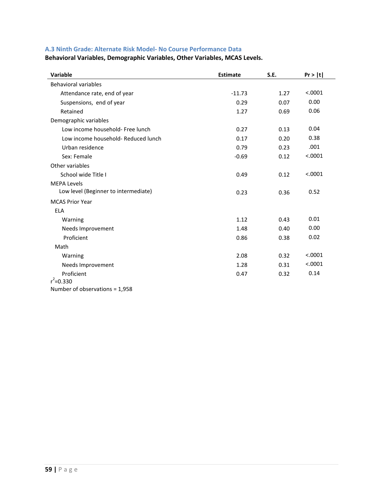# <span id="page-61-0"></span>**A.3 Ninth Grade: Alternate Risk Model- No Course Performance Data**

**Behavioral Variables, Demographic Variables, Other Variables, MCAS Levels.** 

| Variable                             | <b>Estimate</b> | <b>S.E.</b> | Pr >  t |
|--------------------------------------|-----------------|-------------|---------|
| <b>Behavioral variables</b>          |                 |             |         |
| Attendance rate, end of year         | $-11.73$        | 1.27        | < .0001 |
| Suspensions, end of year             | 0.29            | 0.07        | 0.00    |
| Retained                             | 1.27            | 0.69        | 0.06    |
| Demographic variables                |                 |             |         |
| Low income household- Free lunch     | 0.27            | 0.13        | 0.04    |
| Low income household- Reduced lunch  | 0.17            | 0.20        | 0.38    |
| Urban residence                      | 0.79            | 0.23        | .001    |
| Sex: Female                          | $-0.69$         | 0.12        | < .0001 |
| Other variables                      |                 |             |         |
| School wide Title I                  | 0.49            | 0.12        | < .0001 |
| <b>MEPA Levels</b>                   |                 |             |         |
| Low level (Beginner to intermediate) | 0.23            | 0.36        | 0.52    |
| <b>MCAS Prior Year</b>               |                 |             |         |
| <b>ELA</b>                           |                 |             |         |
| Warning                              | 1.12            | 0.43        | 0.01    |
| Needs Improvement                    | 1.48            | 0.40        | 0.00    |
| Proficient                           | 0.86            | 0.38        | 0.02    |
| Math                                 |                 |             |         |
| Warning                              | 2.08            | 0.32        | < .0001 |
| Needs Improvement                    | 1.28            | 0.31        | < .0001 |
| Proficient                           | 0.47            | 0.32        | 0.14    |
| $r^2 = 0.330$                        |                 |             |         |
| Number of observations = $1,958$     |                 |             |         |